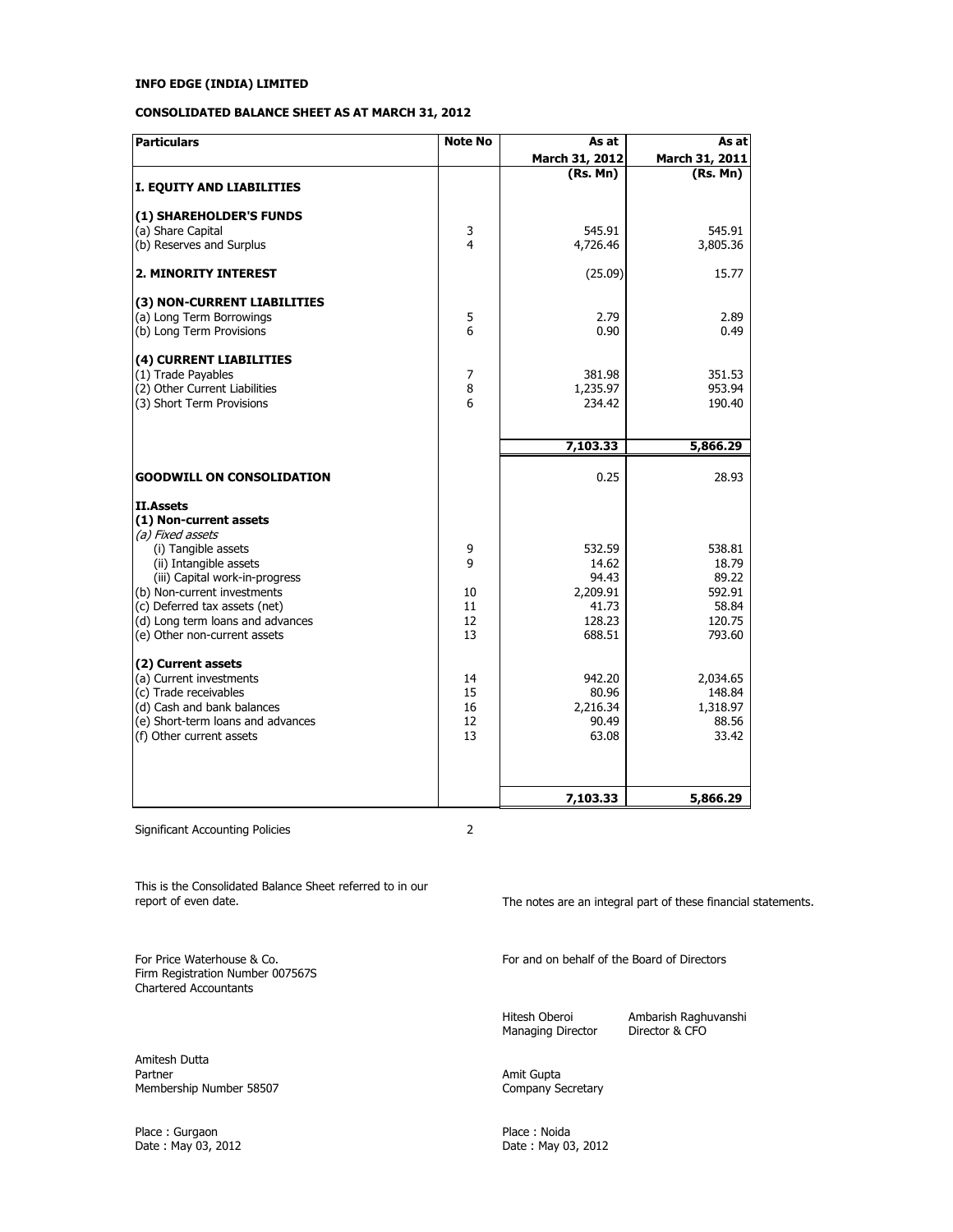## **CONSOLIDATED BALANCE SHEET AS AT MARCH 31, 2012**

| <b>Particulars</b>                                       | <b>Note No</b>          | As at          | As at           |
|----------------------------------------------------------|-------------------------|----------------|-----------------|
|                                                          |                         | March 31, 2012 | March 31, 2011  |
|                                                          |                         | (Rs. Mn)       | (Rs. Mn)        |
| I. EQUITY AND LIABILITIES                                |                         |                |                 |
| (1) SHAREHOLDER'S FUNDS                                  |                         |                |                 |
| (a) Share Capital                                        | 3                       | 545.91         | 545.91          |
| (b) Reserves and Surplus                                 | $\overline{\mathbf{4}}$ | 4,726.46       | 3,805.36        |
| <b>2. MINORITY INTEREST</b>                              |                         | (25.09)        | 15.77           |
| (3) NON-CURRENT LIABILITIES                              |                         |                |                 |
| (a) Long Term Borrowings                                 | 5                       | 2.79           | 2.89            |
| (b) Long Term Provisions                                 | 6                       | 0.90           | 0.49            |
| (4) CURRENT LIABILITIES                                  |                         |                |                 |
| (1) Trade Payables                                       | 7                       | 381.98         | 351.53          |
| (2) Other Current Liabilities                            | 8                       | 1,235.97       | 953.94          |
| (3) Short Term Provisions                                | 6                       | 234.42         | 190.40          |
|                                                          |                         |                |                 |
|                                                          |                         | 7,103.33       | 5,866.29        |
| <b>GOODWILL ON CONSOLIDATION</b>                         |                         | 0.25           | 28.93           |
| II.Assets                                                |                         |                |                 |
| (1) Non-current assets                                   |                         |                |                 |
| (a) Fixed assets                                         |                         |                |                 |
| (i) Tangible assets                                      | 9<br>9                  | 532.59         | 538.81<br>18.79 |
| (ii) Intangible assets<br>(iii) Capital work-in-progress |                         | 14.62<br>94.43 | 89.22           |
| (b) Non-current investments                              | 10                      | 2,209.91       | 592.91          |
| (c) Deferred tax assets (net)                            | 11                      | 41.73          | 58.84           |
| (d) Long term loans and advances                         | 12                      | 128.23         | 120.75          |
| (e) Other non-current assets                             | 13                      | 688.51         | 793.60          |
| (2) Current assets                                       |                         |                |                 |
| (a) Current investments                                  | 14                      | 942.20         | 2,034.65        |
| (c) Trade receivables                                    | 15                      | 80.96          | 148.84          |
| (d) Cash and bank balances                               | 16                      | 2,216.34       | 1,318.97        |
| (e) Short-term loans and advances                        | 12                      | 90.49          | 88.56           |
| (f) Other current assets                                 | 13                      | 63.08          | 33.42           |
|                                                          |                         |                |                 |
|                                                          |                         | 7,103.33       | 5,866.29        |

Significant Accounting Policies 2

This is the Consolidated Balance Sheet referred to in our

Firm Registration Number 007567S Chartered Accountants

Amitesh Dutta Membership Number 58507

Place : Gurgaon Place : Noida

The notes are an integral part of these financial statements.

For Price Waterhouse & Co. The Form of the Board of Directors of Directors of Directors

Managing Director

Hitesh Oberoi **Ambarish Raghuvanshi**<br>Managing Director **Containst** Director & CFO

Amit Gupta<br>Company Secretary

Date : May 03, 2012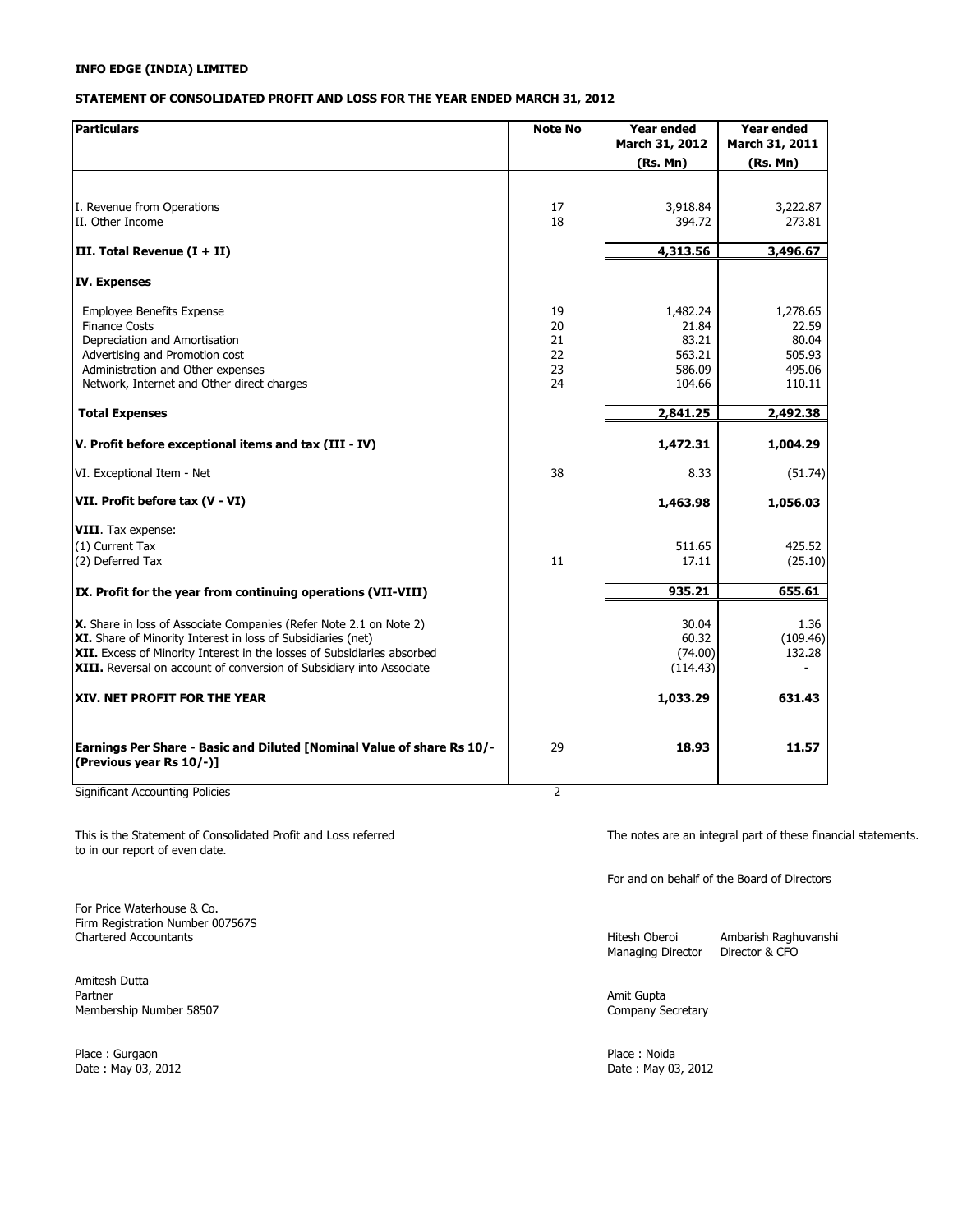### **STATEMENT OF CONSOLIDATED PROFIT AND LOSS FOR THE YEAR ENDED MARCH 31, 2012**

| <b>Particulars</b>                                                                                                                                                                                                                                                                    | <b>Note No</b>                   | <b>Year ended</b><br>March 31, 2012<br>(Rs. Mn)          | Year ended<br>March 31, 2011<br>(Rs. Mn)                 |
|---------------------------------------------------------------------------------------------------------------------------------------------------------------------------------------------------------------------------------------------------------------------------------------|----------------------------------|----------------------------------------------------------|----------------------------------------------------------|
| I. Revenue from Operations<br>II. Other Income                                                                                                                                                                                                                                        | 17<br>18                         | 3,918.84<br>394.72                                       | 3,222.87<br>273.81                                       |
| III. Total Revenue $(I + II)$                                                                                                                                                                                                                                                         |                                  | 4,313.56                                                 | 3,496.67                                                 |
| <b>IV. Expenses</b>                                                                                                                                                                                                                                                                   |                                  |                                                          |                                                          |
| <b>Employee Benefits Expense</b><br><b>Finance Costs</b><br>Depreciation and Amortisation<br>Advertising and Promotion cost<br>Administration and Other expenses<br>Network, Internet and Other direct charges                                                                        | 19<br>20<br>21<br>22<br>23<br>24 | 1,482.24<br>21.84<br>83.21<br>563.21<br>586.09<br>104.66 | 1,278.65<br>22.59<br>80.04<br>505.93<br>495.06<br>110.11 |
| <b>Total Expenses</b>                                                                                                                                                                                                                                                                 |                                  | 2,841.25                                                 | 2,492.38                                                 |
| V. Profit before exceptional items and tax (III - IV)                                                                                                                                                                                                                                 |                                  | 1,472.31                                                 | 1,004.29                                                 |
| VI. Exceptional Item - Net                                                                                                                                                                                                                                                            | 38                               | 8.33                                                     | (51.74)                                                  |
| VII. Profit before tax (V - VI)                                                                                                                                                                                                                                                       |                                  | 1,463.98                                                 | 1,056.03                                                 |
| <b>VIII.</b> Tax expense:<br>(1) Current Tax<br>(2) Deferred Tax                                                                                                                                                                                                                      | 11                               | 511.65<br>17.11                                          | 425.52<br>(25.10)                                        |
| IX. Profit for the year from continuing operations (VII-VIII)                                                                                                                                                                                                                         |                                  | 935.21                                                   | 655.61                                                   |
| X. Share in loss of Associate Companies (Refer Note 2.1 on Note 2)<br>XI. Share of Minority Interest in loss of Subsidiaries (net)<br>XII. Excess of Minority Interest in the losses of Subsidiaries absorbed<br>XIII. Reversal on account of conversion of Subsidiary into Associate |                                  | 30.04<br>60.32<br>(74.00)<br>(114.43)                    | 1.36<br>(109.46)<br>132.28                               |
| XIV. NET PROFIT FOR THE YEAR                                                                                                                                                                                                                                                          |                                  | 1,033.29                                                 | 631.43                                                   |
| Earnings Per Share - Basic and Diluted [Nominal Value of share Rs 10/-<br>(Previous vear Rs 10/-)]                                                                                                                                                                                    | 29                               | 18.93                                                    | 11.57                                                    |

Significant Accounting Policies 2

This is the Statement of Consolidated Profit and Loss referred The notes are an integral part of these financial statements. to in our report of even date.

For Price Waterhouse & Co. Firm Registration Number 007567S

Amitesh Dutta Membership Number 58507 Company Secretary

Place : Gurgaon Place : Noida

For and on behalf of the Board of Directors

Managing Director

Hitesh Oberoi Ambarish Raghuvanshi<br>Managing Director Director & CFO

Amit Gupta

Date : May 03, 2012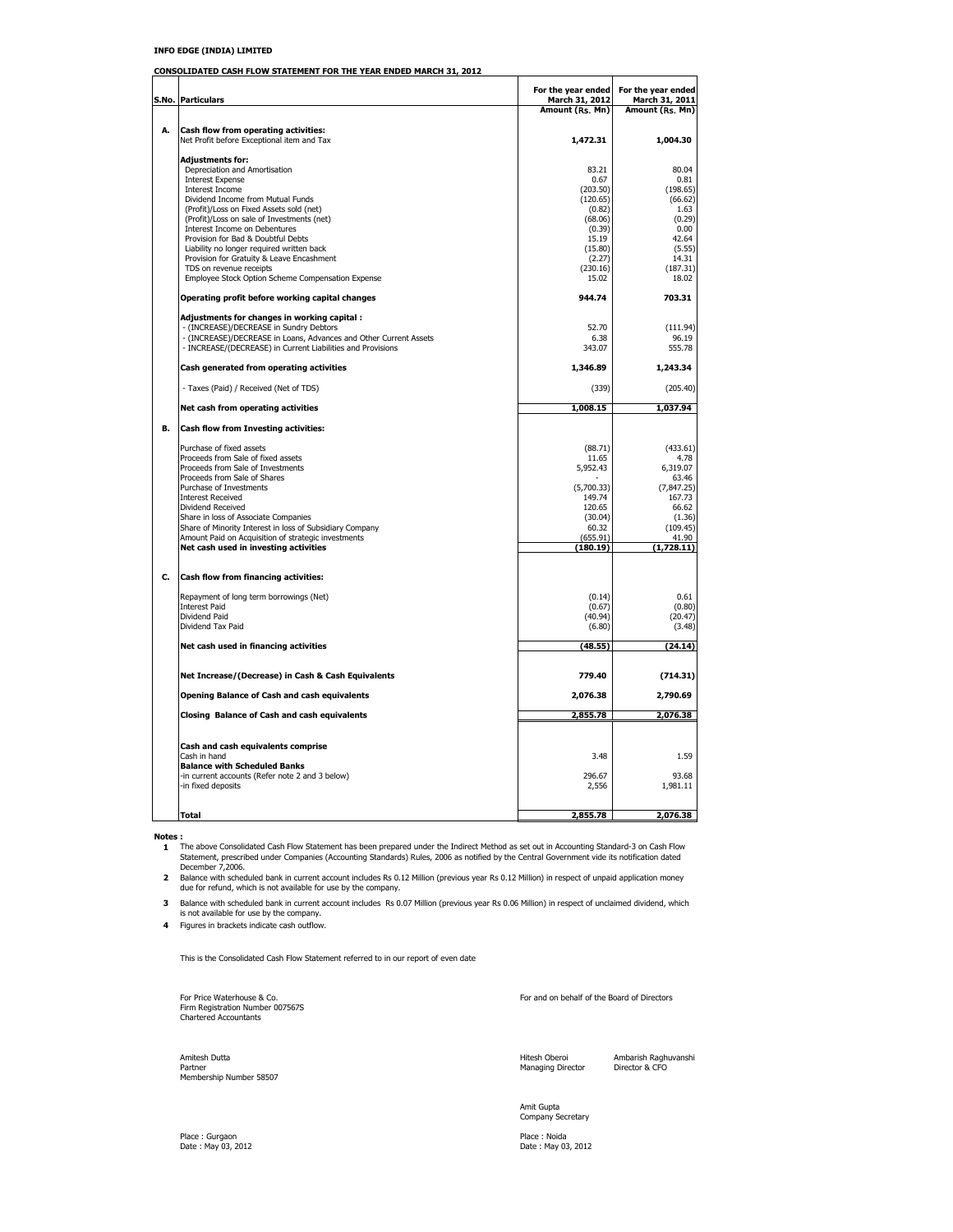**CONSOLIDATED CASH FLOW STATEMENT FOR THE YEAR ENDED MARCH 31, 2012**

|    |                                                                                              | For the year ended   | For the year ended    |
|----|----------------------------------------------------------------------------------------------|----------------------|-----------------------|
|    | S.No. Particulars                                                                            | March 31, 2012       | March 31, 2011        |
|    |                                                                                              | Amount (Rs. Mn)      | Amount (Rs. Mn)       |
| А. | Cash flow from operating activities:                                                         |                      |                       |
|    | Net Profit before Exceptional item and Tax                                                   | 1,472.31             | 1,004.30              |
|    | Adjustments for:                                                                             |                      |                       |
|    | Depreciation and Amortisation                                                                | 83.21                | 80.04                 |
|    | <b>Interest Expense</b>                                                                      | 0.67                 | 0.81                  |
|    | Interest Income<br>Dividend Income from Mutual Funds                                         | (203.50)<br>(120.65) | (198.65)<br>(66.62)   |
|    | (Profit)/Loss on Fixed Assets sold (net)                                                     | (0.82)               | 1.63                  |
|    | (Profit)/Loss on sale of Investments (net)                                                   | (68.06)              | (0.29)                |
|    | Interest Income on Debentures                                                                | (0.39)               | 0.00                  |
|    | Provision for Bad & Doubtful Debts<br>Liability no longer required written back              | 15.19<br>(15.80)     | 42.64<br>(5.55)       |
|    | Provision for Gratuity & Leave Encashment                                                    | (2.27)               | 14.31                 |
|    | TDS on revenue receipts                                                                      | (230.16)             | (187.31)              |
|    | Employee Stock Option Scheme Compensation Expense                                            | 15.02                | 18.02                 |
|    | Operating profit before working capital changes                                              | 944.74               | 703.31                |
|    | Adjustments for changes in working capital :<br>- (INCREASE)/DECREASE in Sundry Debtors      | 52.70                | (111.94)              |
|    | - (INCREASE)/DECREASE in Loans, Advances and Other Current Assets                            | 6.38                 | 96.19                 |
|    | - INCREASE/(DECREASE) in Current Liabilities and Provisions                                  | 343.07               | 555.78                |
|    | Cash generated from operating activities                                                     | 1,346.89             | 1,243.34              |
|    | - Taxes (Paid) / Received (Net of TDS)                                                       | (339)                | (205.40)              |
|    | Net cash from operating activities                                                           | 1,008.15             | 1,037.94              |
| В. | Cash flow from Investing activities:                                                         |                      |                       |
|    | Purchase of fixed assets                                                                     | (88.71)              | (433.61)              |
|    | Proceeds from Sale of fixed assets                                                           | 11.65                | 4.78                  |
|    | Proceeds from Sale of Investments                                                            | 5,952.43             | 6,319.07              |
|    | Proceeds from Sale of Shares<br>Purchase of Investments                                      | (5.700.33)           | 63.46                 |
|    | <b>Interest Received</b>                                                                     | 149.74               | (7, 847.25)<br>167.73 |
|    | Dividend Received                                                                            | 120.65               | 66.62                 |
|    | Share in loss of Associate Companies                                                         | (30.04)              | (1.36)                |
|    | Share of Minority Interest in loss of Subsidiary Company                                     | 60.32                | (109.45)              |
|    | Amount Paid on Acquisition of strategic investments<br>Net cash used in investing activities | (655.91)<br>(180.19) | 41.90<br>(1,728.11)   |
|    |                                                                                              |                      |                       |
| C. | Cash flow from financing activities:                                                         |                      |                       |
|    | Repayment of long term borrowings (Net)                                                      | (0.14)               | 0.61                  |
|    | <b>Interest Paid</b><br>Dividend Paid                                                        | (0.67)<br>(40.94)    | (0.80)<br>(20.47)     |
|    | Dividend Tax Paid                                                                            | (6.80)               | (3.48)                |
|    |                                                                                              |                      |                       |
|    | Net cash used in financing activities                                                        | (48.55)              | (24.14)               |
|    | Net Increase/(Decrease) in Cash & Cash Equivalents                                           | 779.40               | (714.31)              |
|    | <b>Opening Balance of Cash and cash equivalents</b>                                          | 2,076.38             | 2,790.69              |
|    | Closing Balance of Cash and cash equivalents                                                 | 2,855.78             | 2,076.38              |
|    |                                                                                              |                      |                       |
|    | Cash and cash equivalents comprise<br>Cash in hand                                           | 3.48                 | 1.59                  |
|    | <b>Balance with Scheduled Banks</b>                                                          |                      |                       |
|    | -in current accounts (Refer note 2 and 3 below)                                              | 296.67               | 93.68                 |
|    | -in fixed deposits                                                                           | 2,556                | 1,981.11              |
|    | Total                                                                                        |                      |                       |
|    |                                                                                              | 2,855.78             | 2,076.38              |

**Notes :**<br>1 The above Consolidated Cash Flow Statement has been prepared under the Indirect Method as set out in Accounting Standard-3 on Cash Flow<br>5tatement, prescribed under Companies (Accounting Standards) Rules, 2006 a

**2** Balance with scheduled bank in current account includes Rs 0.12 Million (previous year Rs 0.12 Million) in respect of unpaid application money due for refund, which is not available for use by the company.

**3** Balance with scheduled bank in current account includes Rs 0.07 Million (previous year Rs 0.06 Million) in respect of unclaimed dividend, which is not available for use by the company.

**4** Figures in brackets indicate cash outflow.

This is the Consolidated Cash Flow Statement referred to in our report of even date

For Price Waterhouse & Co. The External of Directors and on behalf of the Board of Directors Firm Registration Number 007567S Chartered Accountants

Amitesh Dutta Hitesh Oberoi Ambarish Raghuvanshi Partner Managing Director Director & CFO Membership Number 58507

Amit Gupta Company Secretary

Place : Noida<br>Date : May 03, 2012

Place : Gurgaon<br>Date : May 03, 2012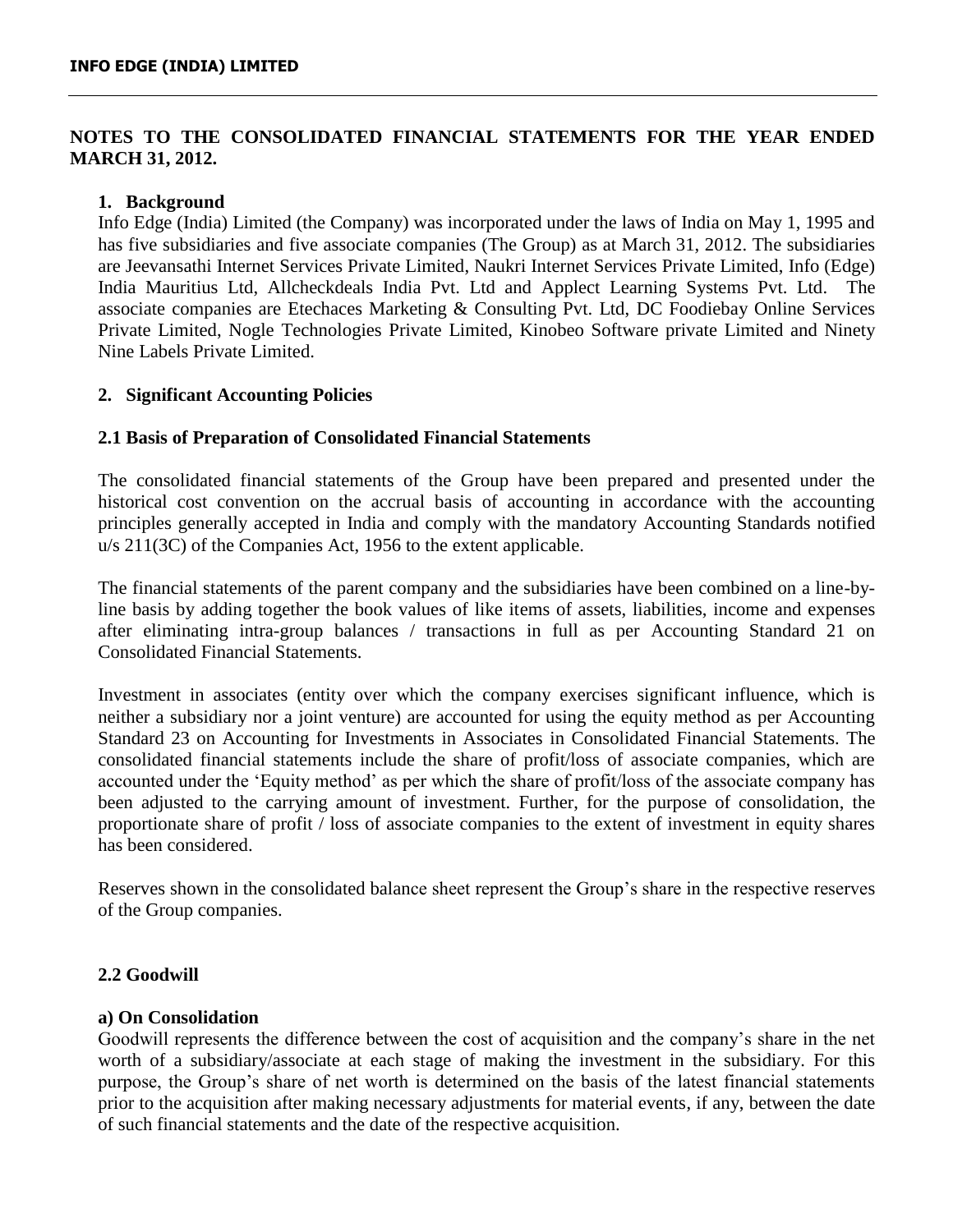# **NOTES TO THE CONSOLIDATED FINANCIAL STATEMENTS FOR THE YEAR ENDED MARCH 31, 2012.**

## **1. Background**

Info Edge (India) Limited (the Company) was incorporated under the laws of India on May 1, 1995 and has five subsidiaries and five associate companies (The Group) as at March 31, 2012. The subsidiaries are Jeevansathi Internet Services Private Limited, Naukri Internet Services Private Limited, Info (Edge) India Mauritius Ltd, Allcheckdeals India Pvt. Ltd and Applect Learning Systems Pvt. Ltd. The associate companies are Etechaces Marketing & Consulting Pvt. Ltd, DC Foodiebay Online Services Private Limited, Nogle Technologies Private Limited, Kinobeo Software private Limited and Ninety Nine Labels Private Limited.

## **2. Significant Accounting Policies**

## **2.1 Basis of Preparation of Consolidated Financial Statements**

The consolidated financial statements of the Group have been prepared and presented under the historical cost convention on the accrual basis of accounting in accordance with the accounting principles generally accepted in India and comply with the mandatory Accounting Standards notified u/s 211(3C) of the Companies Act, 1956 to the extent applicable.

The financial statements of the parent company and the subsidiaries have been combined on a line-byline basis by adding together the book values of like items of assets, liabilities, income and expenses after eliminating intra-group balances / transactions in full as per Accounting Standard 21 on Consolidated Financial Statements.

Investment in associates (entity over which the company exercises significant influence, which is neither a subsidiary nor a joint venture) are accounted for using the equity method as per Accounting Standard 23 on Accounting for Investments in Associates in Consolidated Financial Statements. The consolidated financial statements include the share of profit/loss of associate companies, which are accounted under the 'Equity method' as per which the share of profit/loss of the associate company has been adjusted to the carrying amount of investment. Further, for the purpose of consolidation, the proportionate share of profit / loss of associate companies to the extent of investment in equity shares has been considered.

Reserves shown in the consolidated balance sheet represent the Group's share in the respective reserves of the Group companies.

## **2.2 Goodwill**

## **a) On Consolidation**

Goodwill represents the difference between the cost of acquisition and the company's share in the net worth of a subsidiary/associate at each stage of making the investment in the subsidiary. For this purpose, the Group's share of net worth is determined on the basis of the latest financial statements prior to the acquisition after making necessary adjustments for material events, if any, between the date of such financial statements and the date of the respective acquisition.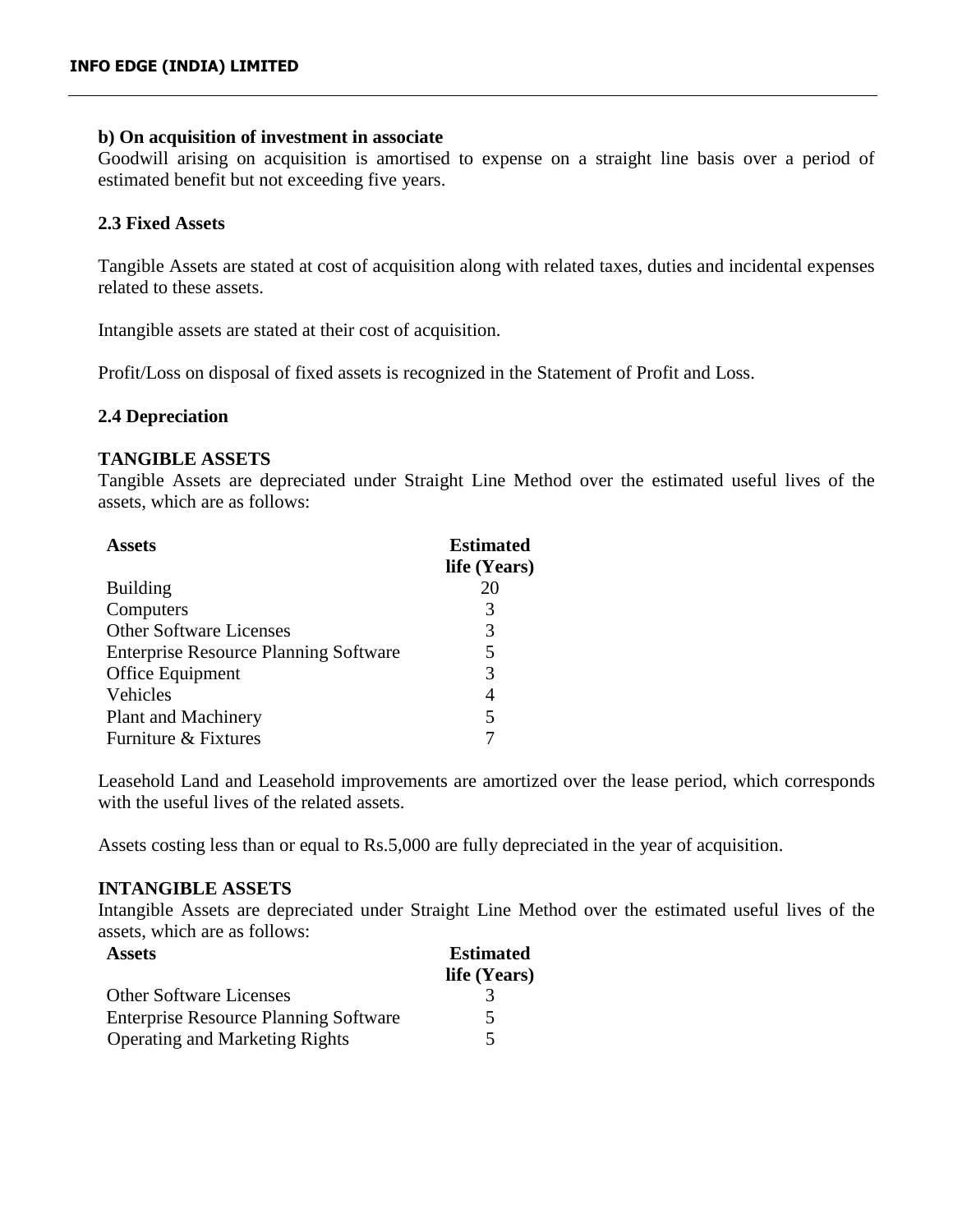## **b) On acquisition of investment in associate**

Goodwill arising on acquisition is amortised to expense on a straight line basis over a period of estimated benefit but not exceeding five years.

## **2.3 Fixed Assets**

Tangible Assets are stated at cost of acquisition along with related taxes, duties and incidental expenses related to these assets.

Intangible assets are stated at their cost of acquisition.

Profit/Loss on disposal of fixed assets is recognized in the Statement of Profit and Loss.

## **2.4 Depreciation**

## **TANGIBLE ASSETS**

Tangible Assets are depreciated under Straight Line Method over the estimated useful lives of the assets, which are as follows:

| <b>Assets</b>                                | <b>Estimated</b> |
|----------------------------------------------|------------------|
|                                              | life (Years)     |
| <b>Building</b>                              | 20               |
| Computers                                    | 3                |
| <b>Other Software Licenses</b>               | 3                |
| <b>Enterprise Resource Planning Software</b> | 5                |
| Office Equipment                             | 3                |
| Vehicles                                     | 4                |
| <b>Plant and Machinery</b>                   | 5                |
| Furniture & Fixtures                         |                  |

Leasehold Land and Leasehold improvements are amortized over the lease period, which corresponds with the useful lives of the related assets.

Assets costing less than or equal to Rs.5,000 are fully depreciated in the year of acquisition.

## **INTANGIBLE ASSETS**

Intangible Assets are depreciated under Straight Line Method over the estimated useful lives of the assets, which are as follows:

| <b>Assets</b>                                | <b>Estimated</b> |
|----------------------------------------------|------------------|
|                                              | life (Years)     |
| <b>Other Software Licenses</b>               |                  |
| <b>Enterprise Resource Planning Software</b> | 5.               |
| <b>Operating and Marketing Rights</b>        |                  |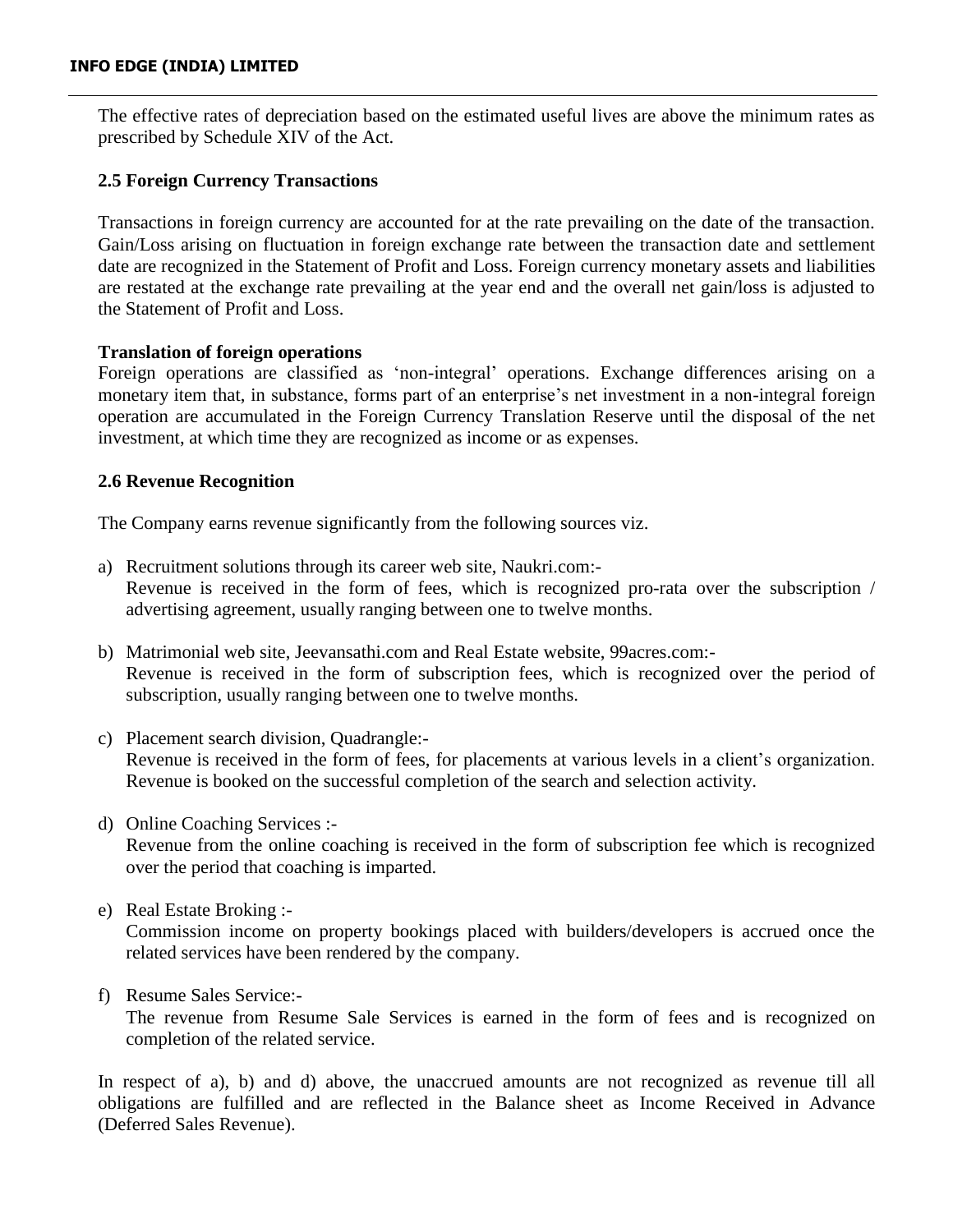The effective rates of depreciation based on the estimated useful lives are above the minimum rates as prescribed by Schedule XIV of the Act.

# **2.5 Foreign Currency Transactions**

Transactions in foreign currency are accounted for at the rate prevailing on the date of the transaction. Gain/Loss arising on fluctuation in foreign exchange rate between the transaction date and settlement date are recognized in the Statement of Profit and Loss. Foreign currency monetary assets and liabilities are restated at the exchange rate prevailing at the year end and the overall net gain/loss is adjusted to the Statement of Profit and Loss.

# **Translation of foreign operations**

Foreign operations are classified as 'non-integral' operations. Exchange differences arising on a monetary item that, in substance, forms part of an enterprise's net investment in a non-integral foreign operation are accumulated in the Foreign Currency Translation Reserve until the disposal of the net investment, at which time they are recognized as income or as expenses.

# **2.6 Revenue Recognition**

The Company earns revenue significantly from the following sources viz.

- a) Recruitment solutions through its career web site, Naukri.com:- Revenue is received in the form of fees, which is recognized pro-rata over the subscription / advertising agreement, usually ranging between one to twelve months.
- b) Matrimonial web site, Jeevansathi.com and Real Estate website, 99acres.com:- Revenue is received in the form of subscription fees, which is recognized over the period of subscription, usually ranging between one to twelve months.
- c) Placement search division, Quadrangle:- Revenue is received in the form of fees, for placements at various levels in a client's organization. Revenue is booked on the successful completion of the search and selection activity.
- d) Online Coaching Services :- Revenue from the online coaching is received in the form of subscription fee which is recognized over the period that coaching is imparted.
- e) Real Estate Broking :-

Commission income on property bookings placed with builders/developers is accrued once the related services have been rendered by the company.

f) Resume Sales Service:-

The revenue from Resume Sale Services is earned in the form of fees and is recognized on completion of the related service.

In respect of a), b) and d) above, the unaccrued amounts are not recognized as revenue till all obligations are fulfilled and are reflected in the Balance sheet as Income Received in Advance (Deferred Sales Revenue).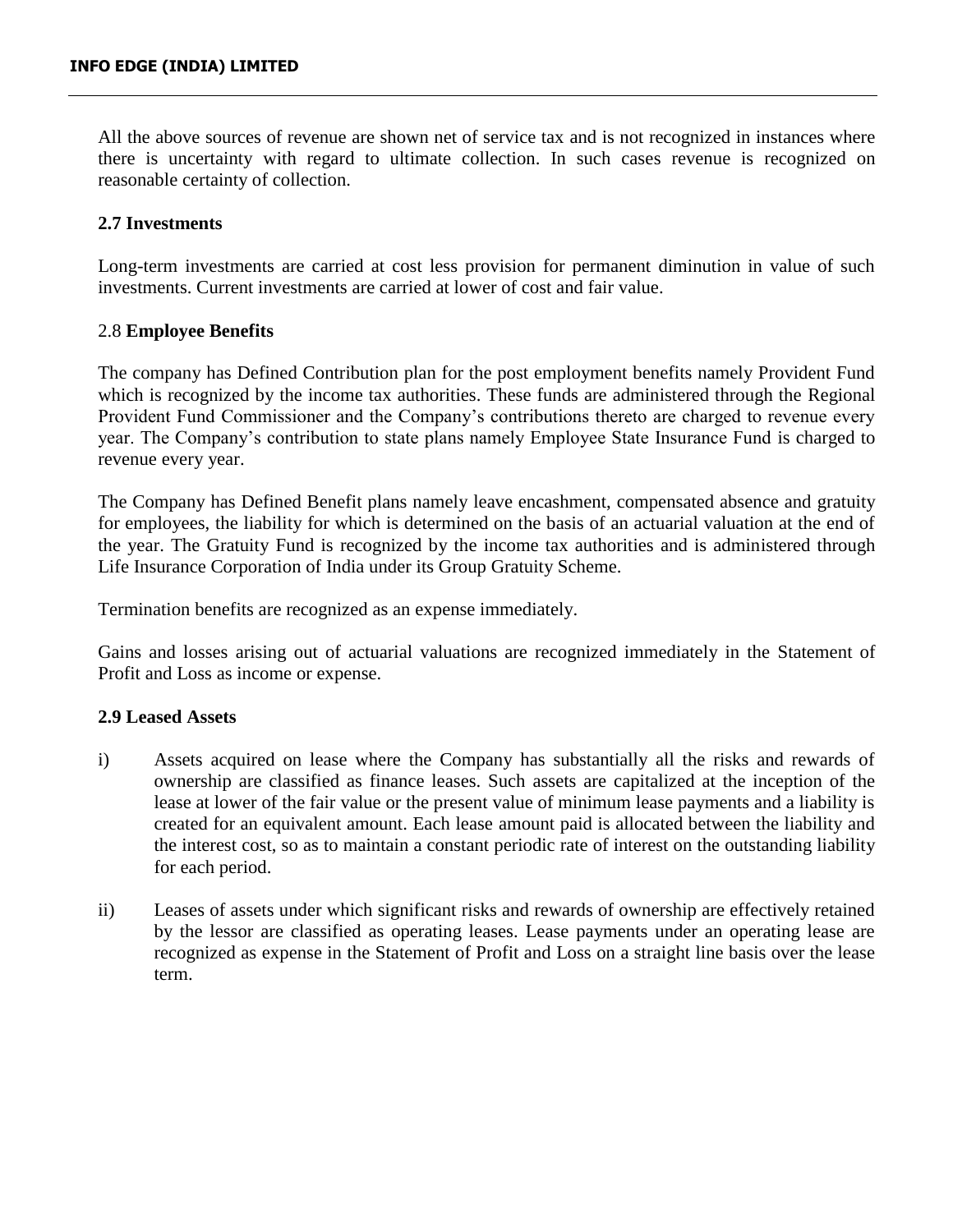All the above sources of revenue are shown net of service tax and is not recognized in instances where there is uncertainty with regard to ultimate collection. In such cases revenue is recognized on reasonable certainty of collection.

## **2.7 Investments**

Long-term investments are carried at cost less provision for permanent diminution in value of such investments. Current investments are carried at lower of cost and fair value.

## 2.8 **Employee Benefits**

The company has Defined Contribution plan for the post employment benefits namely Provident Fund which is recognized by the income tax authorities. These funds are administered through the Regional Provident Fund Commissioner and the Company's contributions thereto are charged to revenue every year. The Company's contribution to state plans namely Employee State Insurance Fund is charged to revenue every year.

The Company has Defined Benefit plans namely leave encashment, compensated absence and gratuity for employees, the liability for which is determined on the basis of an actuarial valuation at the end of the year. The Gratuity Fund is recognized by the income tax authorities and is administered through Life Insurance Corporation of India under its Group Gratuity Scheme.

Termination benefits are recognized as an expense immediately.

Gains and losses arising out of actuarial valuations are recognized immediately in the Statement of Profit and Loss as income or expense.

## **2.9 Leased Assets**

- i) Assets acquired on lease where the Company has substantially all the risks and rewards of ownership are classified as finance leases. Such assets are capitalized at the inception of the lease at lower of the fair value or the present value of minimum lease payments and a liability is created for an equivalent amount. Each lease amount paid is allocated between the liability and the interest cost, so as to maintain a constant periodic rate of interest on the outstanding liability for each period.
- ii) Leases of assets under which significant risks and rewards of ownership are effectively retained by the lessor are classified as operating leases. Lease payments under an operating lease are recognized as expense in the Statement of Profit and Loss on a straight line basis over the lease term.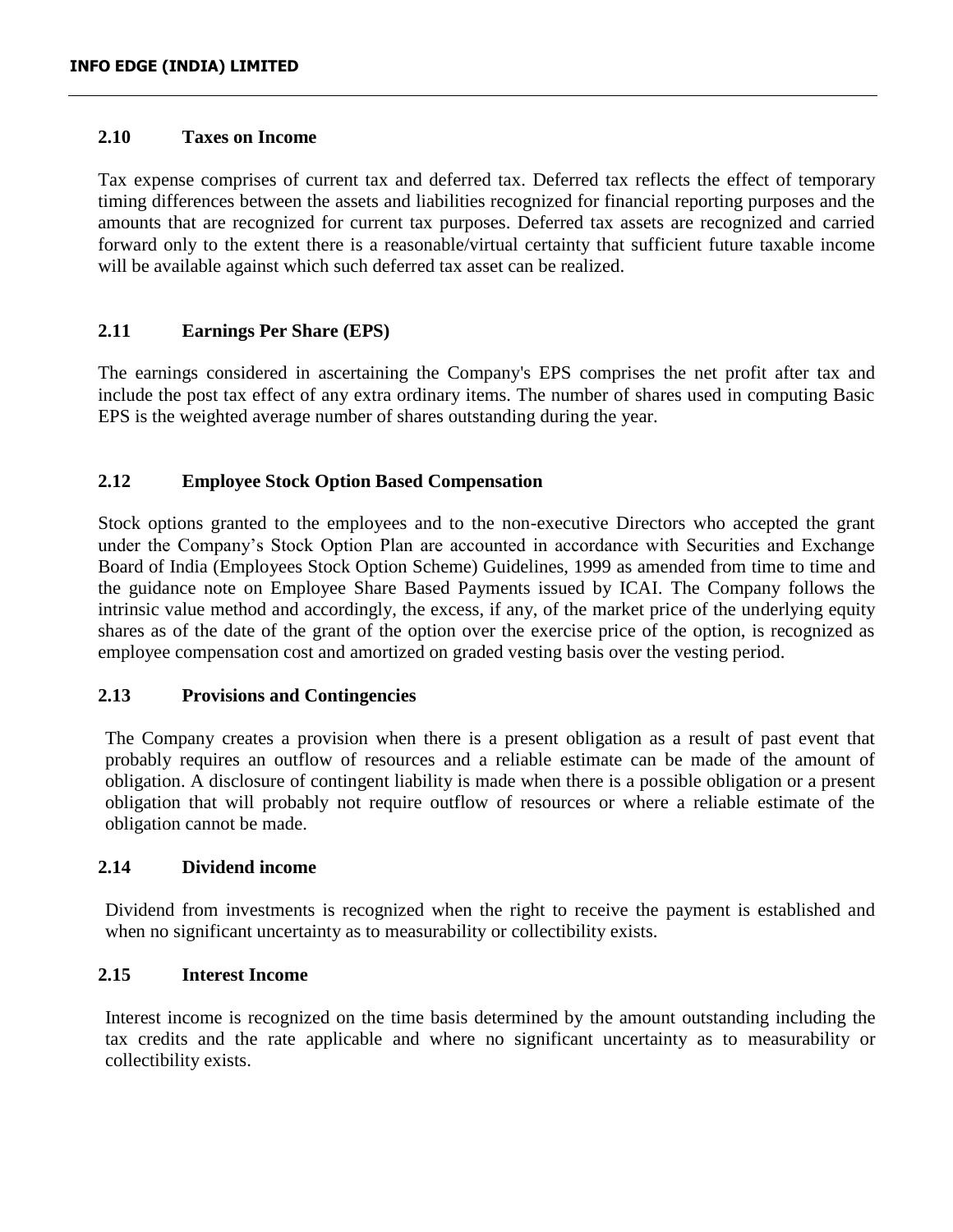## **2.10 Taxes on Income**

Tax expense comprises of current tax and deferred tax. Deferred tax reflects the effect of temporary timing differences between the assets and liabilities recognized for financial reporting purposes and the amounts that are recognized for current tax purposes. Deferred tax assets are recognized and carried forward only to the extent there is a reasonable/virtual certainty that sufficient future taxable income will be available against which such deferred tax asset can be realized.

## **2.11 Earnings Per Share (EPS)**

The earnings considered in ascertaining the Company's EPS comprises the net profit after tax and include the post tax effect of any extra ordinary items. The number of shares used in computing Basic EPS is the weighted average number of shares outstanding during the year.

## **2.12 Employee Stock Option Based Compensation**

Stock options granted to the employees and to the non-executive Directors who accepted the grant under the Company's Stock Option Plan are accounted in accordance with Securities and Exchange Board of India (Employees Stock Option Scheme) Guidelines, 1999 as amended from time to time and the guidance note on Employee Share Based Payments issued by ICAI. The Company follows the intrinsic value method and accordingly, the excess, if any, of the market price of the underlying equity shares as of the date of the grant of the option over the exercise price of the option, is recognized as employee compensation cost and amortized on graded vesting basis over the vesting period.

## **2.13 Provisions and Contingencies**

The Company creates a provision when there is a present obligation as a result of past event that probably requires an outflow of resources and a reliable estimate can be made of the amount of obligation. A disclosure of contingent liability is made when there is a possible obligation or a present obligation that will probably not require outflow of resources or where a reliable estimate of the obligation cannot be made.

## **2.14 Dividend income**

Dividend from investments is recognized when the right to receive the payment is established and when no significant uncertainty as to measurability or collectibility exists.

## **2.15 Interest Income**

Interest income is recognized on the time basis determined by the amount outstanding including the tax credits and the rate applicable and where no significant uncertainty as to measurability or collectibility exists.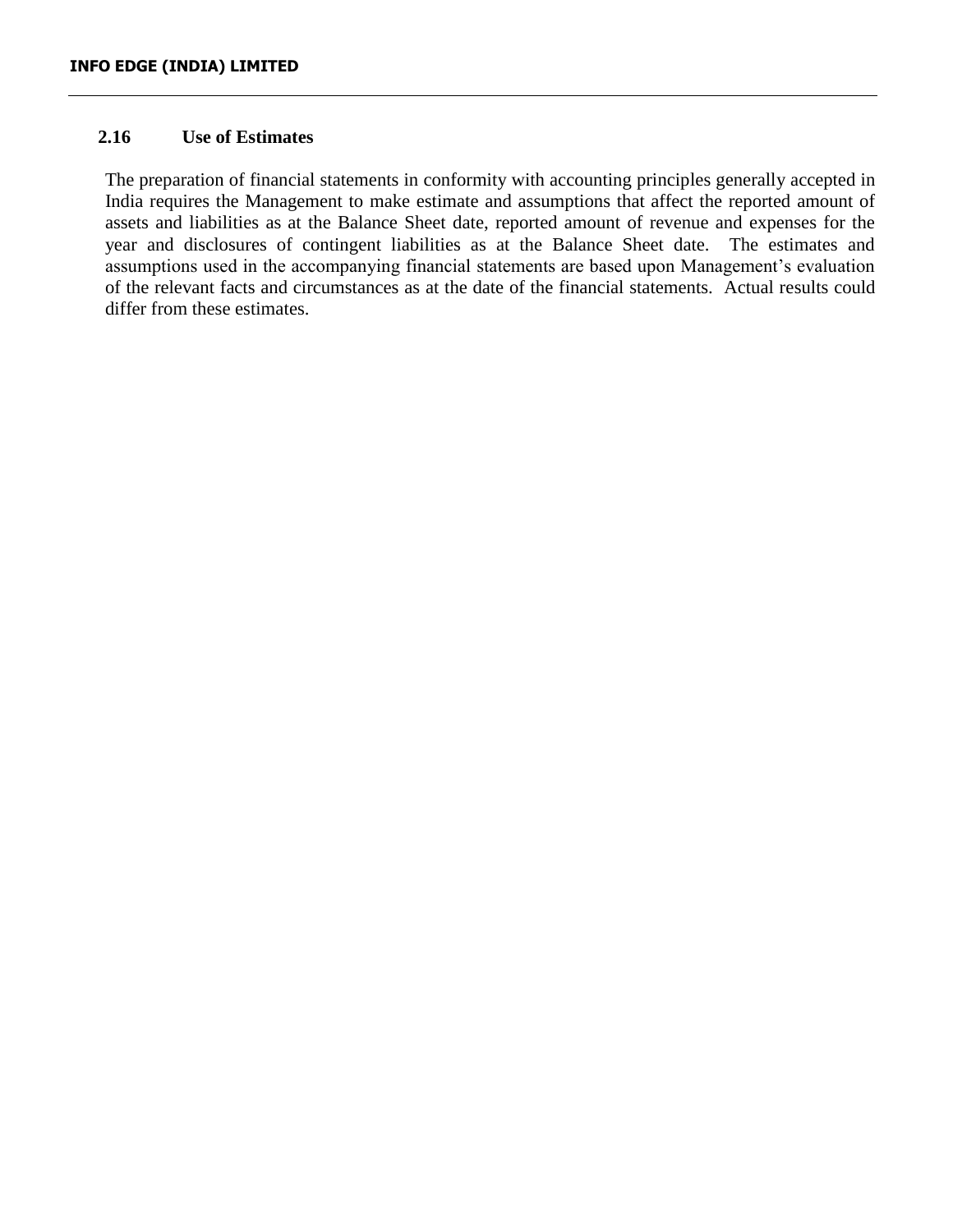## **2.16 Use of Estimates**

The preparation of financial statements in conformity with accounting principles generally accepted in India requires the Management to make estimate and assumptions that affect the reported amount of assets and liabilities as at the Balance Sheet date, reported amount of revenue and expenses for the year and disclosures of contingent liabilities as at the Balance Sheet date. The estimates and assumptions used in the accompanying financial statements are based upon Management's evaluation of the relevant facts and circumstances as at the date of the financial statements. Actual results could differ from these estimates.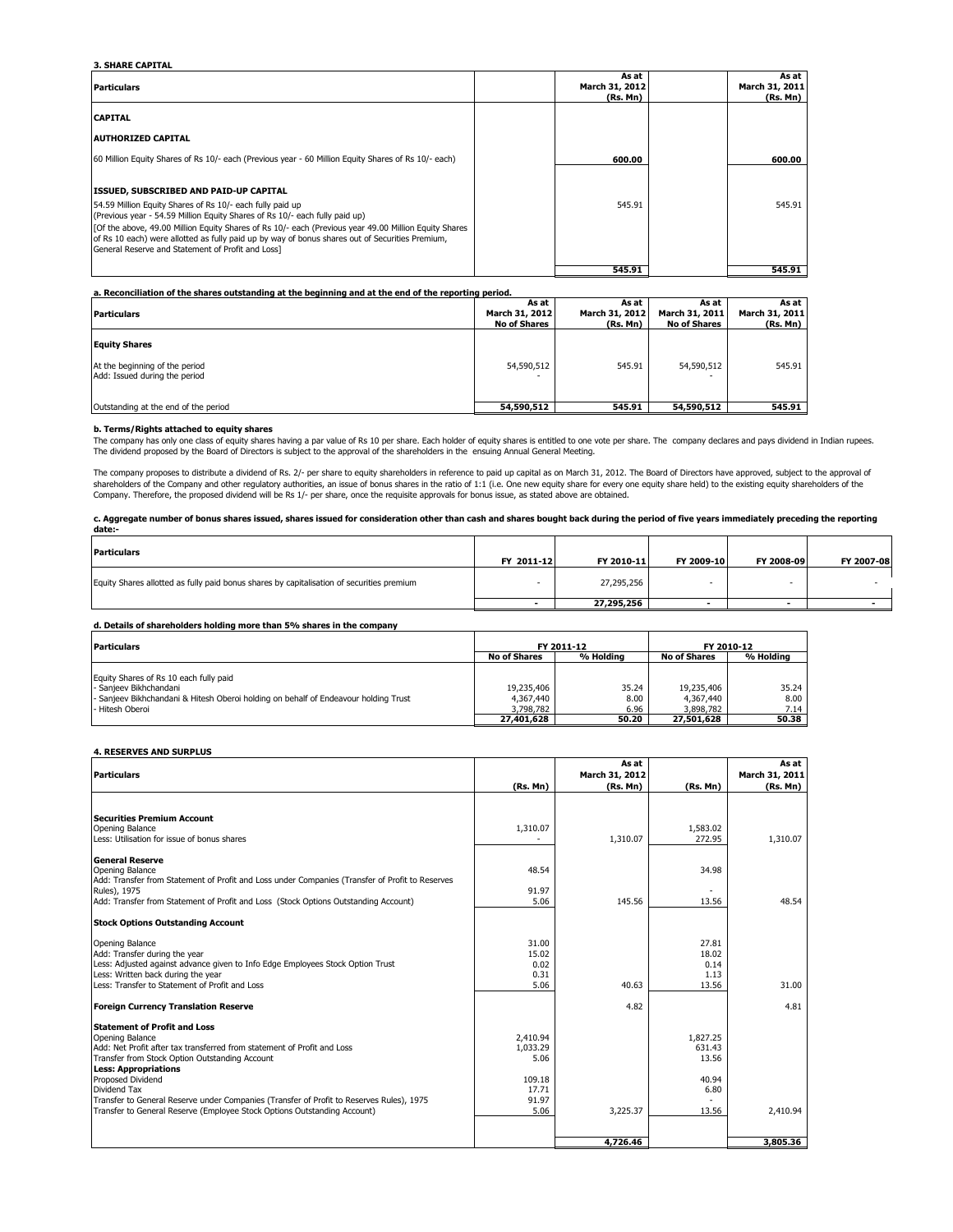#### **3. SHARE CAPITAL**

| <b>Particulars</b>                                                                                                                                                                                                                                                                                                                                                                                                                                         | As at<br>March 31, 2012<br>(Rs, Mn) | As at I<br>March 31, 2011<br>(Rs. Mn) |
|------------------------------------------------------------------------------------------------------------------------------------------------------------------------------------------------------------------------------------------------------------------------------------------------------------------------------------------------------------------------------------------------------------------------------------------------------------|-------------------------------------|---------------------------------------|
| <b>CAPITAL</b>                                                                                                                                                                                                                                                                                                                                                                                                                                             |                                     |                                       |
| <b>AUTHORIZED CAPITAL</b>                                                                                                                                                                                                                                                                                                                                                                                                                                  |                                     |                                       |
| 60 Million Equity Shares of Rs 10/- each (Previous year - 60 Million Equity Shares of Rs 10/- each)                                                                                                                                                                                                                                                                                                                                                        | 600.00                              | 600.00                                |
| <b>ISSUED, SUBSCRIBED AND PAID-UP CAPITAL</b><br>54.59 Million Equity Shares of Rs 10/- each fully paid up<br>(Previous year - 54.59 Million Equity Shares of Rs 10/- each fully paid up)<br>[Of the above, 49.00 Million Equity Shares of Rs 10/- each (Previous year 49.00 Million Equity Shares<br>of Rs 10 each) were allotted as fully paid up by way of bonus shares out of Securities Premium,<br>General Reserve and Statement of Profit and Loss1 | 545.91                              | 545.91                                |
|                                                                                                                                                                                                                                                                                                                                                                                                                                                            | 545.91                              | 545.91                                |

|                                                                 | As at               | As at          | As at               | As at          |
|-----------------------------------------------------------------|---------------------|----------------|---------------------|----------------|
| <b>Particulars</b>                                              | March 31, 2012      | March 31, 2012 | March 31, 2011      | March 31, 2011 |
|                                                                 | <b>No of Shares</b> | (Rs. Mn)       | <b>No of Shares</b> | (Rs. Mn)       |
| <b>Equity Shares</b>                                            |                     |                |                     |                |
| At the beginning of the period<br>Add: Issued during the period | 54,590,512          | 545.91         | 54,590,512          | 545.91         |
| Outstanding at the end of the period                            | 54,590,512          | 545.91         | 54,590,512          | 545.91         |

**b. Terms/Rights attached to equity shares**<br>The company has only one class of equity shares having a par value of Rs 10 per share. Each holder of equity shares is entitled to one vote per share. The company declares and pa The dividend proposed by the Board of Directors is subject to the approval of the shareholders in the ensuing Annual General Meeting.

The company proposes to distribute a dividend of Rs. 2/- per share to equity shareholders in reference to paid up capital as on March 31, 2012. The Board of Directors have approved, subject to the approval of shareholders of the Company and other regulatory authorities, an issue of bonus shares in the ratio of 1:1 (i.e. One new equity share for every one equity share held) to the existing equity shareholders of the<br>Company. The

**c. Aggregate number of bonus shares issued, shares issued for consideration other than cash and shares bought back during the period of five years immediately preceding the reporting date:-**

| <b>Particulars</b>                                                                        | FY 2011-12 | FY 2010-11 | FY 2009-10 | FY 2008-09               | FY 2007-08 |
|-------------------------------------------------------------------------------------------|------------|------------|------------|--------------------------|------------|
| Equity Shares allotted as fully paid bonus shares by capitalisation of securities premium |            | 27,295,256 |            | $\overline{\phantom{0}}$ |            |
|                                                                                           |            | 27,295,256 |            |                          |            |

#### **d. Details of shareholders holding more than 5% shares in the company**

| <b>Particulars</b>                                                                                                                                                       | FY 2011-12<br>% Holding<br><b>No of Shares</b> |                       | FY 2010-12                           |                       |
|--------------------------------------------------------------------------------------------------------------------------------------------------------------------------|------------------------------------------------|-----------------------|--------------------------------------|-----------------------|
|                                                                                                                                                                          |                                                |                       | <b>No of Shares</b>                  | % Holding             |
| Equity Shares of Rs 10 each fully paid<br>- Sanieev Bikhchandani<br>- Sanjeev Bikhchandani & Hitesh Oberoi holding on behalf of Endeavour holding Trust<br>Hitesh Oberoi | 19,235,406<br>4.367.440<br>3,798,782           | 35.24<br>8.00<br>6.96 | 19,235,406<br>4,367,440<br>3,898,782 | 35.24<br>8.00<br>7.14 |
|                                                                                                                                                                          | 27,401,628                                     | 50.20                 | 27,501,628                           | 50.38                 |

#### **4. RESERVES AND SURPLUS**

| <b>Particulars</b>                                                                                                                                                                                                                                  |                                        | As at<br>March 31, 2012 |                                         | As at<br>March 31, 2011 |
|-----------------------------------------------------------------------------------------------------------------------------------------------------------------------------------------------------------------------------------------------------|----------------------------------------|-------------------------|-----------------------------------------|-------------------------|
|                                                                                                                                                                                                                                                     | (Rs. Mn)                               | (Rs. Mn)                | (Rs. Mn)                                | (Rs. Mn)                |
| <b>Securities Premium Account</b><br>Opening Balance<br>Less: Utilisation for issue of bonus shares                                                                                                                                                 | 1,310.07                               | 1,310.07                | 1,583.02<br>272.95                      | 1.310.07                |
| <b>General Reserve</b><br>Opening Balance<br>Add: Transfer from Statement of Profit and Loss under Companies (Transfer of Profit to Reserves<br>Rules), 1975<br>Add: Transfer from Statement of Profit and Loss (Stock Options Outstanding Account) | 48.54<br>91.97<br>5.06                 | 145.56                  | 34.98<br>13.56                          | 48.54                   |
| <b>Stock Options Outstanding Account</b>                                                                                                                                                                                                            |                                        |                         |                                         |                         |
| Opening Balance<br>Add: Transfer during the year<br>Less: Adjusted against advance given to Info Edge Employees Stock Option Trust<br>Less: Written back during the year<br>Less: Transfer to Statement of Profit and Loss                          | 31.00<br>15.02<br>0.02<br>0.31<br>5.06 | 40.63                   | 27.81<br>18.02<br>0.14<br>1.13<br>13.56 | 31.00                   |
| <b>Foreign Currency Translation Reserve</b>                                                                                                                                                                                                         |                                        | 4.82                    |                                         | 4.81                    |
| <b>Statement of Profit and Loss</b><br>Opening Balance<br>Add: Net Profit after tax transferred from statement of Profit and Loss<br>Transfer from Stock Option Outstanding Account<br><b>Less: Appropriations</b><br>Proposed Dividend             | 2,410.94<br>1.033.29<br>5.06<br>109.18 |                         | 1,827.25<br>631.43<br>13.56<br>40.94    |                         |
| Dividend Tax<br>Transfer to General Reserve under Companies (Transfer of Profit to Reserves Rules), 1975<br>Transfer to General Reserve (Employee Stock Options Outstanding Account)                                                                | 17.71<br>91.97<br>5.06                 | 3,225.37                | 6.80<br>13.56                           | 2.410.94                |
|                                                                                                                                                                                                                                                     |                                        | 4,726.46                |                                         | 3,805.36                |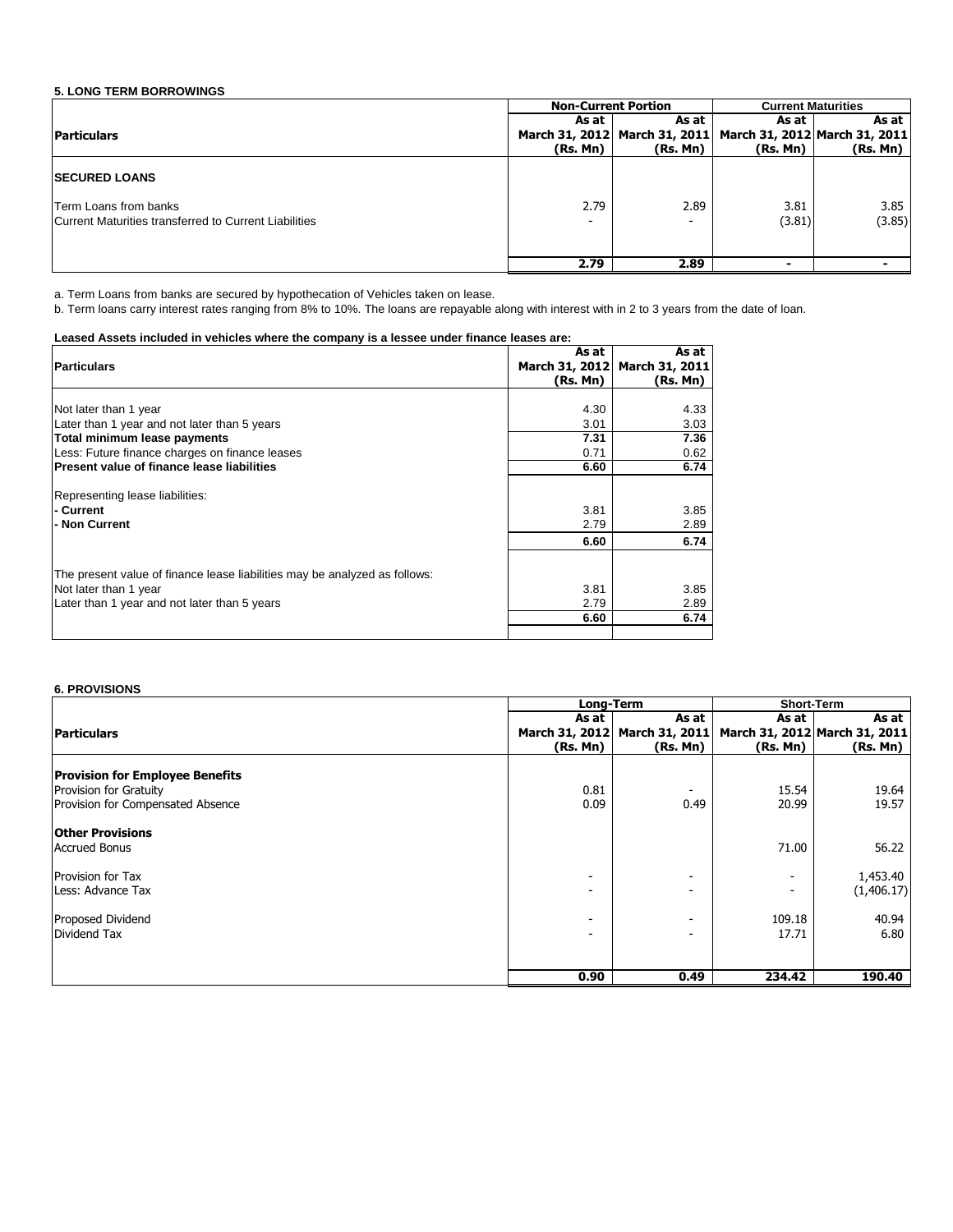### **5. LONG TERM BORROWINGS**

|                                                                                | <b>Non-Current Portion</b> |                               | <b>Current Maturities</b>     |                |
|--------------------------------------------------------------------------------|----------------------------|-------------------------------|-------------------------------|----------------|
|                                                                                | As at                      | As at                         | As at                         | As at          |
| <b>Particulars</b>                                                             |                            | March 31, 2012 March 31, 2011 | March 31, 2012 March 31, 2011 |                |
|                                                                                | (Rs. Mn)                   | (Rs. Mn)                      | (Rs. Mn)                      | (Rs. Mn)       |
| <b>ISECURED LOANS</b>                                                          |                            |                               |                               |                |
| Term Loans from banks<br>Current Maturities transferred to Current Liabilities | 2.79                       | 2.89                          | 3.81<br>(3.81)                | 3.85<br>(3.85) |
|                                                                                | 2.79                       | 2.89                          |                               |                |

a. Term Loans from banks are secured by hypothecation of Vehicles taken on lease.

b. Term loans carry interest rates ranging from 8% to 10%. The loans are repayable along with interest with in 2 to 3 years from the date of loan.

#### **Leased Assets included in vehicles where the company is a lessee under finance leases are:**

|                                                                            | As at    | As at                         |
|----------------------------------------------------------------------------|----------|-------------------------------|
| <b>Particulars</b>                                                         |          | March 31, 2012 March 31, 2011 |
|                                                                            | (Rs. Mn) | (Rs, Mn)                      |
|                                                                            |          |                               |
| Not later than 1 year                                                      | 4.30     | 4.33                          |
| Later than 1 year and not later than 5 years                               | 3.01     | 3.03                          |
| Total minimum lease payments                                               | 7.31     | 7.36                          |
| Less: Future finance charges on finance leases                             | 0.71     | 0.62                          |
| Present value of finance lease liabilities                                 | 6.60     | 6.74                          |
|                                                                            |          |                               |
| Representing lease liabilities:                                            |          |                               |
| - Current                                                                  | 3.81     | 3.85                          |
| - Non Current                                                              | 2.79     | 2.89                          |
|                                                                            | 6.60     | 6.74                          |
| The present value of finance lease liabilities may be analyzed as follows: |          |                               |
| Not later than 1 year                                                      | 3.81     | 3.85                          |
| Later than 1 year and not later than 5 years                               | 2.79     | 2.89                          |
|                                                                            | 6.60     | 6.74                          |
|                                                                            |          |                               |

#### **6. PROVISIONS**

|                                                                                                              |                                                      | Long-Term                                            | <b>Short-Term</b>                                    |                                        |
|--------------------------------------------------------------------------------------------------------------|------------------------------------------------------|------------------------------------------------------|------------------------------------------------------|----------------------------------------|
| <b>Particulars</b>                                                                                           | As at                                                | As at<br>March 31, 2012 March 31, 2011               | As at                                                | As at<br>March 31, 2012 March 31, 2011 |
|                                                                                                              | (Rs. Mn)                                             | (Rs. Mn)                                             | (Rs. Mn)                                             | (Rs. Mn)                               |
| <b>Provision for Employee Benefits</b><br><b>Provision for Gratuity</b><br>Provision for Compensated Absence | 0.81<br>0.09                                         | 0.49                                                 | 15.54<br>20.99                                       | 19.64<br>19.57                         |
| <b>Other Provisions</b><br><b>Accrued Bonus</b>                                                              |                                                      |                                                      | 71.00                                                | 56.22                                  |
| <b>Provision for Tax</b><br>Less: Advance Tax                                                                | $\overline{\phantom{a}}$<br>$\overline{\phantom{a}}$ | $\overline{\phantom{a}}$<br>$\overline{\phantom{a}}$ | $\overline{\phantom{a}}$<br>$\overline{\phantom{a}}$ | 1,453.40<br>(1,406.17)                 |
| Proposed Dividend<br>Dividend Tax                                                                            | $\overline{\phantom{0}}$<br>$\overline{\phantom{0}}$ | $\overline{\phantom{0}}$<br>$\overline{\phantom{a}}$ | 109.18<br>17.71                                      | 40.94<br>6.80                          |
|                                                                                                              | 0.90                                                 | 0.49                                                 | 234.42                                               | 190.40                                 |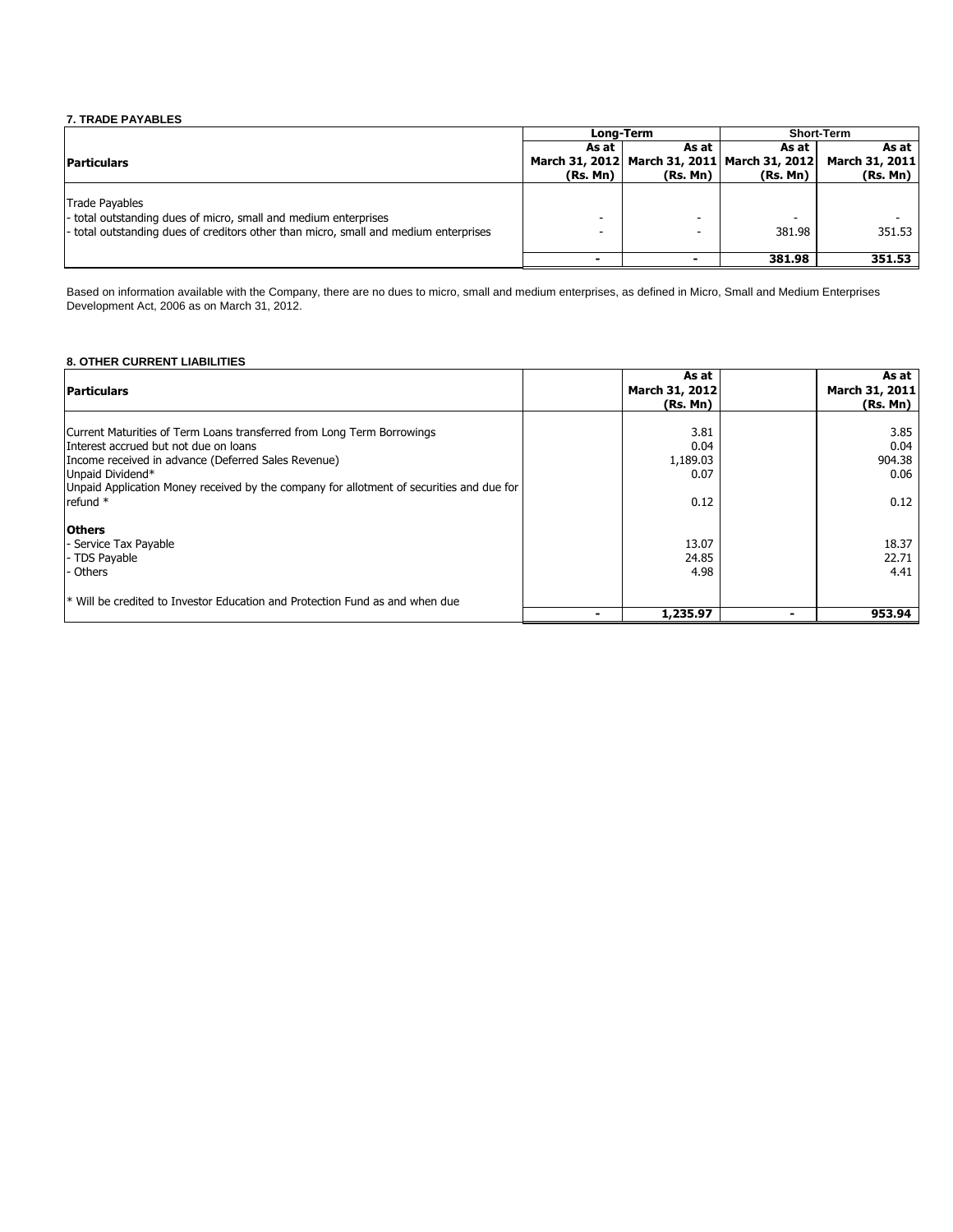## **7. TRADE PAYABLES**

|                                                                                                                                                                                  |          | <b>Long-Term</b>                             | <b>Short-Term</b> |                |
|----------------------------------------------------------------------------------------------------------------------------------------------------------------------------------|----------|----------------------------------------------|-------------------|----------------|
|                                                                                                                                                                                  | As at    | As at                                        | As at             | As at I        |
| <b>Particulars</b>                                                                                                                                                               |          | March 31, 2012 March 31, 2011 March 31, 2012 |                   | March 31, 2011 |
|                                                                                                                                                                                  | (Rs, Mn) | (Rs. Mn)                                     | (Rs, Mn)          | (Rs. Mn)       |
| <b>Trade Pavables</b><br>- total outstanding dues of micro, small and medium enterprises<br>- total outstanding dues of creditors other than micro, small and medium enterprises |          | -<br>-                                       | 381.98            | 351.53         |
|                                                                                                                                                                                  | ۰        |                                              | 381.98            | 351.53         |

Based on information available with the Company, there are no dues to micro, small and medium enterprises, as defined in Micro, Small and Medium Enterprises Development Act, 2006 as on March 31, 2012.

## **8. OTHER CURRENT LIABILITIES**

| <b>Particulars</b>                                                                                                                                                                                                                                                                                 | As at<br>March 31, 2012<br>(Rs. Mn)      | As at<br>March 31, 2011<br>(Rs. Mn)    |
|----------------------------------------------------------------------------------------------------------------------------------------------------------------------------------------------------------------------------------------------------------------------------------------------------|------------------------------------------|----------------------------------------|
| Current Maturities of Term Loans transferred from Long Term Borrowings<br>Interest accrued but not due on loans<br>Income received in advance (Deferred Sales Revenue)<br>Unpaid Dividend*<br>Unpaid Application Money received by the company for allotment of securities and due for<br>refund * | 3.81<br>0.04<br>1,189.03<br>0.07<br>0.12 | 3.85<br>0.04<br>904.38<br>0.06<br>0.12 |
| <b>Others</b><br>- Service Tax Payable<br>- TDS Payable<br>- Others<br>$*$ Will be credited to Investor Education and Protection Fund as and when due                                                                                                                                              | 13.07<br>24.85<br>4.98                   | 18.37<br>22.71<br>4.41                 |
|                                                                                                                                                                                                                                                                                                    | 1,235.97                                 | 953.94                                 |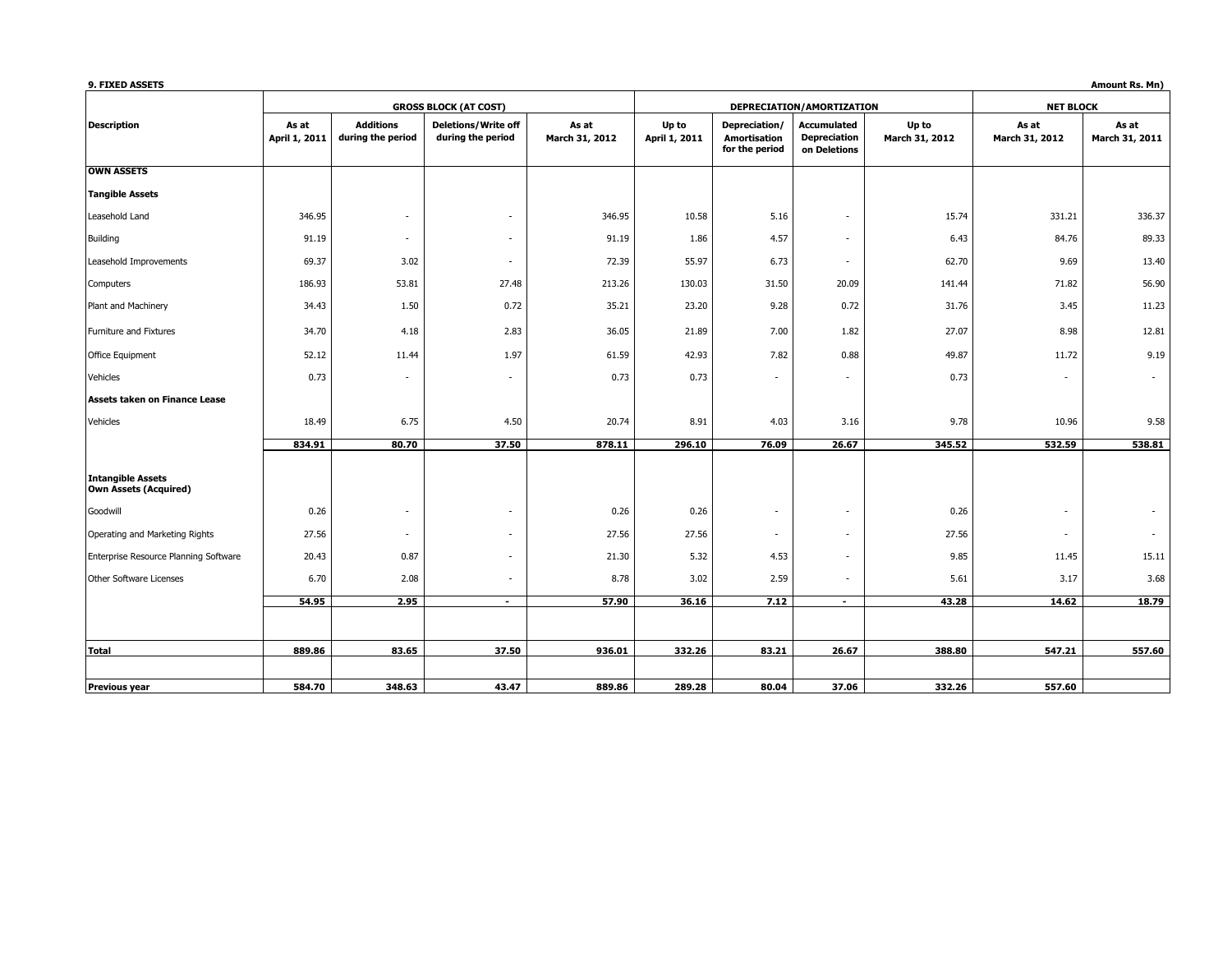| 9. FIXED ASSETS                                          |                        |                                       |                                                 |                         |                        |                                                        |                                                           |                         |                         | Amount Rs. Mn)          |
|----------------------------------------------------------|------------------------|---------------------------------------|-------------------------------------------------|-------------------------|------------------------|--------------------------------------------------------|-----------------------------------------------------------|-------------------------|-------------------------|-------------------------|
|                                                          |                        |                                       | <b>GROSS BLOCK (AT COST)</b>                    |                         |                        |                                                        | DEPRECIATION/AMORTIZATION                                 |                         | <b>NET BLOCK</b>        |                         |
| <b>Description</b>                                       | As at<br>April 1, 2011 | <b>Additions</b><br>during the period | <b>Deletions/Write off</b><br>during the period | As at<br>March 31, 2012 | Up to<br>April 1, 2011 | Depreciation/<br><b>Amortisation</b><br>for the period | <b>Accumulated</b><br><b>Depreciation</b><br>on Deletions | Up to<br>March 31, 2012 | As at<br>March 31, 2012 | As at<br>March 31, 2011 |
| <b>OWN ASSETS</b>                                        |                        |                                       |                                                 |                         |                        |                                                        |                                                           |                         |                         |                         |
| <b>Tangible Assets</b>                                   |                        |                                       |                                                 |                         |                        |                                                        |                                                           |                         |                         |                         |
| Leasehold Land                                           | 346.95                 | $\overline{\phantom{a}}$              | $\overline{\phantom{a}}$                        | 346.95                  | 10.58                  | 5.16                                                   | $\overline{\phantom{a}}$                                  | 15.74                   | 331.21                  | 336.37                  |
| Building                                                 | 91.19                  | $\sim$                                | $\sim$                                          | 91.19                   | 1.86                   | 4.57                                                   | $\sim$                                                    | 6.43                    | 84.76                   | 89.33                   |
| Leasehold Improvements                                   | 69.37                  | 3.02                                  | $\overline{\phantom{a}}$                        | 72.39                   | 55.97                  | 6.73                                                   | $\sim$                                                    | 62.70                   | 9.69                    | 13.40                   |
| Computers                                                | 186.93                 | 53.81                                 | 27.48                                           | 213.26                  | 130.03                 | 31.50                                                  | 20.09                                                     | 141.44                  | 71.82                   | 56.90                   |
| Plant and Machinery                                      | 34.43                  | 1.50                                  | 0.72                                            | 35.21                   | 23.20                  | 9.28                                                   | 0.72                                                      | 31.76                   | 3.45                    | 11.23                   |
| Furniture and Fixtures                                   | 34.70                  | 4.18                                  | 2.83                                            | 36.05                   | 21.89                  | 7.00                                                   | 1.82                                                      | 27.07                   | 8.98                    | 12.81                   |
| Office Equipment                                         | 52.12                  | 11.44                                 | 1.97                                            | 61.59                   | 42.93                  | 7.82                                                   | 0.88                                                      | 49.87                   | 11.72                   | 9.19                    |
| Vehicles                                                 | 0.73                   | $\overline{\phantom{a}}$              | $\sim$                                          | 0.73                    | 0.73                   |                                                        | $\sim$                                                    | 0.73                    | $\sim$                  |                         |
| Assets taken on Finance Lease                            |                        |                                       |                                                 |                         |                        |                                                        |                                                           |                         |                         |                         |
| Vehicles                                                 | 18.49                  | 6.75                                  | 4.50                                            | 20.74                   | 8.91                   | 4.03                                                   | 3.16                                                      | 9.78                    | 10.96                   | 9.58                    |
|                                                          | 834.91                 | 80.70                                 | 37.50                                           | 878.11                  | 296.10                 | 76.09                                                  | 26.67                                                     | 345.52                  | 532.59                  | 538.81                  |
| <b>Intangible Assets</b><br><b>Own Assets (Acquired)</b> |                        |                                       |                                                 |                         |                        |                                                        |                                                           |                         |                         |                         |
| Goodwill                                                 | 0.26                   | $\overline{\phantom{a}}$              | $\overline{\phantom{a}}$                        | 0.26                    | 0.26                   | ٠                                                      | $\sim$                                                    | 0.26                    | $\sim$                  |                         |
| Operating and Marketing Rights                           | 27.56                  | $\sim$                                | $\overline{\phantom{a}}$                        | 27.56                   | 27.56                  | ٠                                                      | $\sim$                                                    | 27.56                   | $\sim$                  | $\sim$                  |
| Enterprise Resource Planning Software                    | 20.43                  | 0.87                                  | $\overline{\phantom{a}}$                        | 21.30                   | 5.32                   | 4.53                                                   | $\sim$                                                    | 9.85                    | 11.45                   | 15.11                   |
| Other Software Licenses                                  | 6.70                   | 2.08                                  | $\overline{\phantom{a}}$                        | 8.78                    | 3.02                   | 2.59                                                   | $\overline{\phantom{a}}$                                  | 5.61                    | 3.17                    | 3.68                    |
|                                                          | 54.95                  | 2.95                                  | $\sim$                                          | 57.90                   | 36.16                  | 7.12                                                   | $\sim$                                                    | 43.28                   | 14.62                   | 18.79                   |
|                                                          |                        |                                       |                                                 |                         |                        |                                                        |                                                           |                         |                         |                         |
| Total                                                    | 889.86                 | 83.65                                 | 37.50                                           | 936.01                  | 332.26                 | 83.21                                                  | 26.67                                                     | 388.80                  | 547.21                  | 557.60                  |
| <b>Previous year</b>                                     | 584.70                 | 348.63                                | 43.47                                           | 889.86                  | 289.28                 | 80.04                                                  | 37.06                                                     | 332.26                  | 557.60                  |                         |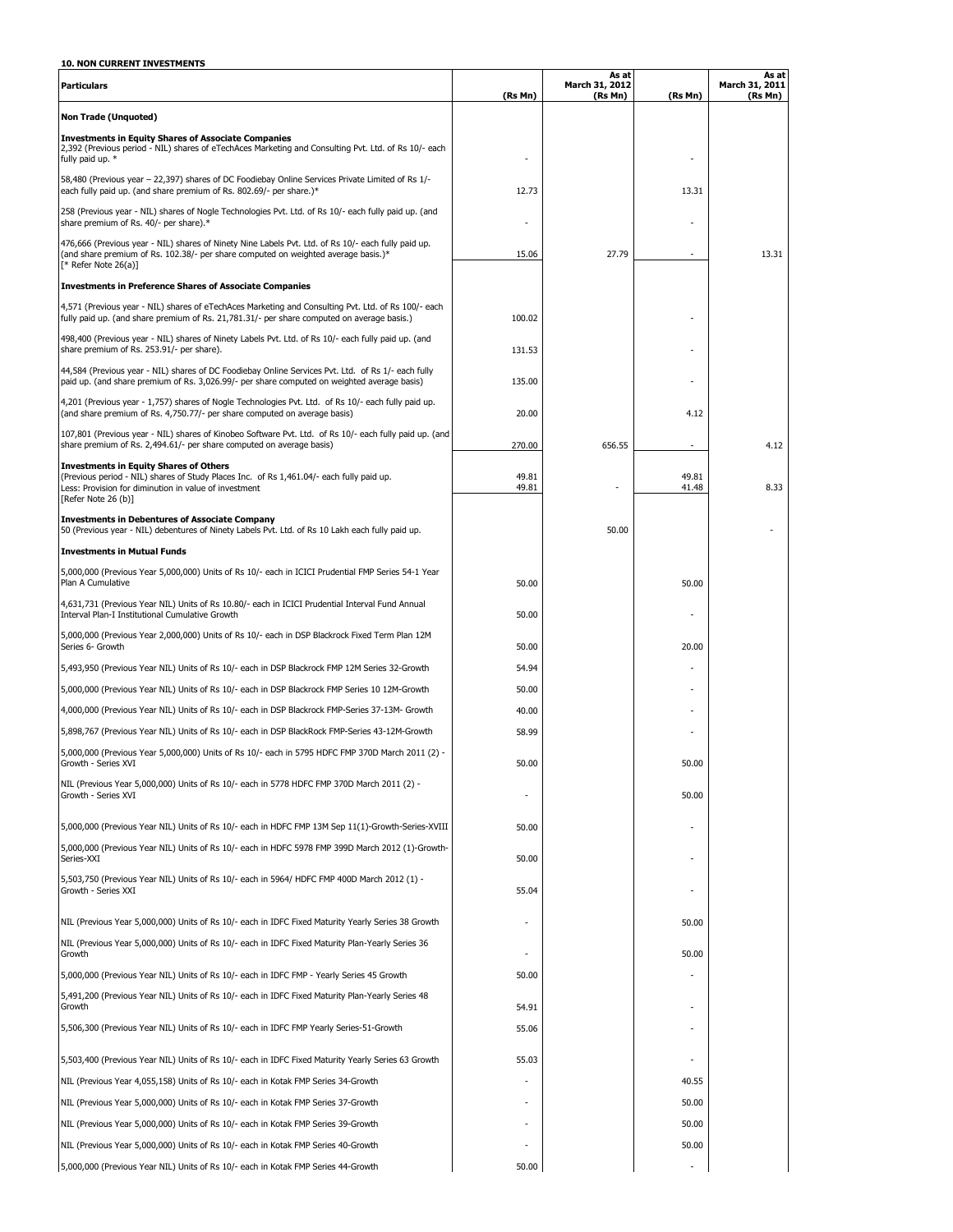## **10. NON CURRENT INVESTMENTS**

| <b>Particulars</b>                                                                                                                                                                                                        | (Rs Mn)        | As at<br>March 31, 2012<br>(Rs Mn) | (Rs Mn)        | As at<br>March 31, 2011<br>(Rs Mn) |
|---------------------------------------------------------------------------------------------------------------------------------------------------------------------------------------------------------------------------|----------------|------------------------------------|----------------|------------------------------------|
| <b>Non Trade (Unquoted)</b>                                                                                                                                                                                               |                |                                    |                |                                    |
| <b>Investments in Equity Shares of Associate Companies</b><br>2,392 (Previous period - NIL) shares of eTechAces Marketing and Consulting Pvt. Ltd. of Rs 10/- each<br>fully paid up. *                                    |                |                                    |                |                                    |
| 58,480 (Previous year - 22,397) shares of DC Foodiebay Online Services Private Limited of Rs 1/-<br>each fully paid up. (and share premium of Rs. 802.69/- per share.)*                                                   | 12.73          |                                    | 13.31          |                                    |
| 258 (Previous year - NIL) shares of Nogle Technologies Pvt. Ltd. of Rs 10/- each fully paid up. (and<br>share premium of Rs. 40/- per share).*                                                                            |                |                                    |                |                                    |
| 476,666 (Previous year - NIL) shares of Ninety Nine Labels Pvt. Ltd. of Rs 10/- each fully paid up.<br>(and share premium of Rs. 102.38/- per share computed on weighted average basis.)*<br>$[*$ Refer Note 26(a)]       | 15.06          | 27.79                              |                | 13.31                              |
| <b>Investments in Preference Shares of Associate Companies</b>                                                                                                                                                            |                |                                    |                |                                    |
| 4,571 (Previous year - NIL) shares of eTechAces Marketing and Consulting Pvt. Ltd. of Rs 100/- each<br>fully paid up. (and share premium of Rs. 21,781.31/- per share computed on average basis.)                         | 100.02         |                                    |                |                                    |
| 498,400 (Previous year - NIL) shares of Ninety Labels Pvt. Ltd. of Rs 10/- each fully paid up. (and<br>share premium of Rs. 253.91/- per share).                                                                          | 131.53         |                                    |                |                                    |
| 44,584 (Previous year - NIL) shares of DC Foodiebay Online Services Pvt. Ltd. of Rs 1/- each fully<br>paid up. (and share premium of Rs. 3,026.99/- per share computed on weighted average basis)                         | 135.00         |                                    |                |                                    |
| 4,201 (Previous year - 1,757) shares of Nogle Technologies Pvt. Ltd. of Rs 10/- each fully paid up.<br>(and share premium of Rs. 4,750.77/- per share computed on average basis)                                          | 20.00          |                                    | 4.12           |                                    |
| 107,801 (Previous year - NIL) shares of Kinobeo Software Pvt. Ltd. of Rs 10/- each fully paid up. (and<br>share premium of Rs. 2,494.61/- per share computed on average basis)                                            | 270.00         | 656.55                             |                | 4.12                               |
| <b>Investments in Equity Shares of Others</b><br>(Previous period - NIL) shares of Study Places Inc. of Rs 1,461.04/- each fully paid up.<br>Less: Provision for diminution in value of investment<br>[Refer Note 26 (b)] | 49.81<br>49.81 |                                    | 49.81<br>41.48 | 8.33                               |
| <b>Investments in Debentures of Associate Company</b><br>50 (Previous year - NIL) debentures of Ninety Labels Pvt. Ltd. of Rs 10 Lakh each fully paid up.                                                                 |                | 50.00                              |                |                                    |
| <b>Investments in Mutual Funds</b>                                                                                                                                                                                        |                |                                    |                |                                    |
| 5,000,000 (Previous Year 5,000,000) Units of Rs 10/- each in ICICI Prudential FMP Series 54-1 Year<br>Plan A Cumulative                                                                                                   | 50.00          |                                    | 50.00          |                                    |
| 4,631,731 (Previous Year NIL) Units of Rs 10.80/- each in ICICI Prudential Interval Fund Annual<br>Interval Plan-I Institutional Cumulative Growth                                                                        | 50.00          |                                    |                |                                    |
| 5,000,000 (Previous Year 2,000,000) Units of Rs 10/- each in DSP Blackrock Fixed Term Plan 12M<br>Series 6- Growth                                                                                                        | 50.00          |                                    | 20.00          |                                    |
| 5,493,950 (Previous Year NIL) Units of Rs 10/- each in DSP Blackrock FMP 12M Series 32-Growth                                                                                                                             | 54.94          |                                    |                |                                    |
| 5,000,000 (Previous Year NIL) Units of Rs 10/- each in DSP Blackrock FMP Series 10 12M-Growth                                                                                                                             | 50.00          |                                    |                |                                    |
| 4,000,000 (Previous Year NIL) Units of Rs 10/- each in DSP Blackrock FMP-Series 37-13M- Growth                                                                                                                            | 40.00          |                                    |                |                                    |
| 5,898,767 (Previous Year NIL) Units of Rs 10/- each in DSP BlackRock FMP-Series 43-12M-Growth                                                                                                                             | 58.99          |                                    |                |                                    |
| 5,000,000 (Previous Year 5,000,000) Units of Rs 10/- each in 5795 HDFC FMP 370D March 2011 (2) -<br>Growth - Series XVI                                                                                                   | 50.00          |                                    | 50.00          |                                    |
| NIL (Previous Year 5,000,000) Units of Rs 10/- each in 5778 HDFC FMP 370D March 2011 (2) -<br>Growth - Series XVI                                                                                                         |                |                                    | 50.00          |                                    |
| 5,000,000 (Previous Year NIL) Units of Rs 10/- each in HDFC FMP 13M Sep 11(1)-Growth-Series-XVIII                                                                                                                         | 50.00          |                                    |                |                                    |
| 5,000,000 (Previous Year NIL) Units of Rs 10/- each in HDFC 5978 FMP 399D March 2012 (1)-Growth-<br>Series-XXI                                                                                                            | 50.00          |                                    |                |                                    |
| 5,503,750 (Previous Year NIL) Units of Rs 10/- each in 5964/ HDFC FMP 400D March 2012 (1) -<br>Growth - Series XXI                                                                                                        | 55.04          |                                    |                |                                    |
| NIL (Previous Year 5,000,000) Units of Rs 10/- each in IDFC Fixed Maturity Yearly Series 38 Growth                                                                                                                        |                |                                    | 50.00          |                                    |
| NIL (Previous Year 5,000,000) Units of Rs 10/- each in IDFC Fixed Maturity Plan-Yearly Series 36<br>Growth                                                                                                                |                |                                    | 50.00          |                                    |
| 5,000,000 (Previous Year NIL) Units of Rs 10/- each in IDFC FMP - Yearly Series 45 Growth                                                                                                                                 | 50.00          |                                    |                |                                    |
| 5,491,200 (Previous Year NIL) Units of Rs 10/- each in IDFC Fixed Maturity Plan-Yearly Series 48                                                                                                                          |                |                                    |                |                                    |
| Growth<br>5,506,300 (Previous Year NIL) Units of Rs 10/- each in IDFC FMP Yearly Series-51-Growth                                                                                                                         | 54.91<br>55.06 |                                    |                |                                    |
| 5,503,400 (Previous Year NIL) Units of Rs 10/- each in IDFC Fixed Maturity Yearly Series 63 Growth                                                                                                                        | 55.03          |                                    |                |                                    |
| NIL (Previous Year 4,055,158) Units of Rs 10/- each in Kotak FMP Series 34-Growth                                                                                                                                         |                |                                    | 40.55          |                                    |
| NIL (Previous Year 5,000,000) Units of Rs 10/- each in Kotak FMP Series 37-Growth                                                                                                                                         |                |                                    | 50.00          |                                    |
| NIL (Previous Year 5,000,000) Units of Rs 10/- each in Kotak FMP Series 39-Growth                                                                                                                                         |                |                                    | 50.00          |                                    |
| NIL (Previous Year 5,000,000) Units of Rs 10/- each in Kotak FMP Series 40-Growth                                                                                                                                         |                |                                    | 50.00          |                                    |
| 5,000,000 (Previous Year NIL) Units of Rs 10/- each in Kotak FMP Series 44-Growth                                                                                                                                         | 50.00          |                                    |                |                                    |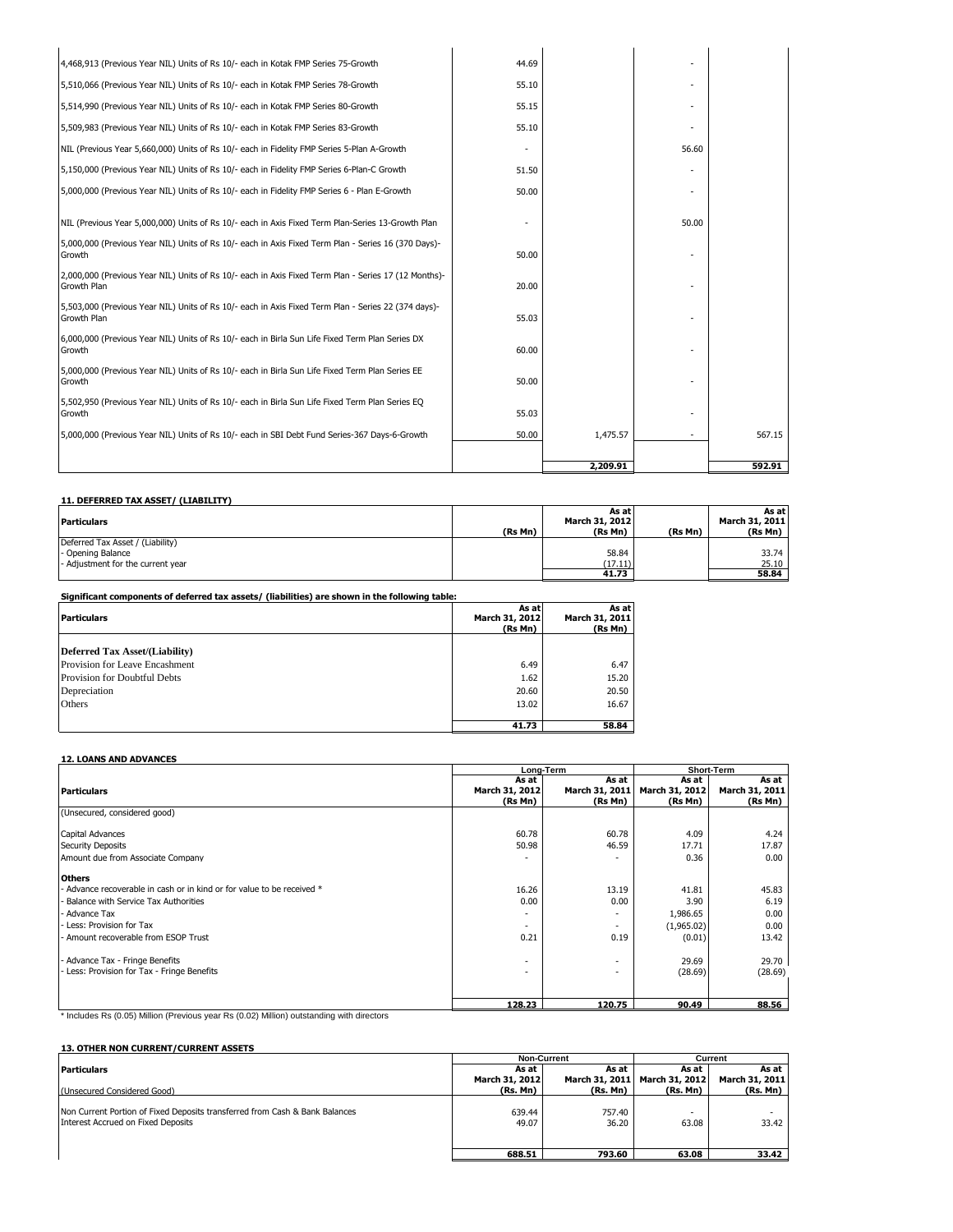| 6,000,000 (Previous Year NIL) Units of Rs 10/- each in Birla Sun Life Fixed Term Plan Series DX<br>Growth<br>5,000,000 (Previous Year NIL) Units of Rs 10/- each in Birla Sun Life Fixed Term Plan Series EE<br>Growth<br>5,502,950 (Previous Year NIL) Units of Rs 10/- each in Birla Sun Life Fixed Term Plan Series EQ<br>Growth<br>5,000,000 (Previous Year NIL) Units of Rs 10/- each in SBI Debt Fund Series-367 Days-6-Growth | 50.00<br>55.03<br>50.00 | 1,475.57 |       | 567.15 |
|--------------------------------------------------------------------------------------------------------------------------------------------------------------------------------------------------------------------------------------------------------------------------------------------------------------------------------------------------------------------------------------------------------------------------------------|-------------------------|----------|-------|--------|
|                                                                                                                                                                                                                                                                                                                                                                                                                                      |                         |          |       |        |
|                                                                                                                                                                                                                                                                                                                                                                                                                                      |                         |          |       |        |
|                                                                                                                                                                                                                                                                                                                                                                                                                                      |                         |          |       |        |
|                                                                                                                                                                                                                                                                                                                                                                                                                                      | 60.00                   |          |       |        |
| 5,503,000 (Previous Year NIL) Units of Rs 10/- each in Axis Fixed Term Plan - Series 22 (374 days)-<br>Growth Plan                                                                                                                                                                                                                                                                                                                   | 55.03                   |          |       |        |
| 2,000,000 (Previous Year NIL) Units of Rs 10/- each in Axis Fixed Term Plan - Series 17 (12 Months)-<br>Growth Plan                                                                                                                                                                                                                                                                                                                  | 20.00                   |          |       |        |
| 5,000,000 (Previous Year NIL) Units of Rs 10/- each in Axis Fixed Term Plan - Series 16 (370 Days)-<br>Growth                                                                                                                                                                                                                                                                                                                        | 50.00                   |          |       |        |
| NIL (Previous Year 5,000,000) Units of Rs 10/- each in Axis Fixed Term Plan-Series 13-Growth Plan                                                                                                                                                                                                                                                                                                                                    |                         |          | 50.00 |        |
| 5,000,000 (Previous Year NIL) Units of Rs 10/- each in Fidelity FMP Series 6 - Plan E-Growth                                                                                                                                                                                                                                                                                                                                         | 50.00                   |          |       |        |
| 5,150,000 (Previous Year NIL) Units of Rs 10/- each in Fidelity FMP Series 6-Plan-C Growth                                                                                                                                                                                                                                                                                                                                           | 51.50                   |          |       |        |
| NIL (Previous Year 5,660,000) Units of Rs 10/- each in Fidelity FMP Series 5-Plan A-Growth                                                                                                                                                                                                                                                                                                                                           |                         |          | 56.60 |        |
| 5,509,983 (Previous Year NIL) Units of Rs 10/- each in Kotak FMP Series 83-Growth                                                                                                                                                                                                                                                                                                                                                    | 55.10                   |          |       |        |
| 5,514,990 (Previous Year NIL) Units of Rs 10/- each in Kotak FMP Series 80-Growth                                                                                                                                                                                                                                                                                                                                                    | 55.15                   |          |       |        |
| 5,510,066 (Previous Year NIL) Units of Rs 10/- each in Kotak FMP Series 78-Growth                                                                                                                                                                                                                                                                                                                                                    | 55.10                   |          |       |        |
| 4,468,913 (Previous Year NIL) Units of Rs 10/- each in Kotak FMP Series 75-Growth                                                                                                                                                                                                                                                                                                                                                    | 44.69                   |          |       |        |

#### **11. DEFERRED TAX ASSET/ (LIABILITY) As at As at Particulars March 31, 2012 March 31, 2011 (Rs Mn) (Rs Mn) (Rs Mn) (Rs Mn)** Deferred Tax Asset / (Liability) - Opening Balance 58.84 33.74<br>- Adjustment for the current year (17.11) 25.10 **58.84 17.11 17.11 17.11 17.11 17.11 17.11 17.11 18.84**

**Significant components of deferred tax assets/ (liabilities) are shown in the following table:**

| <b>Particulars</b>             | As at<br>March 31, 2012<br>(Rs Mn) | As at<br>March 31, 2011<br>(Rs Mn) |
|--------------------------------|------------------------------------|------------------------------------|
| Deferred Tax Asset/(Liability) |                                    |                                    |
| Provision for Leave Encashment | 6.49                               | 6.47                               |
| Provision for Doubtful Debts   | 1.62                               | 15.20                              |
| Depreciation                   | 20.60                              | 20.50                              |
| Others                         | 13.02                              | 16.67                              |
|                                |                                    |                                    |
|                                | 41.73                              | 58.84                              |

#### **12. LOANS AND ADVANCES**

|                                                                      |                | Long-Term                | <b>Short-Term</b> |                |
|----------------------------------------------------------------------|----------------|--------------------------|-------------------|----------------|
|                                                                      | As at          | As at                    | As at             | As at          |
| <b>Particulars</b>                                                   | March 31, 2012 | March 31, 2011           | March 31, 2012    | March 31, 2011 |
|                                                                      | (Rs Mn)        | (Rs Mn)                  | (Rs Mn)           | (Rs Mn)        |
| (Unsecured, considered good)                                         |                |                          |                   |                |
| Capital Advances                                                     | 60.78          | 60.78                    | 4.09              | 4.24           |
| <b>Security Deposits</b>                                             | 50.98          | 46.59                    | 17.71             | 17.87          |
| Amount due from Associate Company                                    |                |                          | 0.36              | 0.00           |
| <b>Others</b>                                                        |                |                          |                   |                |
| Advance recoverable in cash or in kind or for value to be received * | 16.26          | 13.19                    | 41.81             | 45.83          |
| Balance with Service Tax Authorities                                 | 0.00           | 0.00                     | 3.90              | 6.19           |
| Advance Tax                                                          | ۰.             | $\overline{\phantom{a}}$ | 1,986.65          | 0.00           |
| Less: Provision for Tax                                              | $\sim$         | $\overline{\phantom{a}}$ | (1,965.02)        | 0.00           |
| Amount recoverable from ESOP Trust                                   | 0.21           | 0.19                     | (0.01)            | 13.42          |
| Advance Tax - Fringe Benefits                                        | ٠              | $\overline{\phantom{a}}$ | 29.69             | 29.70          |
| Less: Provision for Tax - Fringe Benefits                            | ۰.             | $\overline{\phantom{0}}$ | (28.69)           | (28.69)        |
|                                                                      |                |                          |                   |                |
|                                                                      | 128.23         | 120.75                   | 90.49             | 88.56          |

\* Includes Rs (0.05) Million (Previous year Rs (0.02) Million) outstanding with directors

#### **13. OTHER NON CURRENT/CURRENT ASSETS**

|                                                                                                                   | <b>Non-Current</b> |                 | Current                       |                |  |
|-------------------------------------------------------------------------------------------------------------------|--------------------|-----------------|-------------------------------|----------------|--|
| <b>Particulars</b>                                                                                                | As at              | As at           | As at                         | As at          |  |
|                                                                                                                   | March 31, 2012     |                 | March 31, 2011 March 31, 2012 | March 31, 2011 |  |
| (Unsecured Considered Good)                                                                                       | (Rs. Mn)           | (Rs. Mn)        | (Rs. Mn)                      | (Rs. Mn)       |  |
| Non Current Portion of Fixed Deposits transferred from Cash & Bank Balances<br>Interest Accrued on Fixed Deposits | 639.44<br>49.07    | 757.40<br>36.20 | 63.08                         | 33.42          |  |
|                                                                                                                   | 688.51             | 793.60          | 63.08                         | 33.42          |  |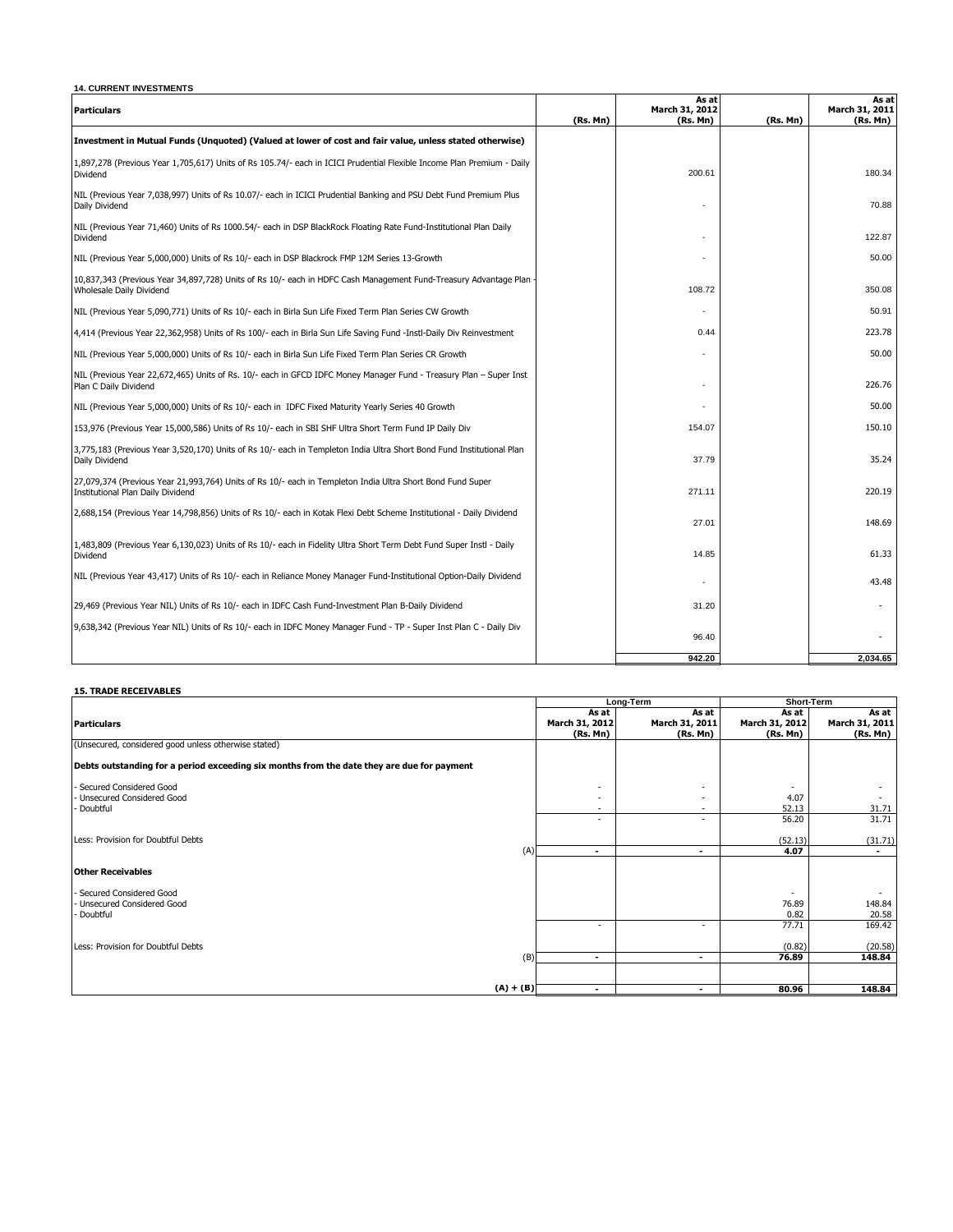| <b>14. CURRENT INVESTMENTS</b>                                                                                                                  |          |                                     |          |                                     |
|-------------------------------------------------------------------------------------------------------------------------------------------------|----------|-------------------------------------|----------|-------------------------------------|
| <b>Particulars</b>                                                                                                                              | (Rs. Mn) | As at<br>March 31, 2012<br>(Rs. Mn) | (Rs. Mn) | As at<br>March 31, 2011<br>(Rs. Mn) |
| Investment in Mutual Funds (Unquoted) (Valued at lower of cost and fair value, unless stated otherwise)                                         |          |                                     |          |                                     |
| 1,897,278 (Previous Year 1,705,617) Units of Rs 105.74/- each in ICICI Prudential Flexible Income Plan Premium - Daily<br>Dividend              |          | 200.61                              |          | 180.34                              |
| NIL (Previous Year 7,038,997) Units of Rs 10.07/- each in ICICI Prudential Banking and PSU Debt Fund Premium Plus<br>Daily Dividend             |          |                                     |          | 70.88                               |
| NIL (Previous Year 71,460) Units of Rs 1000.54/- each in DSP BlackRock Floating Rate Fund-Institutional Plan Daily<br>Dividend                  |          |                                     |          | 122.87                              |
| NIL (Previous Year 5,000,000) Units of Rs 10/- each in DSP Blackrock FMP 12M Series 13-Growth                                                   |          |                                     |          | 50.00                               |
| 10,837,343 (Previous Year 34,897,728) Units of Rs 10/- each in HDFC Cash Management Fund-Treasury Advantage Plan<br>Wholesale Daily Dividend    |          | 108.72                              |          | 350.08                              |
| NIL (Previous Year 5,090,771) Units of Rs 10/- each in Birla Sun Life Fixed Term Plan Series CW Growth                                          |          | ٠                                   |          | 50.91                               |
| 4,414 (Previous Year 22,362,958) Units of Rs 100/- each in Birla Sun Life Saving Fund -Instl-Daily Div Reinvestment                             |          | 0.44                                |          | 223.78                              |
| NIL (Previous Year 5,000,000) Units of Rs 10/- each in Birla Sun Life Fixed Term Plan Series CR Growth                                          |          |                                     |          | 50.00                               |
| NIL (Previous Year 22,672,465) Units of Rs. 10/- each in GFCD IDFC Money Manager Fund - Treasury Plan – Super Inst<br>Plan C Daily Dividend     |          |                                     |          | 226.76                              |
| NIL (Previous Year 5,000,000) Units of Rs 10/- each in IDFC Fixed Maturity Yearly Series 40 Growth                                              |          |                                     |          | 50.00                               |
| 153,976 (Previous Year 15,000,586) Units of Rs 10/- each in SBI SHF Ultra Short Term Fund IP Daily Div                                          |          | 154.07                              |          | 150.10                              |
| 3,775,183 (Previous Year 3,520,170) Units of Rs 10/- each in Templeton India Ultra Short Bond Fund Institutional Plan<br>Daily Dividend         |          | 37.79                               |          | 35.24                               |
| 27,079,374 (Previous Year 21,993,764) Units of Rs 10/- each in Templeton India Ultra Short Bond Fund Super<br>Institutional Plan Daily Dividend |          | 271.11                              |          | 220.19                              |
| 2,688,154 (Previous Year 14,798,856) Units of Rs 10/- each in Kotak Flexi Debt Scheme Institutional - Daily Dividend                            |          | 27.01                               |          | 148.69                              |
| 1,483,809 (Previous Year 6,130,023) Units of Rs 10/- each in Fidelity Ultra Short Term Debt Fund Super Instl - Daily<br>Dividend                |          | 14.85                               |          | 61.33                               |
| NIL (Previous Year 43,417) Units of Rs 10/- each in Reliance Money Manager Fund-Institutional Option-Daily Dividend                             |          |                                     |          | 43.48                               |
| 29,469 (Previous Year NIL) Units of Rs 10/- each in IDFC Cash Fund-Investment Plan B-Daily Dividend                                             |          | 31.20                               |          |                                     |
| 9,638,342 (Previous Year NIL) Units of Rs 10/- each in IDFC Money Manager Fund - TP - Super Inst Plan C - Daily Div                             |          | 96.40                               |          |                                     |
|                                                                                                                                                 |          | 942.20                              |          | 2,034.65                            |

## **15. TRADE RECEIVABLES**

|                                                                                            |             |                          | Long-Term                | Short-Term     |                |
|--------------------------------------------------------------------------------------------|-------------|--------------------------|--------------------------|----------------|----------------|
|                                                                                            |             | As at                    | As at                    | As at          | As at          |
| <b>Particulars</b>                                                                         |             | March 31, 2012           | March 31, 2011           | March 31, 2012 | March 31, 2011 |
|                                                                                            |             | (Rs. Mn)                 | (Rs. Mn)                 | (Rs. Mn)       | (Rs. Mn)       |
| (Unsecured, considered good unless otherwise stated)                                       |             |                          |                          |                |                |
| Debts outstanding for a period exceeding six months from the date they are due for payment |             |                          |                          |                |                |
| - Secured Considered Good                                                                  |             | -                        |                          |                |                |
| - Unsecured Considered Good                                                                |             | $\overline{\phantom{a}}$ |                          | 4.07           |                |
| - Doubtful                                                                                 |             | -                        |                          | 52.13          | 31.71          |
|                                                                                            |             | -                        | $\overline{\phantom{a}}$ | 56.20          | 31.71          |
| Less: Provision for Doubtful Debts                                                         |             |                          |                          | (52.13)        | (31.71)        |
|                                                                                            | (A)         | $\blacksquare$           | $\blacksquare$           | 4.07           | $\blacksquare$ |
| <b>Other Receivables</b>                                                                   |             |                          |                          |                |                |
| - Secured Considered Good                                                                  |             |                          |                          |                |                |
| - Unsecured Considered Good                                                                |             |                          |                          | 76.89          | 148.84         |
| - Doubtful                                                                                 |             |                          |                          | 0.82           | 20.58          |
|                                                                                            |             |                          |                          | 77.71          | 169.42         |
| Less: Provision for Doubtful Debts                                                         |             |                          |                          | (0.82)         | (20.58)        |
|                                                                                            | (B)         | $\overline{\phantom{0}}$ | $\overline{\phantom{a}}$ | 76.89          | 148.84         |
|                                                                                            |             |                          |                          |                |                |
|                                                                                            | $(A) + (B)$ | ٠                        | $\overline{\phantom{a}}$ | 80.96          | 148.84         |
|                                                                                            |             |                          |                          |                |                |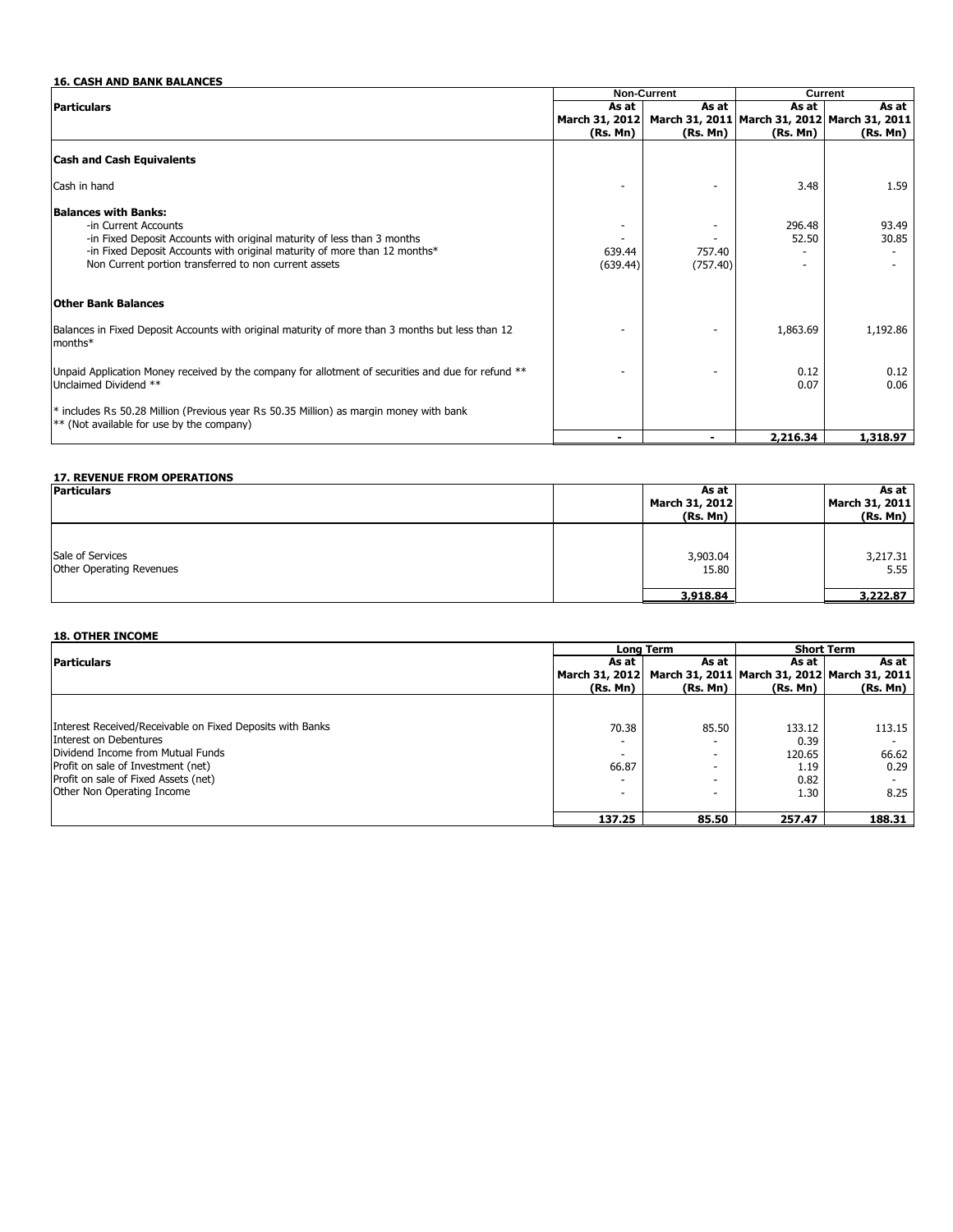|                                                                                                                                       |                | Non-Current | Current                                      |              |  |
|---------------------------------------------------------------------------------------------------------------------------------------|----------------|-------------|----------------------------------------------|--------------|--|
| <b>Particulars</b>                                                                                                                    | As at          | As at       | As at                                        | As at I      |  |
|                                                                                                                                       | March 31, 2012 |             | March 31, 2011 March 31, 2012 March 31, 2011 |              |  |
|                                                                                                                                       | (Rs. Mn)       | (Rs. Mn)    | (Rs. Mn)                                     | (Rs. Mn)     |  |
| <b>Cash and Cash Equivalents</b>                                                                                                      |                |             |                                              |              |  |
| Cash in hand                                                                                                                          |                |             | 3.48                                         | 1.59         |  |
| <b>Balances with Banks:</b>                                                                                                           |                |             |                                              |              |  |
| -in Current Accounts                                                                                                                  |                |             | 296.48                                       | 93.49        |  |
| -in Fixed Deposit Accounts with original maturity of less than 3 months                                                               |                |             | 52.50                                        | 30.85        |  |
| -in Fixed Deposit Accounts with original maturity of more than 12 months*                                                             | 639.44         | 757.40      |                                              |              |  |
| Non Current portion transferred to non current assets                                                                                 | (639.44)       | (757.40)    |                                              |              |  |
| <b>Other Bank Balances</b>                                                                                                            |                |             |                                              |              |  |
| Balances in Fixed Deposit Accounts with original maturity of more than 3 months but less than 12<br>months*                           |                |             | 1,863.69                                     | 1,192.86     |  |
| Unpaid Application Money received by the company for allotment of securities and due for refund **<br>Unclaimed Dividend **           |                |             | 0.12<br>0.07                                 | 0.12<br>0.06 |  |
| * includes Rs 50.28 Million (Previous year Rs 50.35 Million) as margin money with bank<br>$**$ (Not available for use by the company) |                |             |                                              |              |  |
|                                                                                                                                       |                |             | 2,216.34                                     | 1,318.97     |  |

## **17. REVENUE FROM OPERATIONS**

| <b>Particulars</b>              | As at                      | As at                      |
|---------------------------------|----------------------------|----------------------------|
|                                 | March 31, 2012<br>(Rs. Mn) | March 31, 2011<br>(Rs. Mn) |
|                                 |                            |                            |
| Sale of Services                | 3,903.04                   | 3,217.31                   |
| <b>Other Operating Revenues</b> | 15.80                      | 5.55                       |
|                                 | 3,918.84                   | 3,222.87                   |

#### **18. OTHER INCOME**

|                                                           |                | <b>Long Term</b> | <b>Short Term</b> |                                              |
|-----------------------------------------------------------|----------------|------------------|-------------------|----------------------------------------------|
| <b>Particulars</b>                                        | As at          | As at            | As at I           | As at                                        |
|                                                           | March 31, 2012 |                  |                   | March 31, 2011 March 31, 2012 March 31, 2011 |
|                                                           | (Rs. Mn)       | (Rs. Mn)         | (Rs. Mn)          | (Rs. Mn)                                     |
|                                                           |                |                  |                   |                                              |
| Interest Received/Receivable on Fixed Deposits with Banks | 70.38          | 85.50            | 133.12            | 113.15                                       |
| Interest on Debentures                                    |                |                  | 0.39              |                                              |
| Dividend Income from Mutual Funds                         |                | ۰                | 120.65            | 66.62                                        |
| Profit on sale of Investment (net)                        | 66.87          |                  | 1.19              | 0.29                                         |
| Profit on sale of Fixed Assets (net)                      |                |                  | 0.82              |                                              |
| Other Non Operating Income                                | ۰              |                  | 1.30              | 8.25                                         |
|                                                           |                |                  |                   |                                              |
|                                                           | 137.25         | 85.50            | 257.47            | 188.31                                       |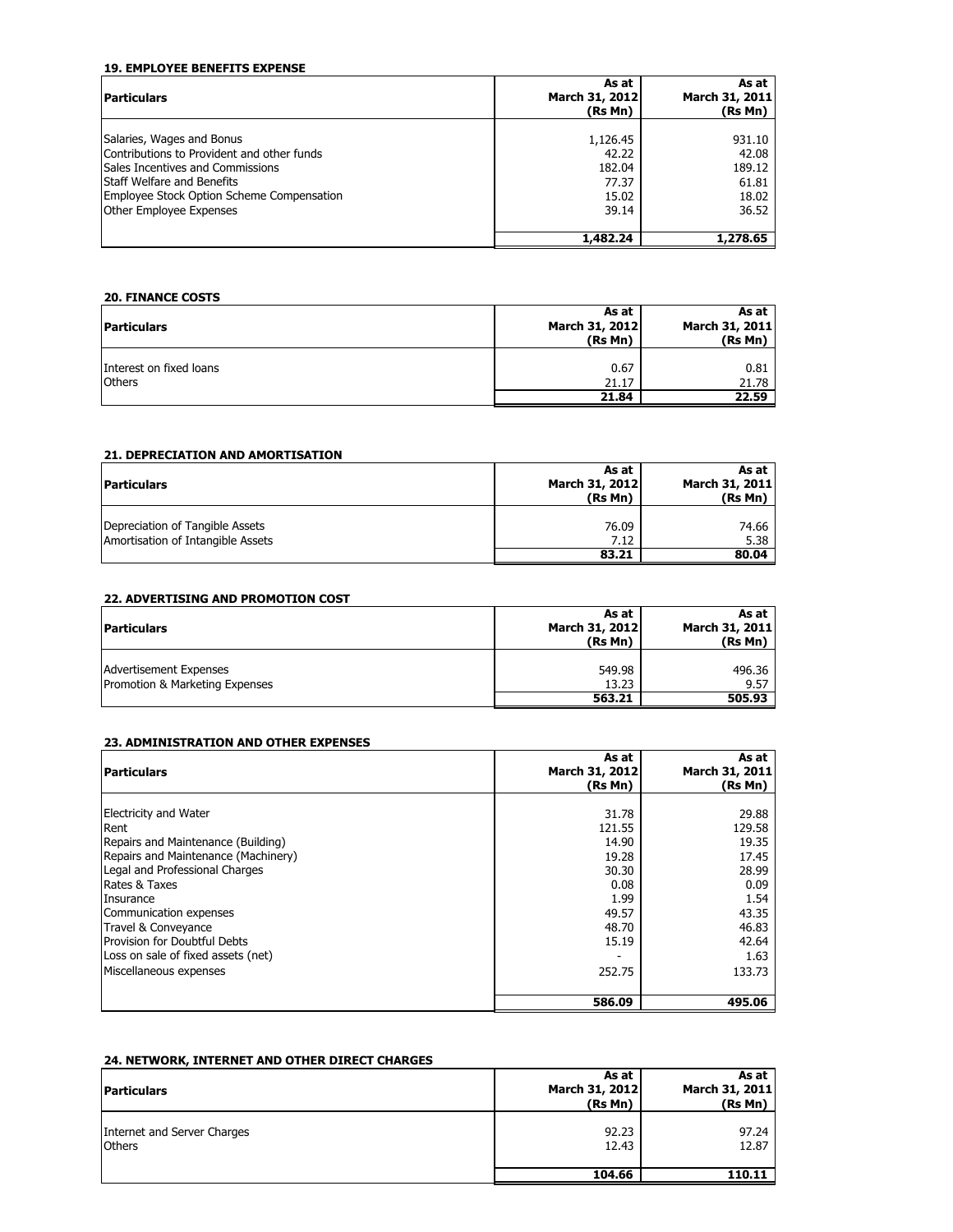### **19. EMPLOYEE BENEFITS EXPENSE**

| <b>Particulars</b>                                                                                                                                                                                                              | As at<br>March 31, 2012                                | As at<br>March 31, 2011                              |
|---------------------------------------------------------------------------------------------------------------------------------------------------------------------------------------------------------------------------------|--------------------------------------------------------|------------------------------------------------------|
|                                                                                                                                                                                                                                 | (Rs Mn)                                                | (Rs Mn)                                              |
| Salaries, Wages and Bonus<br>Contributions to Provident and other funds<br>Sales Incentives and Commissions<br><b>Staff Welfare and Benefits</b><br>Employee Stock Option Scheme Compensation<br><b>Other Employee Expenses</b> | 1,126.45<br>42.22<br>182.04<br>77.37<br>15.02<br>39.14 | 931.10<br>42.08<br>189.12<br>61.81<br>18.02<br>36.52 |
|                                                                                                                                                                                                                                 | 1,482.24                                               | 1,278.65                                             |

## **20. FINANCE COSTS**

| <b>Particulars</b>                       | As at<br>March 31, 2012<br>(Rs Mn) | As at<br>March 31, 2011<br>(Rs Mn) |
|------------------------------------------|------------------------------------|------------------------------------|
| Interest on fixed loans<br><b>Others</b> | 0.67<br>21.17<br>21.84             | 0.81<br>21.78<br>22.59             |

## **21. DEPRECIATION AND AMORTISATION**

| <b>Particulars</b>                                                   | As at<br>March 31, 2012<br>(Rs Mn) | As at<br>March 31, 2011<br>(Rs Mn) |
|----------------------------------------------------------------------|------------------------------------|------------------------------------|
| Depreciation of Tangible Assets<br>Amortisation of Intangible Assets | 76.09<br>7.12                      | 74.66<br>5.38                      |
|                                                                      | 83.21                              | 80.04                              |

## **22. ADVERTISING AND PROMOTION COST**

| <b>Particulars</b>                                              | As at<br>March 31, 2012<br>(Rs Mn) | As at<br>March 31, 2011<br>(Rs Mn) |
|-----------------------------------------------------------------|------------------------------------|------------------------------------|
| <b>Advertisement Expenses</b><br>Promotion & Marketing Expenses | 549.98<br>13.23                    | 496.36<br>9.57                     |
|                                                                 | 563.21                             | 505.93                             |

## **23. ADMINISTRATION AND OTHER EXPENSES**

| <b>Particulars</b>                                                                                                                                                                                                                                                                                                                 | As at<br>March 31, 2012<br>(Rs Mn)                                                              | As at<br>March 31, 2011<br>(Rs Mn)                                                                      |
|------------------------------------------------------------------------------------------------------------------------------------------------------------------------------------------------------------------------------------------------------------------------------------------------------------------------------------|-------------------------------------------------------------------------------------------------|---------------------------------------------------------------------------------------------------------|
| <b>Electricity and Water</b><br>Rent<br>Repairs and Maintenance (Building)<br>Repairs and Maintenance (Machinery)<br>Legal and Professional Charges<br>Rates & Taxes<br>Insurance<br>Communication expenses<br>Travel & Conveyance<br>Provision for Doubtful Debts<br>Loss on sale of fixed assets (net)<br>Miscellaneous expenses | 31.78<br>121.55<br>14.90<br>19.28<br>30.30<br>0.08<br>1.99<br>49.57<br>48.70<br>15.19<br>252.75 | 29.88<br>129.58<br>19.35<br>17.45<br>28.99<br>0.09<br>1.54<br>43.35<br>46.83<br>42.64<br>1.63<br>133.73 |
|                                                                                                                                                                                                                                                                                                                                    | 586.09                                                                                          | 495.06                                                                                                  |

## **24. NETWORK, INTERNET AND OTHER DIRECT CHARGES**

| <b>Particulars</b>                           | As at<br>March 31, 2012<br>(Rs Mn) | As at<br>March 31, 2011<br>(Rs Mn) |
|----------------------------------------------|------------------------------------|------------------------------------|
| Internet and Server Charges<br><b>Others</b> | 92.23<br>12.43                     | 97.24<br>12.87                     |
|                                              | 104.66                             | 110.11                             |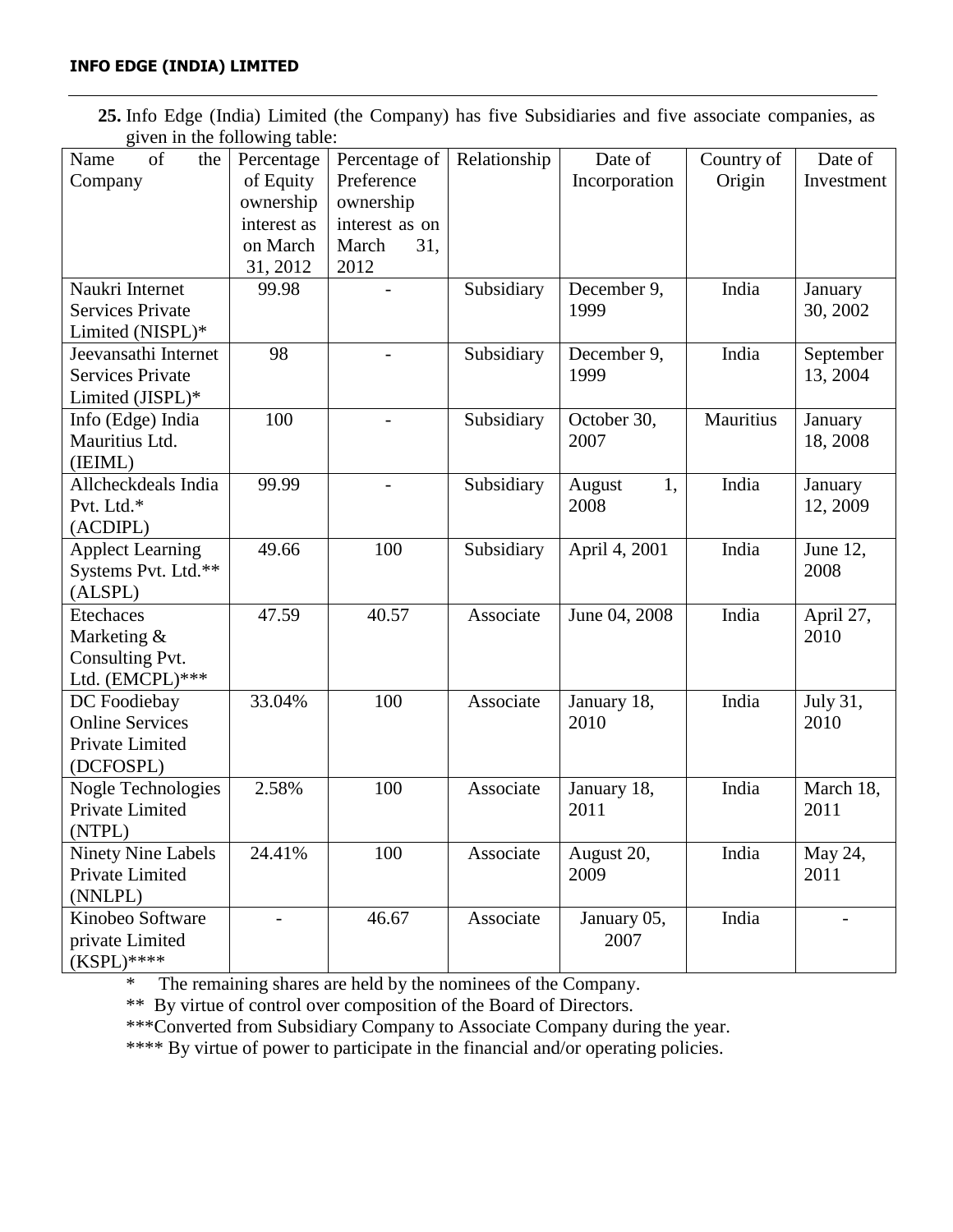**25.** Info Edge (India) Limited (the Company) has five Subsidiaries and five associate companies, as given in the following table:

| $\epsilon$ of the two represents there. |                          |                |              |               |            |                |
|-----------------------------------------|--------------------------|----------------|--------------|---------------|------------|----------------|
| of<br>Name<br>the                       | Percentage               | Percentage of  | Relationship | Date of       | Country of | Date of        |
| Company                                 | of Equity                | Preference     |              | Incorporation | Origin     | Investment     |
|                                         | ownership                | ownership      |              |               |            |                |
|                                         | interest as              | interest as on |              |               |            |                |
|                                         | on March                 | 31,<br>March   |              |               |            |                |
|                                         | 31, 2012                 | 2012           |              |               |            |                |
| Naukri Internet                         | 99.98                    |                | Subsidiary   | December 9,   | India      | January        |
| <b>Services Private</b>                 |                          |                |              | 1999          |            | 30, 2002       |
| Limited (NISPL)*                        |                          |                |              |               |            |                |
| Jeevansathi Internet                    | 98                       |                | Subsidiary   | December 9,   | India      | September      |
| <b>Services Private</b>                 |                          |                |              | 1999          |            | 13, 2004       |
| Limited (JISPL)*                        |                          |                |              |               |            |                |
| Info (Edge) India                       | 100                      |                | Subsidiary   | October 30,   | Mauritius  | January        |
| Mauritius Ltd.                          |                          |                |              | 2007          |            | 18, 2008       |
| (IEIML)                                 |                          |                |              |               |            |                |
| Allcheckdeals India                     | 99.99                    |                | Subsidiary   | 1,<br>August  | India      | January        |
| Pvt. Ltd.*                              |                          |                |              | 2008          |            | 12, 2009       |
| (ACDIPL)                                |                          |                |              |               |            |                |
| <b>Applect Learning</b>                 | 49.66                    | 100            | Subsidiary   | April 4, 2001 | India      | June 12,       |
| Systems Pvt. Ltd.**                     |                          |                |              |               |            | 2008           |
| (ALSPL)                                 |                          |                |              |               |            |                |
| Etechaces                               | 47.59                    | 40.57          | Associate    | June 04, 2008 | India      | April 27,      |
| Marketing &                             |                          |                |              |               |            | 2010           |
| Consulting Pvt.                         |                          |                |              |               |            |                |
| Ltd. (EMCPL)***                         |                          |                |              |               |            |                |
| DC Foodiebay                            | 33.04%                   | 100            | Associate    | January 18,   | India      | July 31,       |
| <b>Online Services</b>                  |                          |                |              | 2010          |            | 2010           |
| Private Limited                         |                          |                |              |               |            |                |
| (DCFOSPL)                               |                          |                |              |               |            |                |
| Nogle Technologies                      | 2.58%                    | 100            | Associate    | January 18,   | India      | March 18,      |
| Private Limited                         |                          |                |              | 2011          |            | 2011           |
| (NTPL)                                  |                          |                |              |               |            |                |
| <b>Ninety Nine Labels</b>               | 24.41%                   | 100            | Associate    | August 20,    | India      | May 24,        |
| Private Limited                         |                          |                |              | 2009          |            | 2011           |
| (NNLPL)                                 |                          |                |              |               |            |                |
| Kinobeo Software                        | $\overline{\phantom{a}}$ | 46.67          | Associate    | January 05,   | India      | $\overline{a}$ |
| private Limited                         |                          |                |              | 2007          |            |                |
| $(KSPL)$ ****                           |                          |                |              |               |            |                |

\* The remaining shares are held by the nominees of the Company.

\*\* By virtue of control over composition of the Board of Directors.

\*\*\*Converted from Subsidiary Company to Associate Company during the year.

\*\*\*\* By virtue of power to participate in the financial and/or operating policies.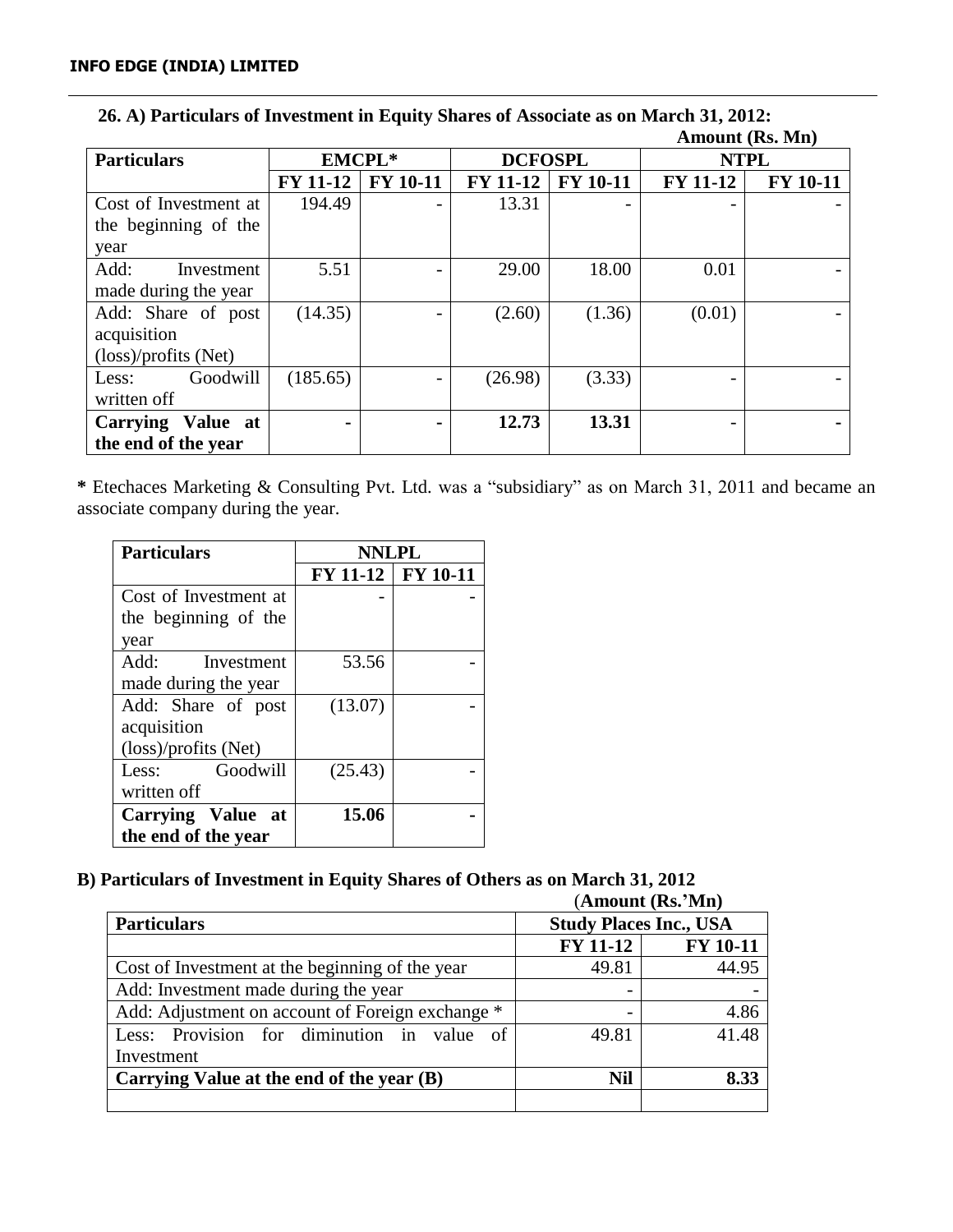|                       |                 |                          |                 |                 |                 | <i><b>TAHIOGHIU (ANDI IVIIII)</b></i> |             |  |
|-----------------------|-----------------|--------------------------|-----------------|-----------------|-----------------|---------------------------------------|-------------|--|
| <b>Particulars</b>    | <b>EMCPL*</b>   |                          | <b>DCFOSPL</b>  |                 |                 |                                       | <b>NTPL</b> |  |
|                       | <b>FY 11-12</b> | <b>FY 10-11</b>          | <b>FY 11-12</b> | <b>FY 10-11</b> | <b>FY 11-12</b> | <b>FY 10-11</b>                       |             |  |
| Cost of Investment at | 194.49          | $\overline{\phantom{0}}$ | 13.31           |                 |                 |                                       |             |  |
| the beginning of the  |                 |                          |                 |                 |                 |                                       |             |  |
| year                  |                 |                          |                 |                 |                 |                                       |             |  |
| Add:<br>Investment    | 5.51            |                          | 29.00           | 18.00           | 0.01            |                                       |             |  |
| made during the year  |                 |                          |                 |                 |                 |                                       |             |  |
| Add: Share of post    | (14.35)         | $\qquad \qquad$          | (2.60)          | (1.36)          | (0.01)          |                                       |             |  |
| acquisition           |                 |                          |                 |                 |                 |                                       |             |  |
| (loss)/profits (Net)  |                 |                          |                 |                 |                 |                                       |             |  |
| Goodwill<br>Less:     | (185.65)        |                          | (26.98)         | (3.33)          |                 |                                       |             |  |
| written off           |                 |                          |                 |                 |                 |                                       |             |  |
| Carrying Value at     |                 | ۰                        | 12.73           | 13.31           |                 |                                       |             |  |
| the end of the year   |                 |                          |                 |                 |                 |                                       |             |  |

## **26. A) Particulars of Investment in Equity Shares of Associate as on March 31, 2012: Amount (Rs. Mn)**

**\*** Etechaces Marketing & Consulting Pvt. Ltd. was a "subsidiary" as on March 31, 2011 and became an associate company during the year.

| <b>Particulars</b>             | <b>NNLPL</b>        |  |  |
|--------------------------------|---------------------|--|--|
|                                | FY 11-12   FY 10-11 |  |  |
| Cost of Investment at          |                     |  |  |
| the beginning of the           |                     |  |  |
| year                           |                     |  |  |
| Add:<br>Investment             | 53.56               |  |  |
| made during the year           |                     |  |  |
| Add: Share of post             | (13.07)             |  |  |
| acquisition                    |                     |  |  |
| $(\text{loss})$ /profits (Net) |                     |  |  |
| Goodwill<br>Less:              | (25.43)             |  |  |
| written off                    |                     |  |  |
| Carrying Value at              | 15.06               |  |  |
| the end of the year            |                     |  |  |

# **B) Particulars of Investment in Equity Shares of Others as on March 31, 2012**

(**Amount (Rs.'Mn)**

| (111110 (1110) 17111                                     |                               |                 |  |  |  |
|----------------------------------------------------------|-------------------------------|-----------------|--|--|--|
| <b>Particulars</b>                                       | <b>Study Places Inc., USA</b> |                 |  |  |  |
|                                                          | <b>FY 11-12</b>               | <b>FY 10-11</b> |  |  |  |
| Cost of Investment at the beginning of the year          | 49.81                         | 44.95           |  |  |  |
| Add: Investment made during the year                     |                               |                 |  |  |  |
| Add: Adjustment on account of Foreign exchange *         |                               | 4.86            |  |  |  |
| Less: Provision for diminution in value<br><sub>of</sub> | 49.81                         | 41.48           |  |  |  |
| Investment                                               |                               |                 |  |  |  |
| Carrying Value at the end of the year (B)                | Nil                           | 8.33            |  |  |  |
|                                                          |                               |                 |  |  |  |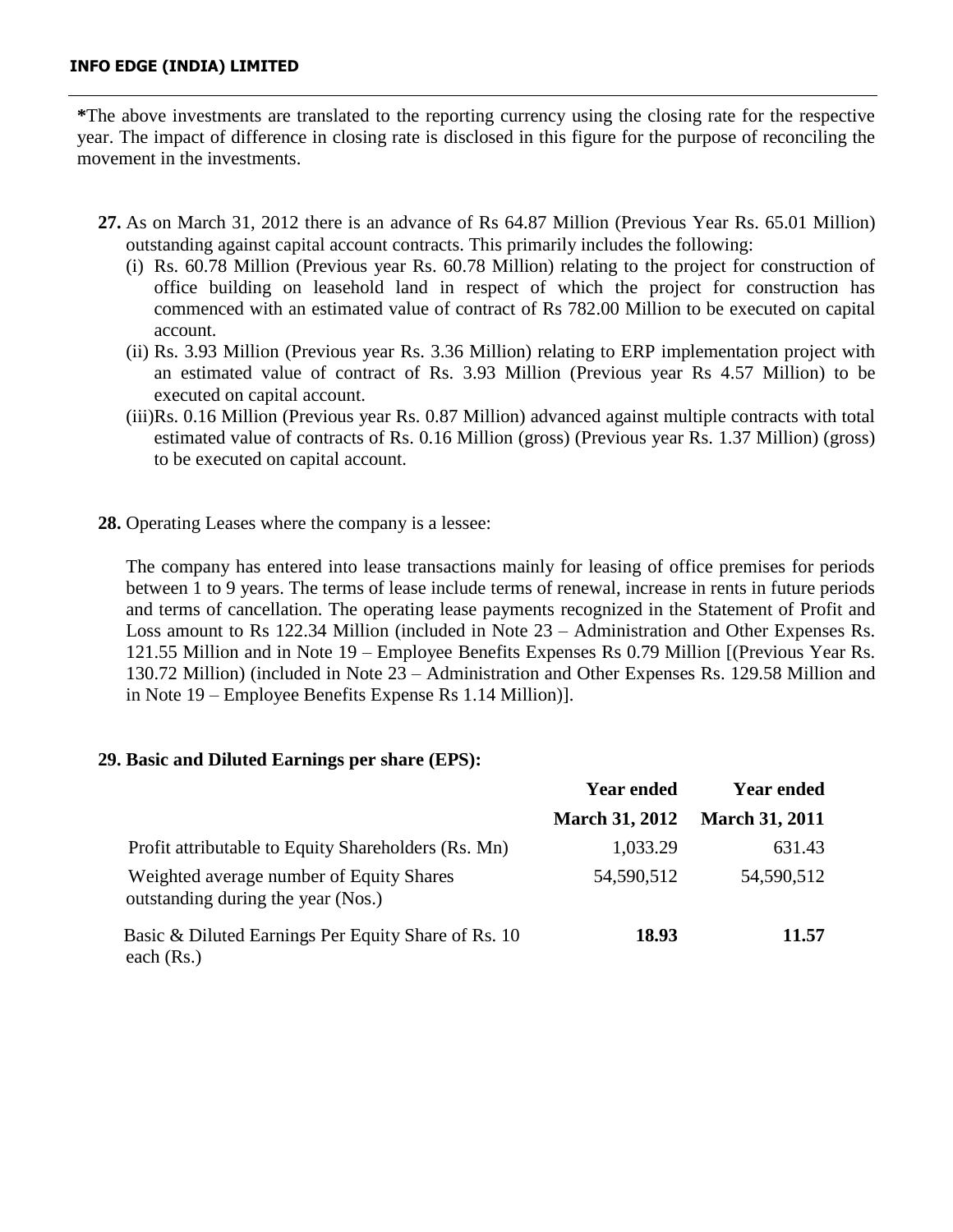**\***The above investments are translated to the reporting currency using the closing rate for the respective year. The impact of difference in closing rate is disclosed in this figure for the purpose of reconciling the movement in the investments.

- **27.** As on March 31, 2012 there is an advance of Rs 64.87 Million (Previous Year Rs. 65.01 Million) outstanding against capital account contracts. This primarily includes the following:
	- (i) Rs. 60.78 Million (Previous year Rs. 60.78 Million) relating to the project for construction of office building on leasehold land in respect of which the project for construction has commenced with an estimated value of contract of Rs 782.00 Million to be executed on capital account.
	- (ii) Rs. 3.93 Million (Previous year Rs. 3.36 Million) relating to ERP implementation project with an estimated value of contract of Rs. 3.93 Million (Previous year Rs 4.57 Million) to be executed on capital account.
	- (iii)Rs. 0.16 Million (Previous year Rs. 0.87 Million) advanced against multiple contracts with total estimated value of contracts of Rs. 0.16 Million (gross) (Previous year Rs. 1.37 Million) (gross) to be executed on capital account.
- **28.** Operating Leases where the company is a lessee:

The company has entered into lease transactions mainly for leasing of office premises for periods between 1 to 9 years. The terms of lease include terms of renewal, increase in rents in future periods and terms of cancellation. The operating lease payments recognized in the Statement of Profit and Loss amount to Rs 122.34 Million (included in Note 23 – Administration and Other Expenses Rs. 121.55 Million and in Note 19 – Employee Benefits Expenses Rs 0.79 Million [(Previous Year Rs. 130.72 Million) (included in Note 23 – Administration and Other Expenses Rs. 129.58 Million and in Note 19 – Employee Benefits Expense Rs 1.14 Million)].

## **29. Basic and Diluted Earnings per share (EPS):**

|                                                                                | <b>Year ended</b>     | <b>Year ended</b>     |
|--------------------------------------------------------------------------------|-----------------------|-----------------------|
|                                                                                | <b>March 31, 2012</b> | <b>March 31, 2011</b> |
| Profit attributable to Equity Shareholders (Rs. Mn)                            | 1,033.29              | 631.43                |
| Weighted average number of Equity Shares<br>outstanding during the year (Nos.) | 54,590,512            | 54,590,512            |
| Basic & Diluted Earnings Per Equity Share of Rs. 10<br>each $(Rs.)$            | 18.93                 | 11.57                 |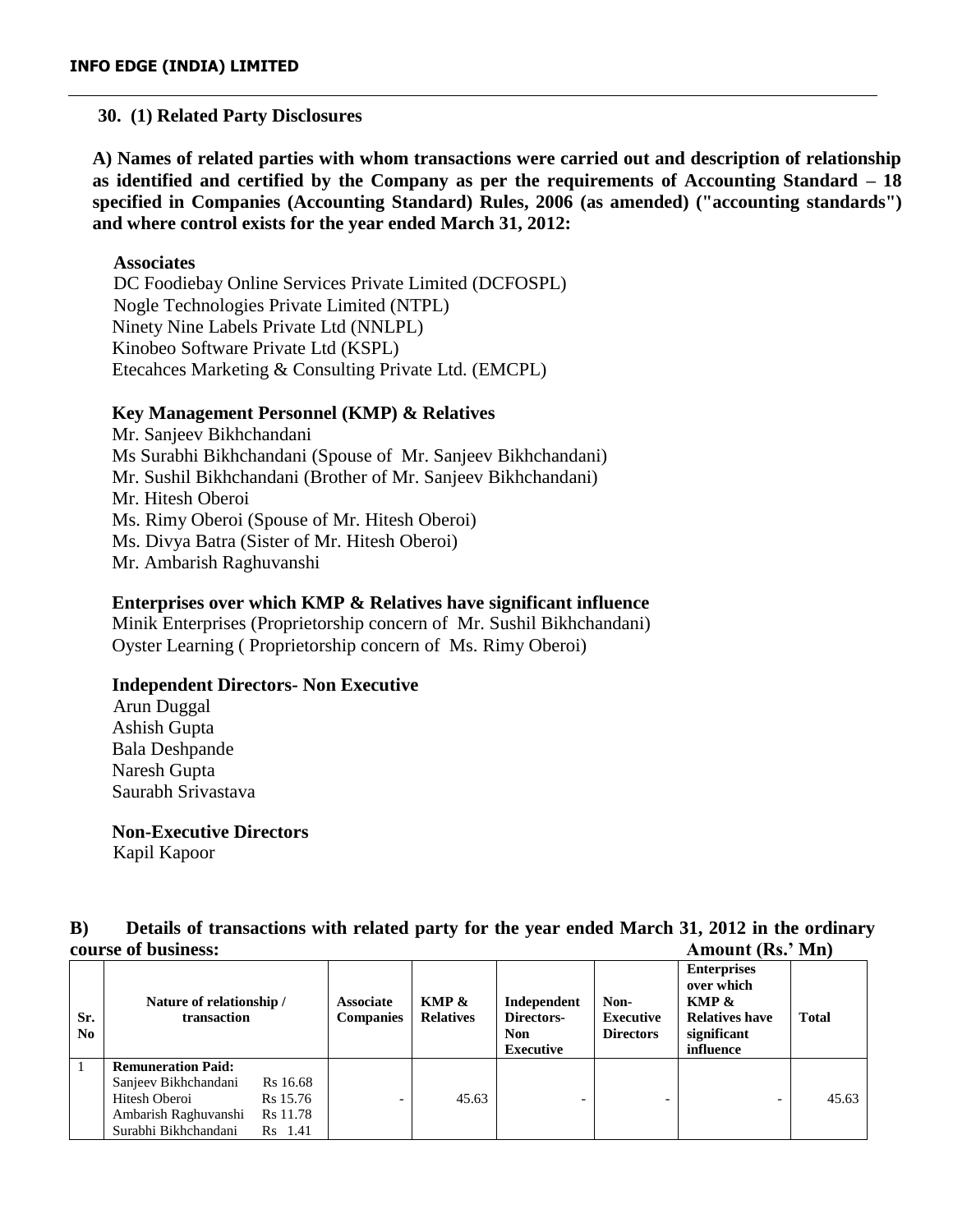## **30. (1) Related Party Disclosures**

**A) Names of related parties with whom transactions were carried out and description of relationship as identified and certified by the Company as per the requirements of Accounting Standard – 18 specified in Companies (Accounting Standard) Rules, 2006 (as amended) ("accounting standards") and where control exists for the year ended March 31, 2012:**

## **Associates**

DC Foodiebay Online Services Private Limited (DCFOSPL) Nogle Technologies Private Limited (NTPL) Ninety Nine Labels Private Ltd (NNLPL) Kinobeo Software Private Ltd (KSPL) Etecahces Marketing & Consulting Private Ltd. (EMCPL)

## **Key Management Personnel (KMP) & Relatives**

Mr. Sanjeev Bikhchandani Ms Surabhi Bikhchandani (Spouse of Mr. Sanjeev Bikhchandani) Mr. Sushil Bikhchandani (Brother of Mr. Sanjeev Bikhchandani) Mr. Hitesh Oberoi Ms. Rimy Oberoi (Spouse of Mr. Hitesh Oberoi) Ms. Divya Batra (Sister of Mr. Hitesh Oberoi) Mr. Ambarish Raghuvanshi

## **Enterprises over which KMP & Relatives have significant influence**

Minik Enterprises (Proprietorship concern of Mr. Sushil Bikhchandani) Oyster Learning ( Proprietorship concern of Ms. Rimy Oberoi)

## **Independent Directors- Non Executive**

 Arun Duggal Ashish Gupta Bala Deshpande Naresh Gupta Saurabh Srivastava

## **Non-Executive Directors**

Kapil Kapoor

# **B) Details of transactions with related party for the year ended March 31, 2012 in the ordinary course of business: Amount (Rs.' Mn)**

| Sr.<br>N <sub>0</sub> | Nature of relationship /<br>transaction                                                                            |                                             | <b>Associate</b><br><b>Companies</b> | KMP &<br><b>Relatives</b> | Independent<br>Directors-<br>Non<br><b>Executive</b> | Non-<br><b>Executive</b><br><b>Directors</b> | <b>Enterprises</b><br>over which<br>KMP &<br><b>Relatives have</b><br>significant<br>influence | <b>Total</b> |
|-----------------------|--------------------------------------------------------------------------------------------------------------------|---------------------------------------------|--------------------------------------|---------------------------|------------------------------------------------------|----------------------------------------------|------------------------------------------------------------------------------------------------|--------------|
|                       | <b>Remuneration Paid:</b><br>Sanjeev Bikhchandani<br>Hitesh Oberoi<br>Ambarish Raghuvanshi<br>Surabhi Bikhchandani | Rs 16.68<br>Rs 15.76<br>Rs 11.78<br>Rs 1.41 | $\overline{\phantom{0}}$             | 45.63                     | $\overline{\phantom{0}}$                             | -                                            | $\overline{\phantom{0}}$                                                                       | 45.63        |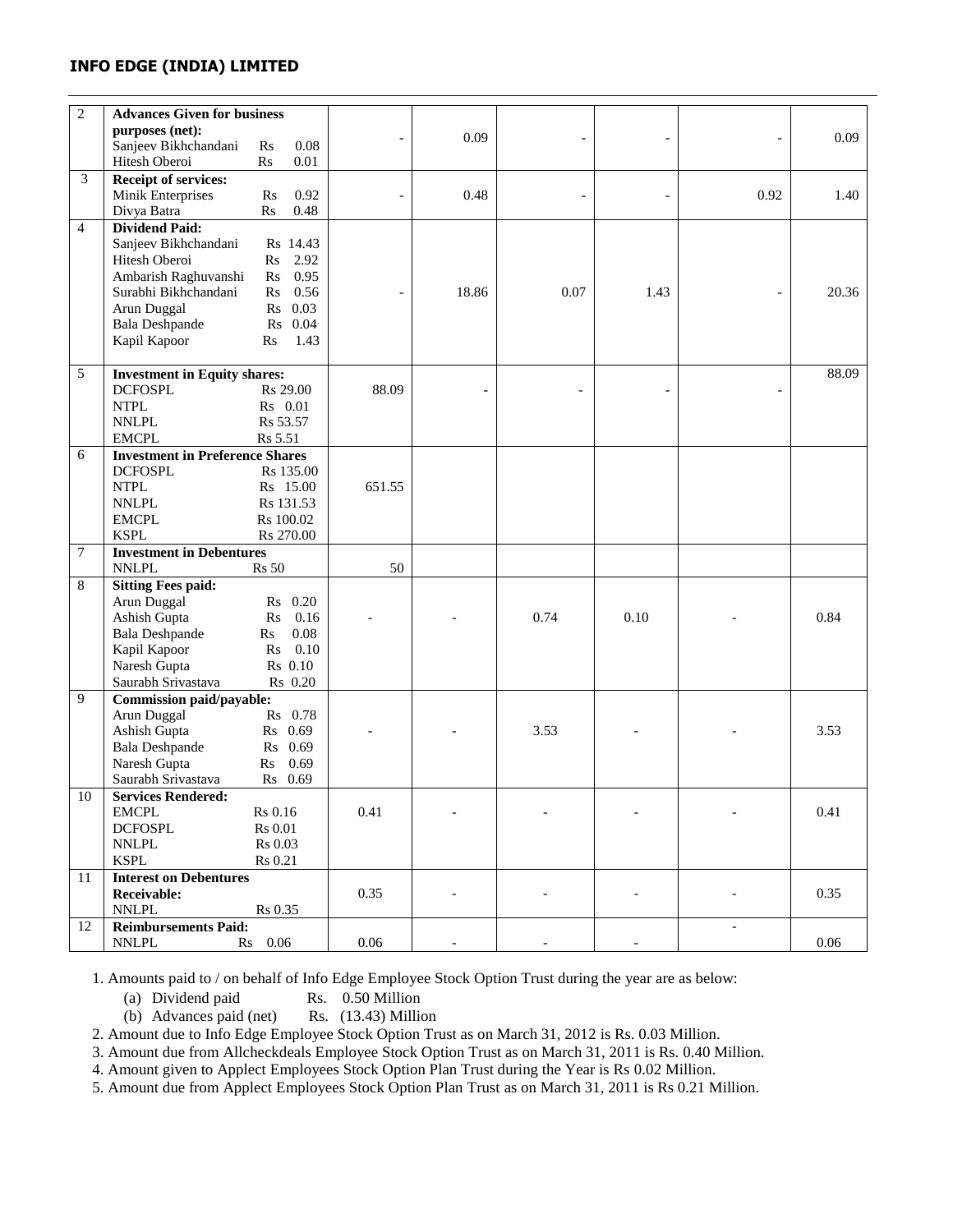| $\overline{c}$ | <b>Advances Given for business</b>                    |                                |                          |       |                |      |                          |       |
|----------------|-------------------------------------------------------|--------------------------------|--------------------------|-------|----------------|------|--------------------------|-------|
|                | purposes (net):                                       |                                |                          | 0.09  |                |      |                          | 0.09  |
|                | Sanjeev Bikhchandani                                  | 0.08<br>Rs                     |                          |       |                |      |                          |       |
|                | Hitesh Oberoi                                         | $0.01\,$<br>Rs                 |                          |       |                |      |                          |       |
| 3              | <b>Receipt of services:</b>                           |                                |                          |       |                |      |                          |       |
|                | Minik Enterprises                                     | 0.92<br>$\mathbf{R}$ s         |                          | 0.48  | $\overline{a}$ |      | 0.92                     | 1.40  |
|                | Divya Batra                                           | 0.48<br>R <sub>S</sub>         |                          |       |                |      |                          |       |
| $\overline{4}$ | <b>Dividend Paid:</b>                                 |                                |                          |       |                |      |                          |       |
|                | Sanjeev Bikhchandani                                  | Rs 14.43                       |                          |       |                |      |                          |       |
|                | Hitesh Oberoi                                         | 2.92<br>$\rm Rs$               |                          |       |                |      |                          |       |
|                | Ambarish Raghuvanshi                                  | 0.95<br>$\mathbf{R}\mathbf{s}$ |                          |       |                |      |                          |       |
|                | Surabhi Bikhchandani                                  | 0.56<br>$\mathbf{R}$ s         | $\overline{\phantom{a}}$ | 18.86 | 0.07           | 1.43 | $\overline{a}$           | 20.36 |
|                | Arun Duggal                                           | Rs 0.03                        |                          |       |                |      |                          |       |
|                | <b>Bala Deshpande</b>                                 | R <sub>S</sub><br>0.04         |                          |       |                |      |                          |       |
|                | Kapil Kapoor                                          | 1.43<br>$\rm Rs$               |                          |       |                |      |                          |       |
|                |                                                       |                                |                          |       |                |      |                          |       |
| 5              | <b>Investment in Equity shares:</b><br><b>DCFOSPL</b> | R <sub>s</sub> 29.00           | 88.09                    |       |                |      |                          | 88.09 |
|                | <b>NTPL</b>                                           | Rs 0.01                        |                          |       |                |      | $\overline{a}$           |       |
|                | <b>NNLPL</b>                                          | Rs 53.57                       |                          |       |                |      |                          |       |
|                | <b>EMCPL</b>                                          | Rs 5.51                        |                          |       |                |      |                          |       |
| 6              | <b>Investment in Preference Shares</b>                |                                |                          |       |                |      |                          |       |
|                | <b>DCFOSPL</b>                                        | Rs 135.00                      |                          |       |                |      |                          |       |
|                | $\ensuremath{\text{NTPL}}$                            | Rs 15.00                       | 651.55                   |       |                |      |                          |       |
|                | <b>NNLPL</b>                                          | Rs 131.53                      |                          |       |                |      |                          |       |
|                | <b>EMCPL</b>                                          | Rs 100.02                      |                          |       |                |      |                          |       |
|                | <b>KSPL</b>                                           | Rs 270.00                      |                          |       |                |      |                          |       |
| 7              | <b>Investment in Debentures</b>                       |                                |                          |       |                |      |                          |       |
|                | <b>NNLPL</b>                                          | <b>Rs</b> 50                   | 50                       |       |                |      |                          |       |
| 8              | <b>Sitting Fees paid:</b>                             |                                |                          |       |                |      |                          |       |
|                | Arun Duggal                                           | Rs 0.20                        |                          |       |                |      |                          |       |
|                | Ashish Gupta                                          | 0.16<br>Rs                     |                          |       | 0.74           | 0.10 |                          | 0.84  |
|                | <b>Bala Deshpande</b>                                 | $0.08\,$<br>Rs                 |                          |       |                |      |                          |       |
|                | Kapil Kapoor                                          | 0.10<br>$\mathbf{R}\mathbf{s}$ |                          |       |                |      |                          |       |
|                | Naresh Gupta                                          | Rs 0.10                        |                          |       |                |      |                          |       |
|                | Saurabh Srivastava                                    | Rs 0.20                        |                          |       |                |      |                          |       |
| 9              | Commission paid/payable:                              |                                |                          |       |                |      |                          |       |
|                | Arun Duggal                                           | Rs 0.78                        |                          |       |                |      |                          |       |
|                | Ashish Gupta                                          | Rs 0.69                        |                          |       | 3.53           |      |                          | 3.53  |
|                | <b>Bala Deshpande</b>                                 | Rs 0.69                        |                          |       |                |      |                          |       |
|                | Naresh Gupta                                          | 0.69<br>Rs                     |                          |       |                |      |                          |       |
|                | Saurabh Srivastava                                    | Rs 0.69                        |                          |       |                |      |                          |       |
| 10             | <b>Services Rendered:</b>                             |                                |                          |       |                |      |                          |       |
|                | <b>EMCPL</b>                                          | Rs 0.16                        | 0.41                     |       |                |      |                          | 0.41  |
|                | <b>DCFOSPL</b>                                        | Rs 0.01                        |                          |       |                |      |                          |       |
|                | <b>NNLPL</b>                                          | Rs 0.03                        |                          |       |                |      |                          |       |
|                | <b>KSPL</b>                                           | Rs 0.21                        |                          |       |                |      |                          |       |
| 11             | <b>Interest on Debentures</b>                         |                                | 0.35                     |       |                |      |                          | 0.35  |
|                | Receivable:<br><b>NNLPL</b>                           | Rs 0.35                        |                          |       |                |      |                          |       |
| 12             | <b>Reimbursements Paid:</b>                           |                                |                          |       |                |      | $\overline{\phantom{a}}$ |       |
|                | <b>NNLPL</b>                                          | Rs 0.06                        | 0.06                     |       |                |      |                          | 0.06  |
|                |                                                       |                                |                          |       |                |      |                          |       |

1. Amounts paid to / on behalf of Info Edge Employee Stock Option Trust during the year are as below:

(a) Dividend paid Rs. 0.50 Million

(b) Advances paid (net) Rs. (13.43) Million

2. Amount due to Info Edge Employee Stock Option Trust as on March 31, 2012 is Rs. 0.03 Million.

3. Amount due from Allcheckdeals Employee Stock Option Trust as on March 31, 2011 is Rs. 0.40 Million.

4. Amount given to Applect Employees Stock Option Plan Trust during the Year is Rs 0.02 Million.

5. Amount due from Applect Employees Stock Option Plan Trust as on March 31, 2011 is Rs 0.21 Million.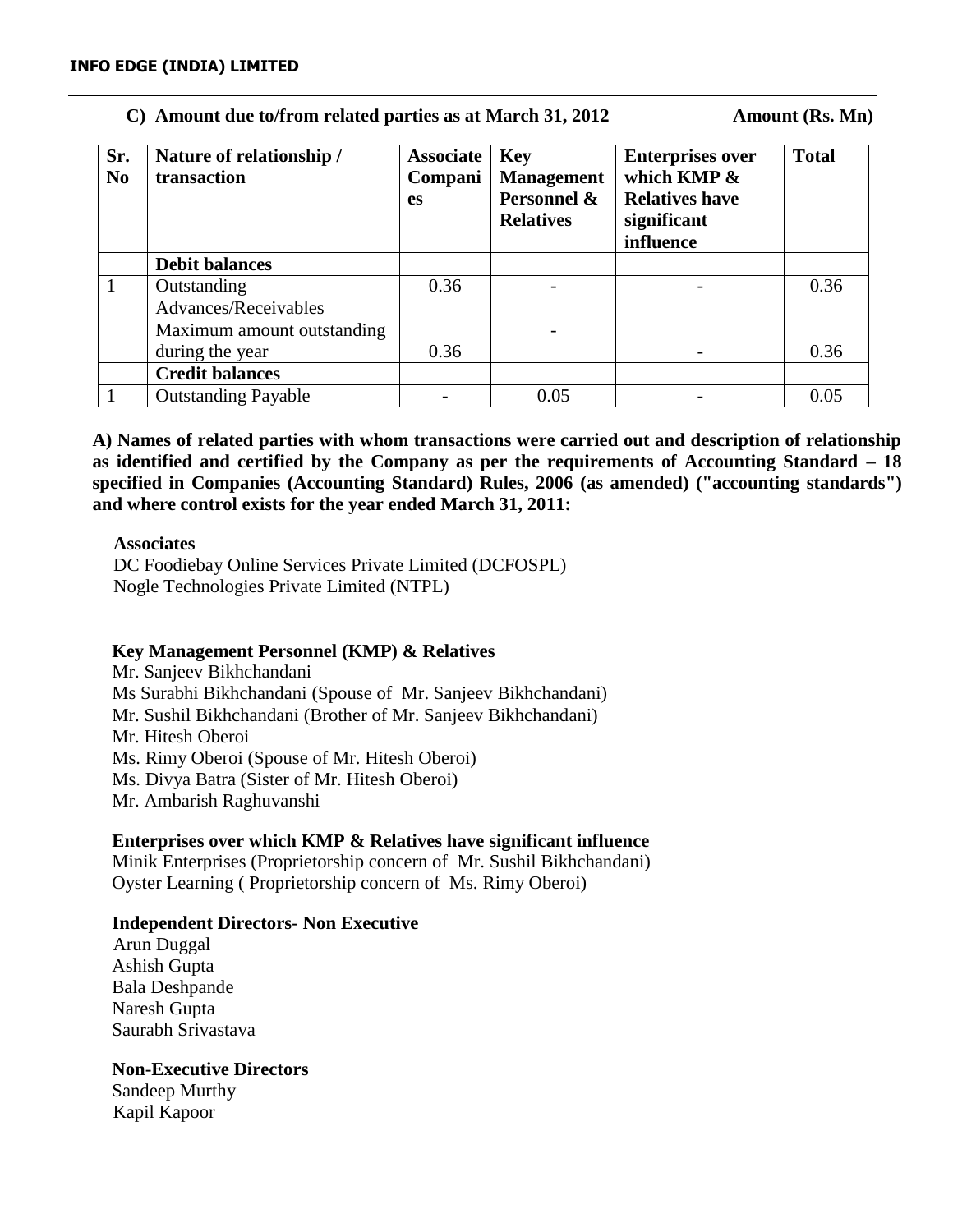# C) Amount due to/from related parties as at March 31, 2012 **Amount (Rs. Mn)**

| Sr.<br>N <sub>0</sub> | Nature of relationship /<br>transaction | <b>Associate</b><br>Compani<br><b>es</b> | <b>Key</b><br><b>Management</b><br>Personnel &<br><b>Relatives</b> | <b>Enterprises over</b><br>which KMP &<br><b>Relatives have</b><br>significant<br>influence | <b>Total</b> |
|-----------------------|-----------------------------------------|------------------------------------------|--------------------------------------------------------------------|---------------------------------------------------------------------------------------------|--------------|
|                       | <b>Debit balances</b>                   |                                          |                                                                    |                                                                                             |              |
|                       | Outstanding                             | 0.36                                     |                                                                    |                                                                                             | 0.36         |
|                       | Advances/Receivables                    |                                          |                                                                    |                                                                                             |              |
|                       | Maximum amount outstanding              |                                          |                                                                    |                                                                                             |              |
|                       | during the year                         | 0.36                                     |                                                                    |                                                                                             | 0.36         |
|                       | <b>Credit balances</b>                  |                                          |                                                                    |                                                                                             |              |
|                       | <b>Outstanding Payable</b>              |                                          | 0.05                                                               |                                                                                             | 0.05         |

**A) Names of related parties with whom transactions were carried out and description of relationship as identified and certified by the Company as per the requirements of Accounting Standard – 18 specified in Companies (Accounting Standard) Rules, 2006 (as amended) ("accounting standards") and where control exists for the year ended March 31, 2011:**

## **Associates**

DC Foodiebay Online Services Private Limited (DCFOSPL) Nogle Technologies Private Limited (NTPL)

## **Key Management Personnel (KMP) & Relatives**

Mr. Sanjeev Bikhchandani Ms Surabhi Bikhchandani (Spouse of Mr. Sanjeev Bikhchandani) Mr. Sushil Bikhchandani (Brother of Mr. Sanjeev Bikhchandani) Mr. Hitesh Oberoi Ms. Rimy Oberoi (Spouse of Mr. Hitesh Oberoi) Ms. Divya Batra (Sister of Mr. Hitesh Oberoi) Mr. Ambarish Raghuvanshi

# **Enterprises over which KMP & Relatives have significant influence**

Minik Enterprises (Proprietorship concern of Mr. Sushil Bikhchandani) Oyster Learning ( Proprietorship concern of Ms. Rimy Oberoi)

## **Independent Directors- Non Executive**

 Arun Duggal Ashish Gupta Bala Deshpande Naresh Gupta Saurabh Srivastava

# **Non-Executive Directors**

Sandeep Murthy Kapil Kapoor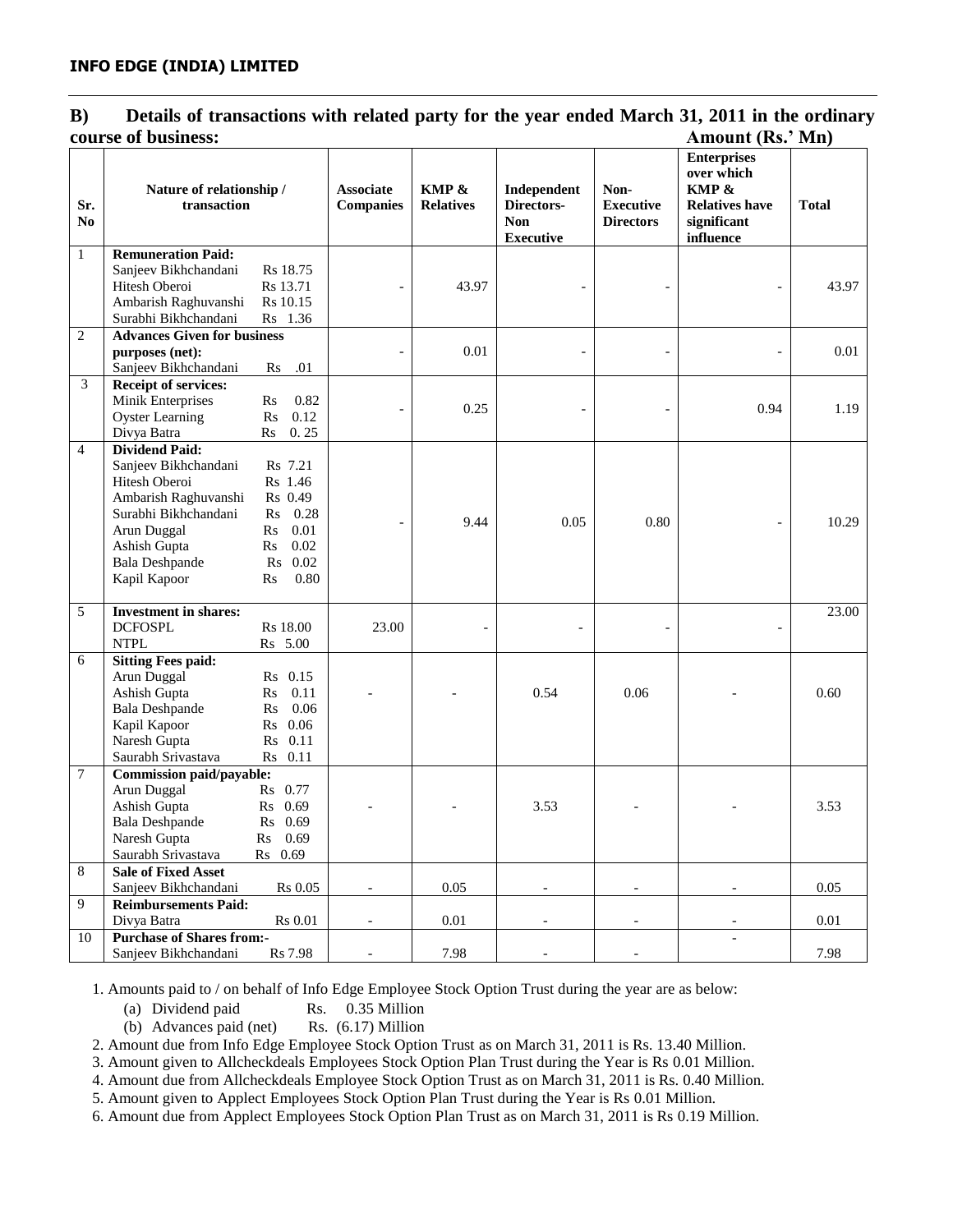## **B) Details of transactions with related party for the year ended March 31, 2011 in the ordinary course of business: Amount (Rs.' Mn)**

|                | COUL 3C OL D'USHICSS.                                    |                        |                                      |                           |                                                             |                                              | АШОИНСТАУ, 1711)                                                                               |              |
|----------------|----------------------------------------------------------|------------------------|--------------------------------------|---------------------------|-------------------------------------------------------------|----------------------------------------------|------------------------------------------------------------------------------------------------|--------------|
| Sr.<br>No      | Nature of relationship /<br>transaction                  |                        | <b>Associate</b><br><b>Companies</b> | KMP &<br><b>Relatives</b> | Independent<br>Directors-<br><b>Non</b><br><b>Executive</b> | Non-<br><b>Executive</b><br><b>Directors</b> | <b>Enterprises</b><br>over which<br>KMP &<br><b>Relatives have</b><br>significant<br>influence | <b>Total</b> |
| $\mathbf{1}$   | <b>Remuneration Paid:</b>                                |                        |                                      |                           |                                                             |                                              |                                                                                                |              |
|                | Sanjeev Bikhchandani                                     | Rs 18.75               |                                      |                           |                                                             |                                              |                                                                                                |              |
|                | Hitesh Oberoi                                            | Rs 13.71               |                                      | 43.97                     |                                                             |                                              | $\overline{a}$                                                                                 | 43.97        |
|                | Ambarish Raghuvanshi                                     | Rs 10.15               |                                      |                           |                                                             |                                              |                                                                                                |              |
|                | Surabhi Bikhchandani                                     | Rs 1.36                |                                      |                           |                                                             |                                              |                                                                                                |              |
| $\mathfrak{2}$ | <b>Advances Given for business</b>                       |                        |                                      |                           |                                                             |                                              |                                                                                                |              |
|                | purposes (net):                                          |                        |                                      | 0.01                      |                                                             |                                              |                                                                                                | 0.01         |
|                | Sanjeev Bikhchandani                                     | .01<br>Rs              |                                      |                           |                                                             |                                              |                                                                                                |              |
| 3              | <b>Receipt of services:</b>                              |                        |                                      |                           |                                                             |                                              |                                                                                                |              |
|                | Minik Enterprises                                        | $\mathbf{R}$ s<br>0.82 |                                      | 0.25                      |                                                             |                                              | 0.94                                                                                           | 1.19         |
|                | <b>Oyster Learning</b>                                   | 0.12<br>R <sub>S</sub> |                                      |                           |                                                             |                                              |                                                                                                |              |
|                | Divya Batra                                              | 0.25<br>Rs             |                                      |                           |                                                             |                                              |                                                                                                |              |
| $\overline{4}$ | <b>Dividend Paid:</b>                                    |                        |                                      |                           |                                                             |                                              |                                                                                                |              |
|                | Sanjeev Bikhchandani                                     | Rs 7.21                |                                      |                           |                                                             |                                              |                                                                                                |              |
|                | Hitesh Oberoi                                            | Rs 1.46<br>Rs 0.49     |                                      |                           |                                                             |                                              |                                                                                                |              |
|                | Ambarish Raghuvanshi<br>Surabhi Bikhchandani             | 0.28                   |                                      |                           |                                                             |                                              |                                                                                                |              |
|                | Arun Duggal                                              | Rs<br>0.01             |                                      | 9.44                      | 0.05                                                        | 0.80                                         |                                                                                                | 10.29        |
|                | Ashish Gupta                                             | Rs<br>0.02<br>Rs       |                                      |                           |                                                             |                                              |                                                                                                |              |
|                | <b>Bala Deshpande</b>                                    | Rs 0.02                |                                      |                           |                                                             |                                              |                                                                                                |              |
|                | Kapil Kapoor                                             | 0.80<br>Rs             |                                      |                           |                                                             |                                              |                                                                                                |              |
|                |                                                          |                        |                                      |                           |                                                             |                                              |                                                                                                |              |
| 5              | <b>Investment in shares:</b>                             |                        |                                      |                           |                                                             |                                              |                                                                                                | 23.00        |
|                | <b>DCFOSPL</b>                                           | Rs 18.00               | 23.00                                |                           |                                                             |                                              | $\overline{\phantom{a}}$                                                                       |              |
|                | <b>NTPL</b>                                              | Rs 5.00                |                                      |                           |                                                             |                                              |                                                                                                |              |
| 6              | <b>Sitting Fees paid:</b>                                |                        |                                      |                           |                                                             |                                              |                                                                                                |              |
|                | Arun Duggal                                              | Rs 0.15                |                                      |                           |                                                             |                                              |                                                                                                |              |
|                | Ashish Gupta                                             | 0.11<br>$\mathbf{R}$ s |                                      |                           | 0.54                                                        | 0.06                                         |                                                                                                | 0.60         |
|                | <b>Bala Deshpande</b>                                    | 0.06<br>$\rm Rs$       |                                      |                           |                                                             |                                              |                                                                                                |              |
|                | Kapil Kapoor                                             | Rs 0.06                |                                      |                           |                                                             |                                              |                                                                                                |              |
|                | Naresh Gupta                                             | Rs 0.11                |                                      |                           |                                                             |                                              |                                                                                                |              |
|                | Saurabh Srivastava                                       | Rs 0.11                |                                      |                           |                                                             |                                              |                                                                                                |              |
| 7              | <b>Commission paid/payable:</b>                          |                        |                                      |                           |                                                             |                                              |                                                                                                |              |
|                | Arun Duggal                                              | Rs 0.77                |                                      |                           |                                                             |                                              |                                                                                                |              |
|                | Ashish Gupta                                             | Rs 0.69                |                                      |                           | 3.53                                                        |                                              |                                                                                                | 3.53         |
|                | <b>Bala Deshpande</b>                                    | Rs 0.69                |                                      |                           |                                                             |                                              |                                                                                                |              |
|                | Naresh Gupta                                             | Rs 0.69                |                                      |                           |                                                             |                                              |                                                                                                |              |
|                | Saurabh Srivastava                                       | Rs 0.69                |                                      |                           |                                                             |                                              |                                                                                                |              |
| 8              | <b>Sale of Fixed Asset</b>                               |                        |                                      |                           |                                                             |                                              |                                                                                                |              |
|                | Sanjeev Bikhchandani                                     | Rs 0.05                | $\overline{\phantom{a}}$             | 0.05                      | $\overline{\phantom{a}}$                                    | $\overline{\phantom{a}}$                     | $\overline{\phantom{a}}$                                                                       | 0.05         |
| 9              | <b>Reimbursements Paid:</b>                              |                        |                                      |                           |                                                             |                                              |                                                                                                |              |
|                | Divya Batra                                              | <b>Rs</b> 0.01         | $\overline{\phantom{a}}$             | 0.01                      | $\overline{\phantom{a}}$                                    | $\overline{\phantom{a}}$                     |                                                                                                | 0.01         |
| 10             | <b>Purchase of Shares from:-</b><br>Sanjeev Bikhchandani | Rs 7.98                | $\overline{\phantom{a}}$             | 7.98                      |                                                             |                                              | $\blacksquare$                                                                                 | 7.98         |
|                |                                                          |                        |                                      |                           | $\blacksquare$                                              | $\blacksquare$                               |                                                                                                |              |

1. Amounts paid to / on behalf of Info Edge Employee Stock Option Trust during the year are as below:

(a) Dividend paid Rs. 0.35 Million

(b) Advances paid (net) Rs. (6.17) Million

2. Amount due from Info Edge Employee Stock Option Trust as on March 31, 2011 is Rs. 13.40 Million.

3. Amount given to Allcheckdeals Employees Stock Option Plan Trust during the Year is Rs 0.01 Million.

4. Amount due from Allcheckdeals Employee Stock Option Trust as on March 31, 2011 is Rs. 0.40 Million.

5. Amount given to Applect Employees Stock Option Plan Trust during the Year is Rs 0.01 Million.

6. Amount due from Applect Employees Stock Option Plan Trust as on March 31, 2011 is Rs 0.19 Million.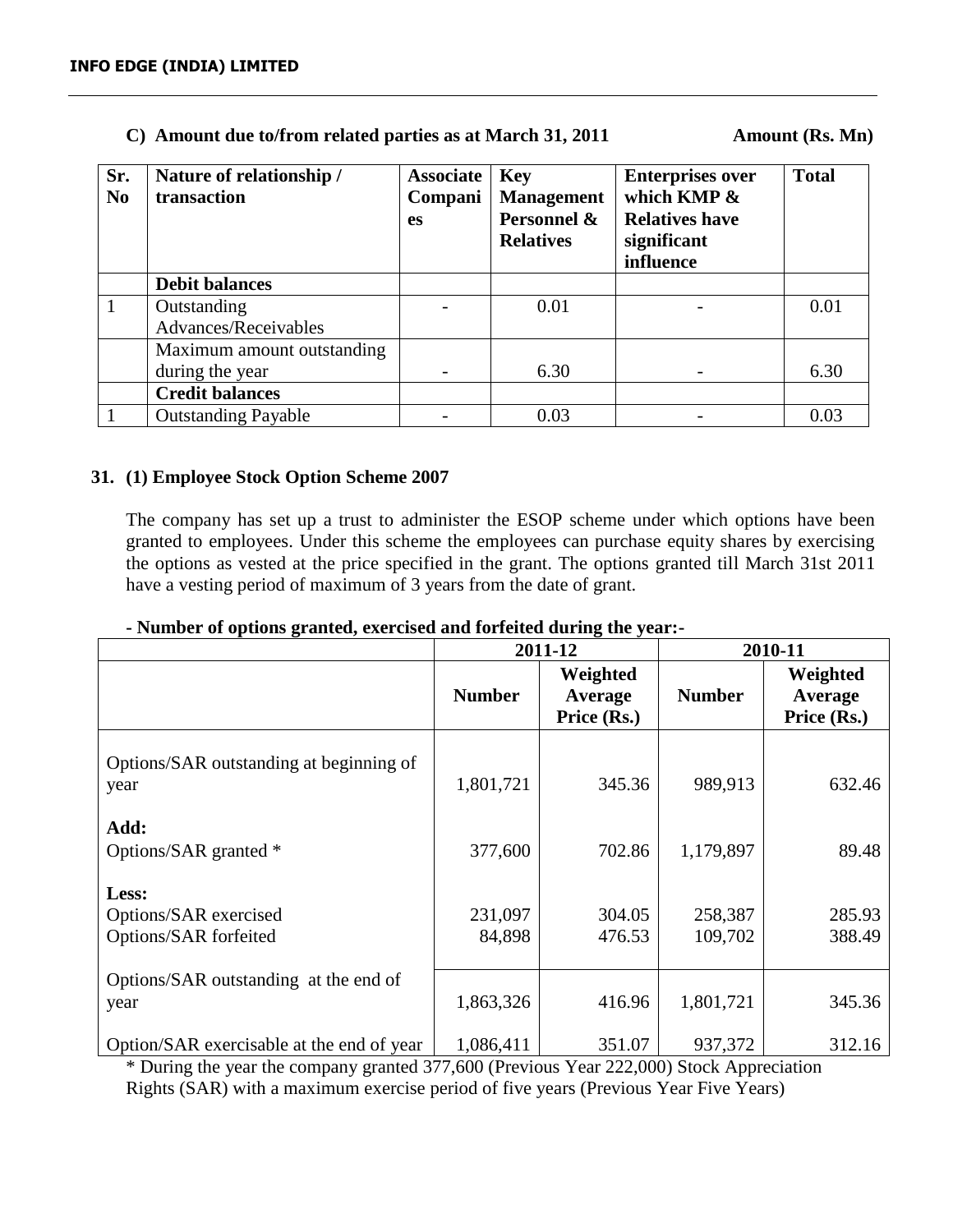# **C)** Amount due to/from related parties as at March 31, 2011 Amount (Rs. Mn)

| Sr.<br>N <sub>0</sub> | Nature of relationship /<br>transaction | <b>Associate</b><br>Compani<br><b>es</b> | <b>Key</b><br><b>Management</b><br>Personnel &<br><b>Relatives</b> | <b>Enterprises over</b><br>which KMP $\&$<br><b>Relatives have</b><br>significant<br>influence | <b>Total</b> |
|-----------------------|-----------------------------------------|------------------------------------------|--------------------------------------------------------------------|------------------------------------------------------------------------------------------------|--------------|
|                       | <b>Debit balances</b>                   |                                          |                                                                    |                                                                                                |              |
| $\mathbf{1}$          | Outstanding                             |                                          | 0.01                                                               |                                                                                                | 0.01         |
|                       | Advances/Receivables                    |                                          |                                                                    |                                                                                                |              |
|                       | Maximum amount outstanding              |                                          |                                                                    |                                                                                                |              |
|                       | during the year                         |                                          | 6.30                                                               |                                                                                                | 6.30         |
|                       | <b>Credit balances</b>                  |                                          |                                                                    |                                                                                                |              |
|                       | <b>Outstanding Payable</b>              |                                          | 0.03                                                               |                                                                                                | 0.03         |
|                       |                                         |                                          |                                                                    |                                                                                                |              |

## **31. (1) Employee Stock Option Scheme 2007**

The company has set up a trust to administer the ESOP scheme under which options have been granted to employees. Under this scheme the employees can purchase equity shares by exercising the options as vested at the price specified in the grant. The options granted till March 31st 2011 have a vesting period of maximum of 3 years from the date of grant.

|                                                         |                   | 2011-12                            | 2010-11            |                                    |
|---------------------------------------------------------|-------------------|------------------------------------|--------------------|------------------------------------|
|                                                         | <b>Number</b>     | Weighted<br>Average<br>Price (Rs.) | <b>Number</b>      | Weighted<br>Average<br>Price (Rs.) |
| Options/SAR outstanding at beginning of<br>year         | 1,801,721         | 345.36                             | 989,913            | 632.46                             |
| Add:<br>Options/SAR granted *                           | 377,600           | 702.86                             | 1,179,897          | 89.48                              |
| Less:<br>Options/SAR exercised<br>Options/SAR forfeited | 231,097<br>84,898 | 304.05<br>476.53                   | 258,387<br>109,702 | 285.93<br>388.49                   |
| Options/SAR outstanding at the end of<br>year           | 1,863,326         | 416.96                             | 1,801,721          | 345.36                             |
| Option/SAR exercisable at the end of year               | 1,086,411         | 351.07                             | 937,372            | 312.16                             |

## **- Number of options granted, exercised and forfeited during the year:-**

\* During the year the company granted 377,600 (Previous Year 222,000) Stock Appreciation Rights (SAR) with a maximum exercise period of five years (Previous Year Five Years)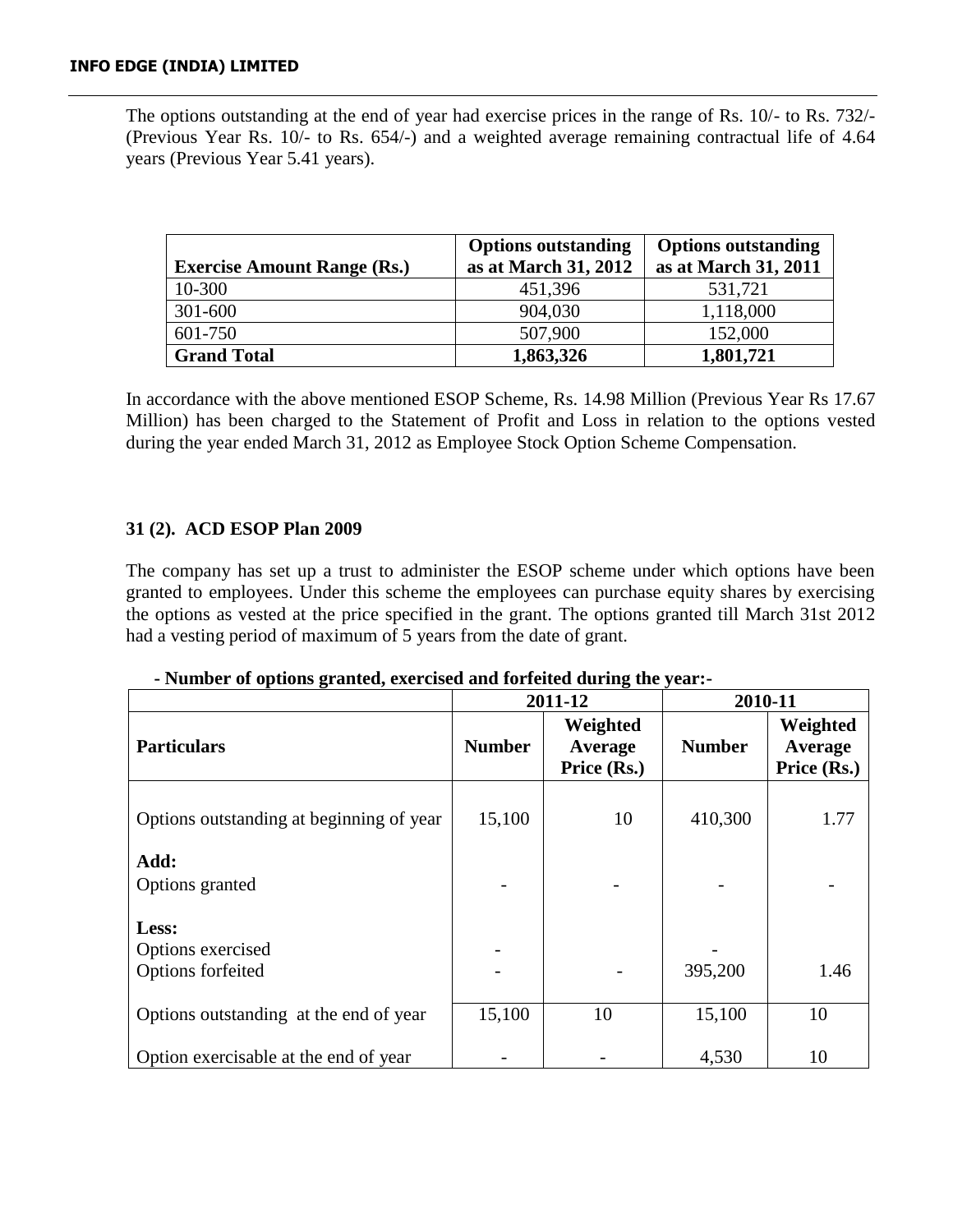The options outstanding at the end of year had exercise prices in the range of Rs. 10/- to Rs. 732/- (Previous Year Rs. 10/- to Rs. 654/-) and a weighted average remaining contractual life of 4.64 years (Previous Year 5.41 years).

|                                    | <b>Options outstanding</b> | <b>Options outstanding</b> |
|------------------------------------|----------------------------|----------------------------|
| <b>Exercise Amount Range (Rs.)</b> | as at March 31, 2012       | as at March 31, 2011       |
| 10-300                             | 451,396                    | 531,721                    |
| 301-600                            | 904,030                    | 1,118,000                  |
| 601-750                            | 507,900                    | 152,000                    |
| <b>Grand Total</b>                 | 1,863,326                  | 1,801,721                  |

In accordance with the above mentioned ESOP Scheme, Rs. 14.98 Million (Previous Year Rs 17.67 Million) has been charged to the Statement of Profit and Loss in relation to the options vested during the year ended March 31, 2012 as Employee Stock Option Scheme Compensation.

## **31 (2). ACD ESOP Plan 2009**

The company has set up a trust to administer the ESOP scheme under which options have been granted to employees. Under this scheme the employees can purchase equity shares by exercising the options as vested at the price specified in the grant. The options granted till March 31st 2012 had a vesting period of maximum of 5 years from the date of grant.

## **- Number of options granted, exercised and forfeited during the year:-**

|                                                 |               | 2011-12                            | 2010-11       |                                    |  |
|-------------------------------------------------|---------------|------------------------------------|---------------|------------------------------------|--|
| <b>Particulars</b>                              | <b>Number</b> | Weighted<br>Average<br>Price (Rs.) | <b>Number</b> | Weighted<br>Average<br>Price (Rs.) |  |
| Options outstanding at beginning of year        | 15,100        | 10                                 | 410,300       | 1.77                               |  |
| Add:<br>Options granted                         |               |                                    |               |                                    |  |
| Less:<br>Options exercised<br>Options forfeited |               |                                    | 395,200       | 1.46                               |  |
| Options outstanding at the end of year          | 15,100        | 10                                 | 15,100        | 10                                 |  |
| Option exercisable at the end of year           |               |                                    | 4,530         | 10                                 |  |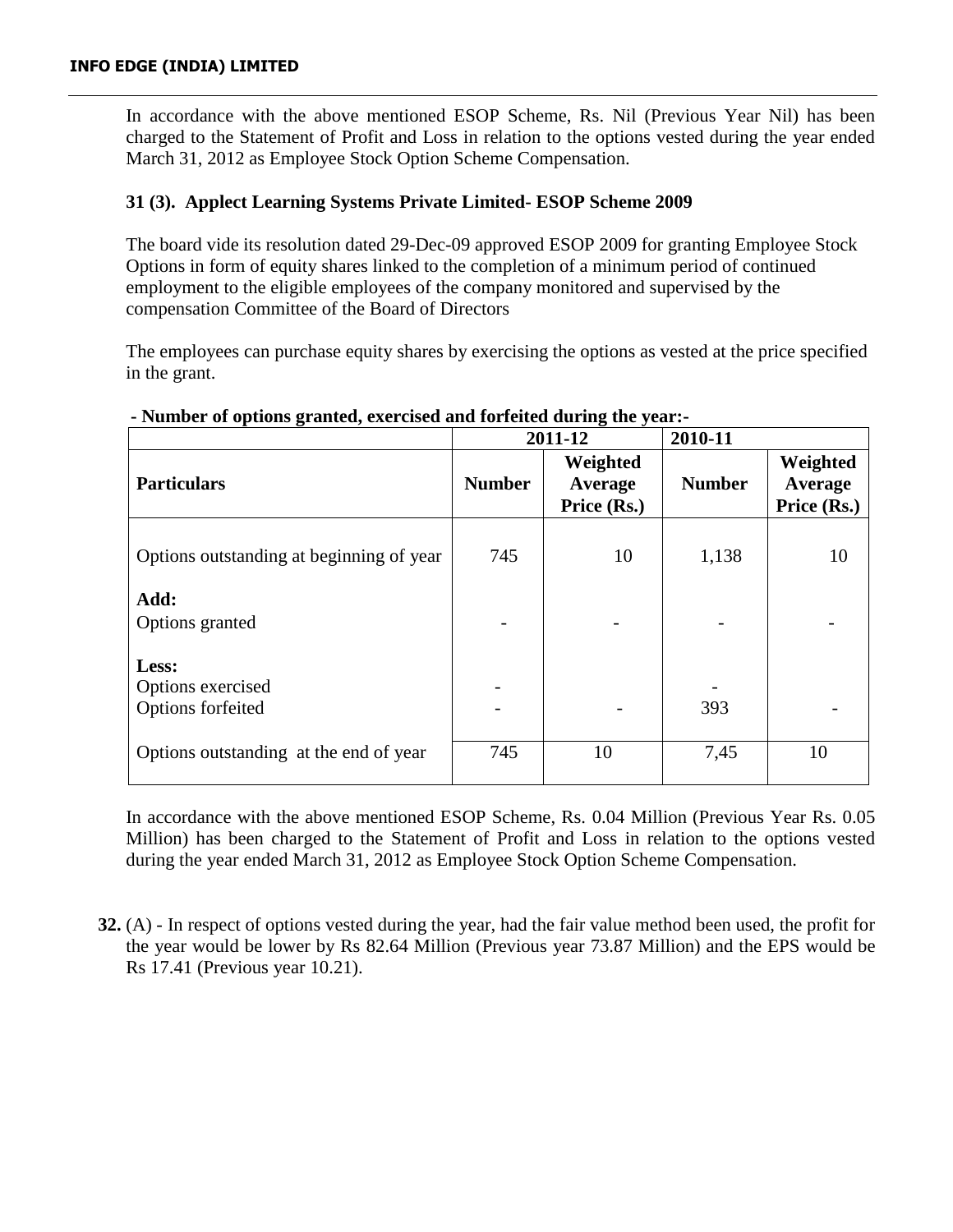In accordance with the above mentioned ESOP Scheme, Rs. Nil (Previous Year Nil) has been charged to the Statement of Profit and Loss in relation to the options vested during the year ended March 31, 2012 as Employee Stock Option Scheme Compensation.

# **31 (3). Applect Learning Systems Private Limited- ESOP Scheme 2009**

The board vide its resolution dated 29-Dec-09 approved ESOP 2009 for granting Employee Stock Options in form of equity shares linked to the completion of a minimum period of continued employment to the eligible employees of the company monitored and supervised by the compensation Committee of the Board of Directors

The employees can purchase equity shares by exercising the options as vested at the price specified in the grant.

|                                                 |               | 2011-12                            | 2010-11       |                                    |
|-------------------------------------------------|---------------|------------------------------------|---------------|------------------------------------|
| <b>Particulars</b>                              | <b>Number</b> | Weighted<br>Average<br>Price (Rs.) | <b>Number</b> | Weighted<br>Average<br>Price (Rs.) |
| Options outstanding at beginning of year        | 745           | 10                                 | 1,138         | 10                                 |
| Add:<br>Options granted                         |               |                                    |               |                                    |
| Less:<br>Options exercised<br>Options forfeited |               |                                    | 393           |                                    |
| Options outstanding at the end of year          | 745           | 10                                 | 7,45          | 10                                 |

## **- Number of options granted, exercised and forfeited during the year:-**

In accordance with the above mentioned ESOP Scheme, Rs. 0.04 Million (Previous Year Rs. 0.05 Million) has been charged to the Statement of Profit and Loss in relation to the options vested during the year ended March 31, 2012 as Employee Stock Option Scheme Compensation.

**32.** (A) - In respect of options vested during the year, had the fair value method been used, the profit for the year would be lower by Rs 82.64 Million (Previous year 73.87 Million) and the EPS would be Rs 17.41 (Previous year 10.21).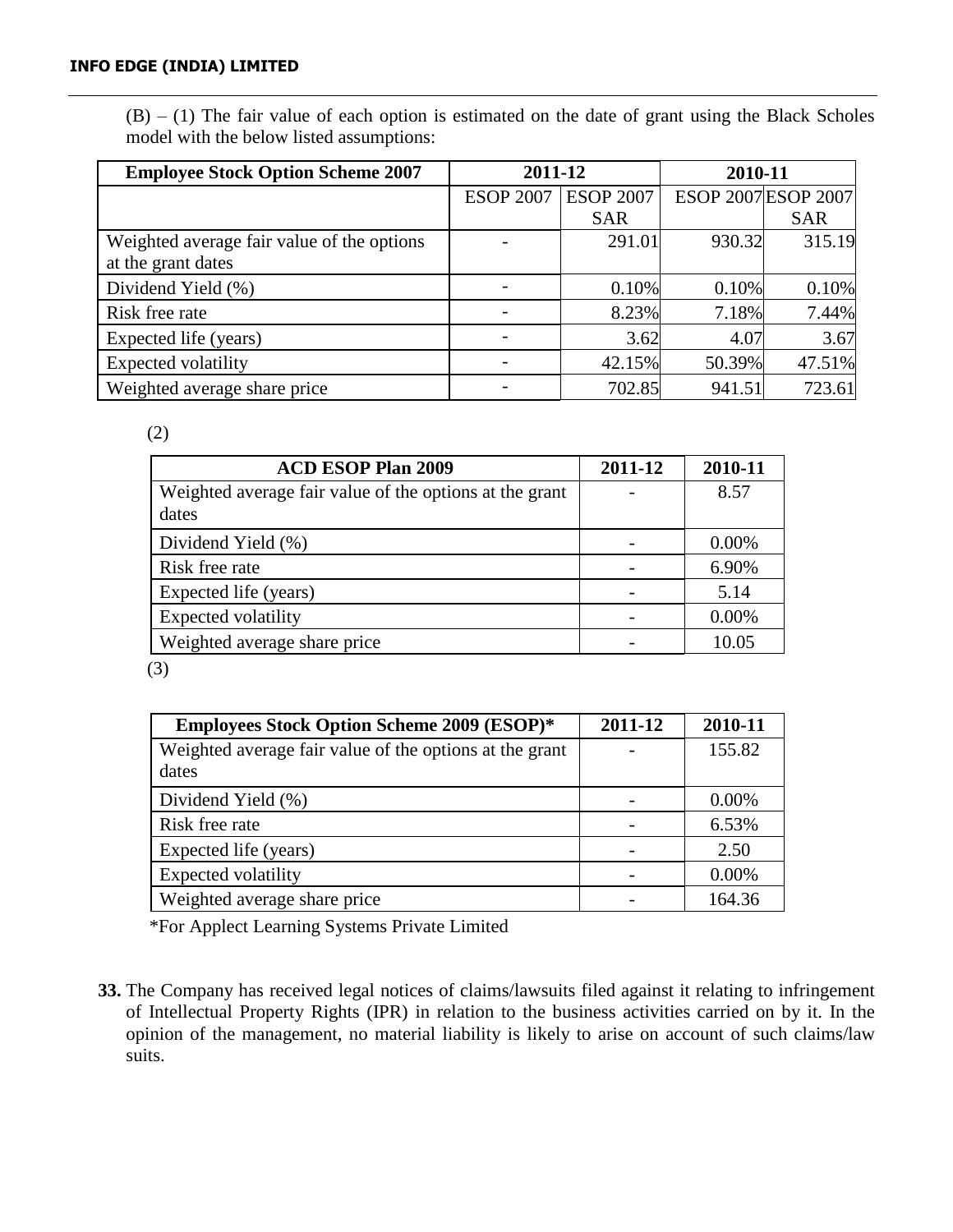$(B)$  – (1) The fair value of each option is estimated on the date of grant using the Black Scholes model with the below listed assumptions:

| <b>Employee Stock Option Scheme 2007</b>   | 2011-12          |                  | 2010-11 |                     |
|--------------------------------------------|------------------|------------------|---------|---------------------|
|                                            | <b>ESOP 2007</b> | <b>ESOP 2007</b> |         | ESOP 2007 ESOP 2007 |
|                                            |                  | <b>SAR</b>       |         | <b>SAR</b>          |
| Weighted average fair value of the options |                  | 291.01           | 930.32  | 315.19              |
| at the grant dates                         |                  |                  |         |                     |
| Dividend Yield (%)                         |                  | 0.10%            | 0.10%   | 0.10%               |
| Risk free rate                             |                  | 8.23%            | 7.18%   | 7.44%               |
| Expected life (years)                      |                  | 3.62             | 4.07    | 3.67                |
| Expected volatility                        |                  | 42.15%           | 50.39%  | 47.51%              |
| Weighted average share price               |                  | 702.85           | 941.51  | 723.61              |

(2)

| <b>ACD ESOP Plan 2009</b>                               | 2011-12 | 2010-11  |
|---------------------------------------------------------|---------|----------|
| Weighted average fair value of the options at the grant |         | 8.57     |
| dates                                                   |         |          |
| Dividend Yield (%)                                      |         | $0.00\%$ |
| Risk free rate                                          |         | 6.90%    |
| Expected life (years)                                   |         | 5.14     |
| <b>Expected volatility</b>                              |         | 0.00%    |
| Weighted average share price                            |         | 10.05    |

(3)

| <b>Employees Stock Option Scheme 2009 (ESOP)*</b>       | 2011-12 | 2010-11  |
|---------------------------------------------------------|---------|----------|
| Weighted average fair value of the options at the grant |         | 155.82   |
| dates                                                   |         |          |
| Dividend Yield (%)                                      |         | $0.00\%$ |
| Risk free rate                                          |         | 6.53%    |
| Expected life (years)                                   |         | 2.50     |
| <b>Expected volatility</b>                              |         | 0.00%    |
| Weighted average share price                            |         | 164.36   |

\*For Applect Learning Systems Private Limited

**33.** The Company has received legal notices of claims/lawsuits filed against it relating to infringement of Intellectual Property Rights (IPR) in relation to the business activities carried on by it. In the opinion of the management, no material liability is likely to arise on account of such claims/law suits.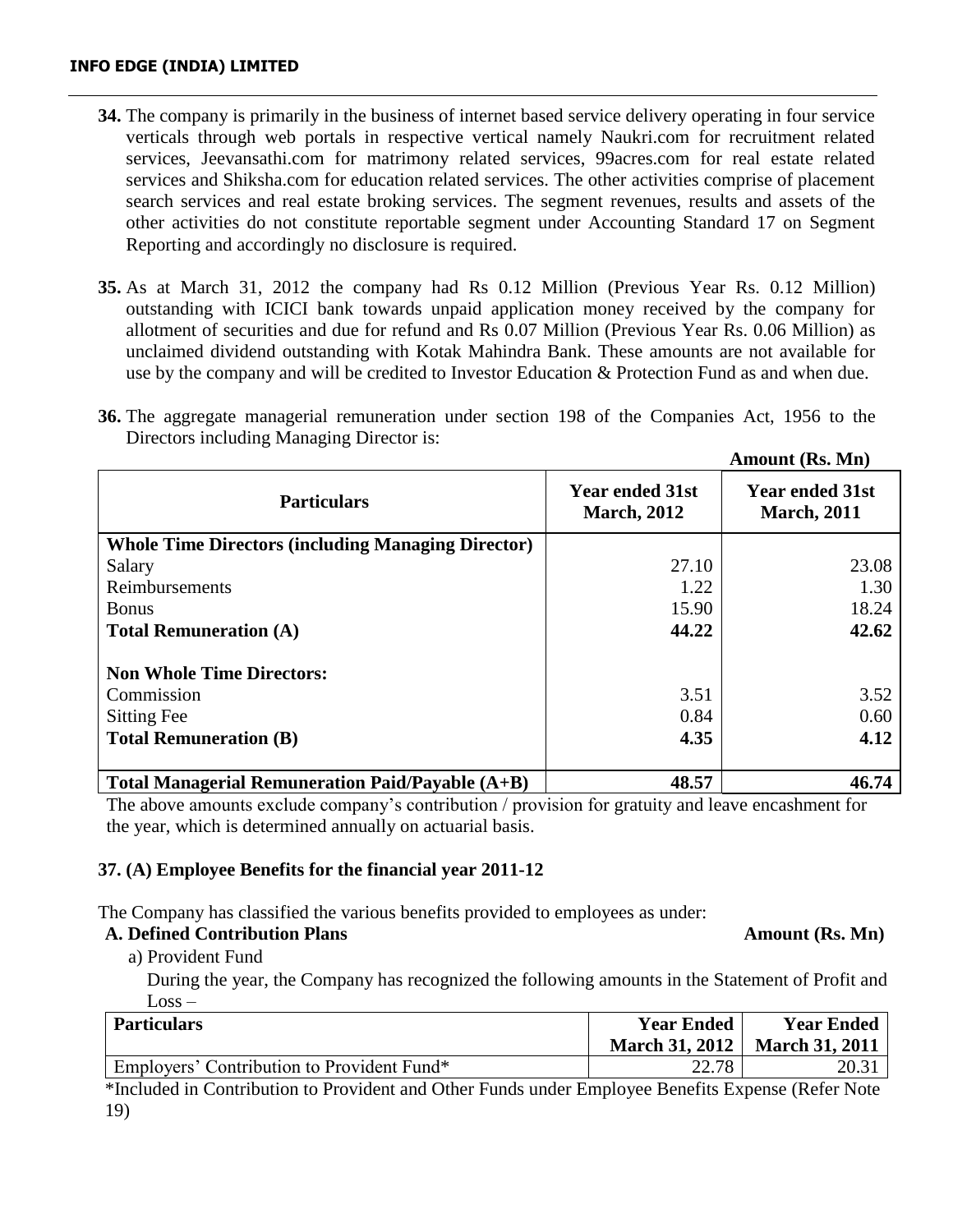- **34.** The company is primarily in the business of internet based service delivery operating in four service verticals through web portals in respective vertical namely Naukri.com for recruitment related services, Jeevansathi.com for matrimony related services, 99acres.com for real estate related services and Shiksha.com for education related services. The other activities comprise of placement search services and real estate broking services. The segment revenues, results and assets of the other activities do not constitute reportable segment under Accounting Standard 17 on Segment Reporting and accordingly no disclosure is required.
- **35.** As at March 31, 2012 the company had Rs 0.12 Million (Previous Year Rs. 0.12 Million) outstanding with ICICI bank towards unpaid application money received by the company for allotment of securities and due for refund and Rs 0.07 Million (Previous Year Rs. 0.06 Million) as unclaimed dividend outstanding with Kotak Mahindra Bank. These amounts are not available for use by the company and will be credited to Investor Education & Protection Fund as and when due.
- **36.** The aggregate managerial remuneration under section 198 of the Companies Act, 1956 to the Directors including Managing Director is:

|                                                           |                                              | AMOUNU (KS. MII)                              |
|-----------------------------------------------------------|----------------------------------------------|-----------------------------------------------|
| <b>Particulars</b>                                        | <b>Year ended 31st</b><br><b>March, 2012</b> | <b>Year ended 31st</b><br><b>March</b> , 2011 |
| <b>Whole Time Directors (including Managing Director)</b> |                                              |                                               |
| Salary                                                    | 27.10                                        | 23.08                                         |
| Reimbursements                                            | 1.22                                         | 1.30                                          |
| <b>Bonus</b>                                              | 15.90                                        | 18.24                                         |
| <b>Total Remuneration (A)</b>                             | 44.22                                        | 42.62                                         |
| <b>Non Whole Time Directors:</b>                          |                                              |                                               |
| Commission                                                | 3.51                                         | 3.52                                          |
| <b>Sitting Fee</b>                                        | 0.84                                         | 0.60                                          |
| <b>Total Remuneration (B)</b>                             | 4.35                                         | 4.12                                          |
| Total Managerial Remuneration Paid/Payable $(A+B)$        | 48.57                                        | 46.74                                         |

The above amounts exclude company's contribution / provision for gratuity and leave encashment for the year, which is determined annually on actuarial basis.

## **37. (A) Employee Benefits for the financial year 2011-12**

The Company has classified the various benefits provided to employees as under:

## A. Defined Contribution Plans Amount (Rs. Mn)

a) Provident Fund

 During the year, the Company has recognized the following amounts in the Statement of Profit and  $Loss -$ 

| <b>Particulars</b>                         | <b>Year Ended</b>     | <b>Year Ended</b>     |
|--------------------------------------------|-----------------------|-----------------------|
|                                            | <b>March 31, 2012</b> | <b>March 31, 2011</b> |
| Employers' Contribution to Provident Fund* | 22.78                 |                       |

\*Included in Contribution to Provident and Other Funds under Employee Benefits Expense (Refer Note 19)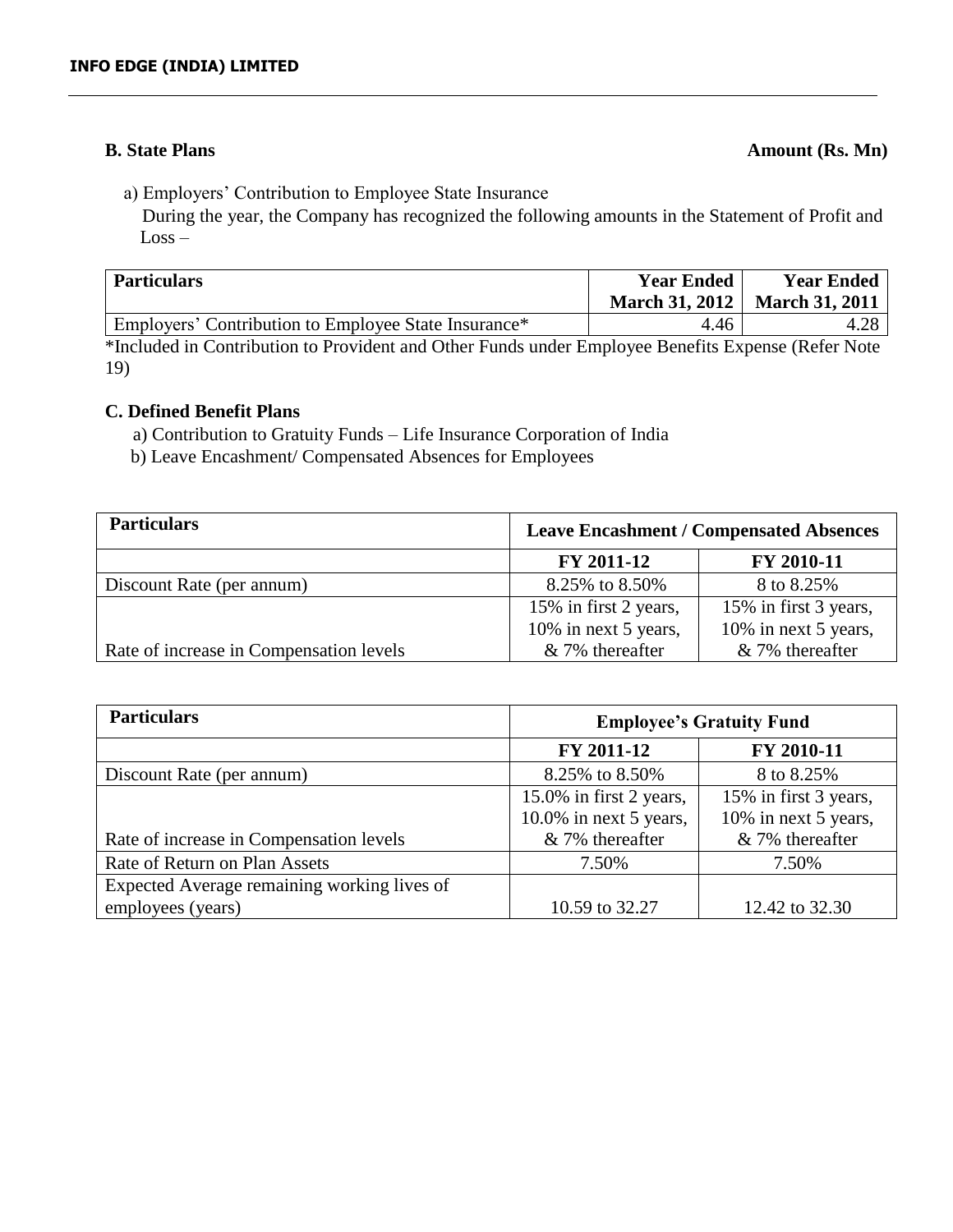# **B.** State Plans Amount (Rs. Mn)

a) Employers' Contribution to Employee State Insurance

 During the year, the Company has recognized the following amounts in the Statement of Profit and Loss –

| <b>Particulars</b>                                   | <b>Year Ended</b> | <b>Year Ended</b><br>March 31, 2012   March 31, 2011 |
|------------------------------------------------------|-------------------|------------------------------------------------------|
| Employers' Contribution to Employee State Insurance* | 4.46              |                                                      |

\*Included in Contribution to Provident and Other Funds under Employee Benefits Expense (Refer Note 19)

# **C. Defined Benefit Plans**

a) Contribution to Gratuity Funds – Life Insurance Corporation of India

b) Leave Encashment/ Compensated Absences for Employees

| <b>Particulars</b>                      | <b>Leave Encashment / Compensated Absences</b> |                       |
|-----------------------------------------|------------------------------------------------|-----------------------|
|                                         | FY 2011-12                                     | FY 2010-11            |
| Discount Rate (per annum)               | 8.25% to 8.50%                                 | 8 to 8.25%            |
|                                         | 15% in first 2 years,                          | 15% in first 3 years, |
|                                         | 10% in next 5 years,                           | 10% in next 5 years,  |
| Rate of increase in Compensation levels | $& 7\%$ thereafter                             | & 7% thereafter       |

| <b>Particulars</b>                          | <b>Employee's Gratuity Fund</b> |                       |
|---------------------------------------------|---------------------------------|-----------------------|
|                                             | FY 2011-12                      | FY 2010-11            |
| Discount Rate (per annum)                   | 8.25% to 8.50%                  | 8 to 8.25%            |
|                                             | 15.0% in first 2 years,         | 15% in first 3 years, |
|                                             | 10.0% in next 5 years,          | 10% in next 5 years,  |
| Rate of increase in Compensation levels     | & 7% thereafter                 | & 7% thereafter       |
| Rate of Return on Plan Assets               | 7.50%                           | 7.50%                 |
| Expected Average remaining working lives of |                                 |                       |
| employees (years)                           | 10.59 to 32.27                  | 12.42 to 32.30        |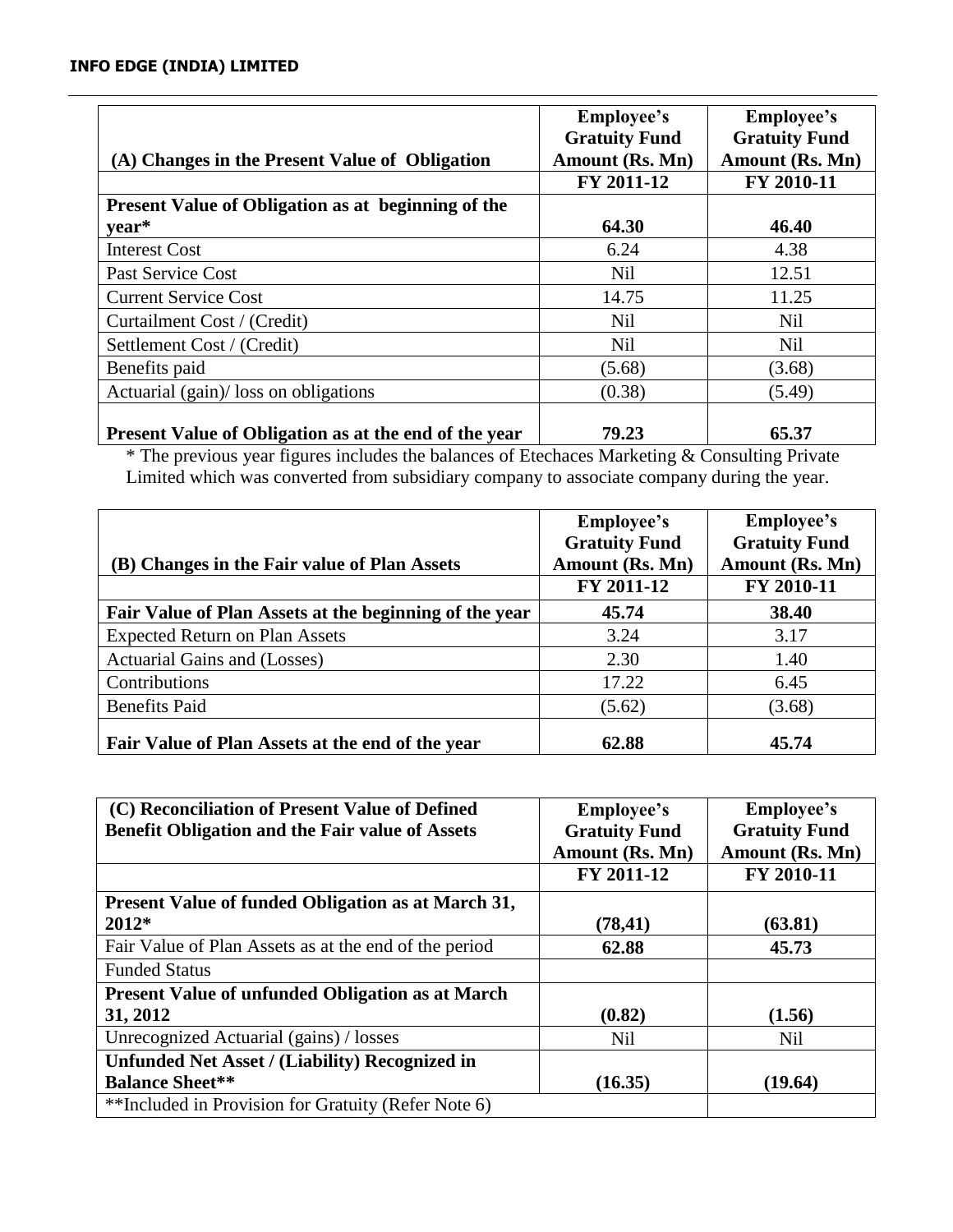| (A) Changes in the Present Value of Obligation               | <b>Employee's</b><br><b>Gratuity Fund</b><br>Amount (Rs. Mn) | <b>Employee's</b><br><b>Gratuity Fund</b><br>Amount (Rs. Mn) |
|--------------------------------------------------------------|--------------------------------------------------------------|--------------------------------------------------------------|
| <b>Present Value of Obligation as at beginning of the</b>    | FY 2011-12                                                   | FY 2010-11                                                   |
| vear*                                                        | 64.30                                                        | 46.40                                                        |
| <b>Interest Cost</b>                                         | 6.24                                                         | 4.38                                                         |
| Past Service Cost                                            | Nil                                                          | 12.51                                                        |
| <b>Current Service Cost</b>                                  | 14.75                                                        | 11.25                                                        |
| Curtailment Cost / (Credit)                                  | <b>Nil</b>                                                   | Nil                                                          |
| Settlement Cost / (Credit)                                   | Nil                                                          | Nil                                                          |
| Benefits paid                                                | (5.68)                                                       | (3.68)                                                       |
| Actuarial (gain)/ loss on obligations                        | (0.38)                                                       | (5.49)                                                       |
| <b>Present Value of Obligation as at the end of the year</b> | 79.23                                                        | 65.37                                                        |

\* The previous year figures includes the balances of Etechaces Marketing & Consulting Private Limited which was converted from subsidiary company to associate company during the year.

|                                                        | <b>Employee's</b><br><b>Gratuity Fund</b> | <b>Employee's</b><br><b>Gratuity Fund</b> |
|--------------------------------------------------------|-------------------------------------------|-------------------------------------------|
| (B) Changes in the Fair value of Plan Assets           | Amount (Rs. Mn)                           | Amount (Rs. Mn)                           |
|                                                        | FY 2011-12                                | FY 2010-11                                |
| Fair Value of Plan Assets at the beginning of the year | 45.74                                     | 38.40                                     |
| <b>Expected Return on Plan Assets</b>                  | 3.24                                      | 3.17                                      |
| Actuarial Gains and (Losses)                           | 2.30                                      | 1.40                                      |
| Contributions                                          | 17.22                                     | 6.45                                      |
| <b>Benefits Paid</b>                                   | (5.62)                                    | (3.68)                                    |
| Fair Value of Plan Assets at the end of the year       | 62.88                                     | 45.74                                     |

| (C) Reconciliation of Present Value of Defined            | <b>Employee's</b>    | Employee's           |
|-----------------------------------------------------------|----------------------|----------------------|
| <b>Benefit Obligation and the Fair value of Assets</b>    | <b>Gratuity Fund</b> | <b>Gratuity Fund</b> |
|                                                           | Amount (Rs. Mn)      | Amount (Rs. Mn)      |
|                                                           | FY 2011-12           | FY 2010-11           |
| <b>Present Value of funded Obligation as at March 31,</b> |                      |                      |
| 2012*                                                     | (78, 41)             | (63.81)              |
| Fair Value of Plan Assets as at the end of the period     | 62.88                | 45.73                |
| <b>Funded Status</b>                                      |                      |                      |
| <b>Present Value of unfunded Obligation as at March</b>   |                      |                      |
| 31, 2012                                                  | (0.82)               | (1.56)               |
| Unrecognized Actuarial (gains) / losses                   | Nil                  | <b>Nil</b>           |
| <b>Unfunded Net Asset / (Liability) Recognized in</b>     |                      |                      |
| <b>Balance Sheet**</b>                                    | (16.35)              | (19.64)              |
| **Included in Provision for Gratuity (Refer Note 6)       |                      |                      |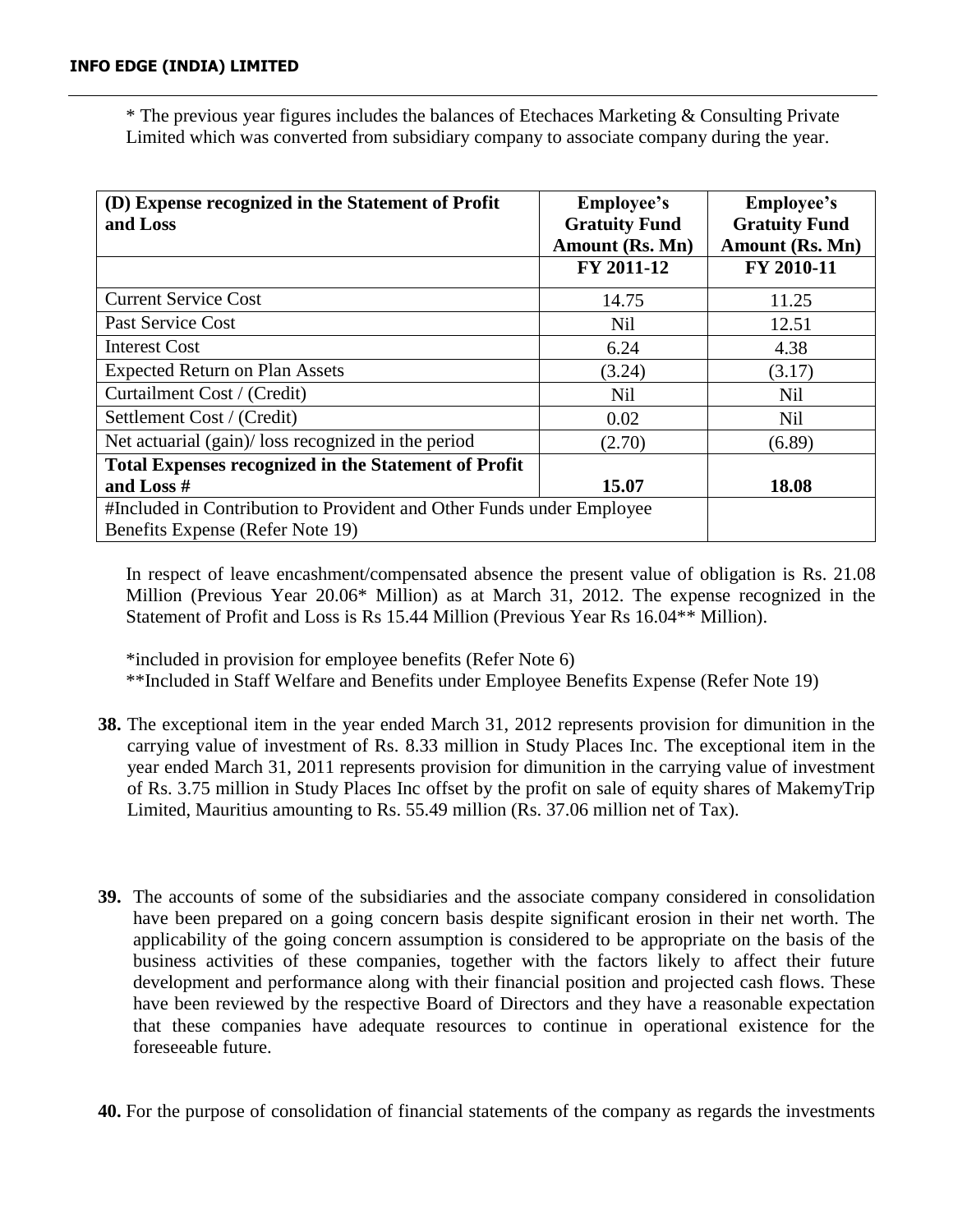\* The previous year figures includes the balances of Etechaces Marketing & Consulting Private Limited which was converted from subsidiary company to associate company during the year.

| (D) Expense recognized in the Statement of Profit<br>and Loss         | Employee's<br><b>Gratuity Fund</b><br>Amount (Rs. Mn) | Employee's<br><b>Gratuity Fund</b><br>Amount (Rs. Mn) |
|-----------------------------------------------------------------------|-------------------------------------------------------|-------------------------------------------------------|
|                                                                       | FY 2011-12                                            | FY 2010-11                                            |
| <b>Current Service Cost</b>                                           | 14.75                                                 | 11.25                                                 |
| Past Service Cost                                                     | <b>Nil</b>                                            | 12.51                                                 |
| <b>Interest Cost</b>                                                  | 6.24                                                  | 4.38                                                  |
| <b>Expected Return on Plan Assets</b>                                 | (3.24)                                                | (3.17)                                                |
| Curtailment Cost / (Credit)                                           | <b>Nil</b>                                            | <b>Nil</b>                                            |
| Settlement Cost / (Credit)                                            | 0.02                                                  | <b>Nil</b>                                            |
| Net actuarial (gain)/ loss recognized in the period                   | (2.70)                                                | (6.89)                                                |
| <b>Total Expenses recognized in the Statement of Profit</b>           |                                                       |                                                       |
| and Loss #                                                            | 15.07                                                 | 18.08                                                 |
| #Included in Contribution to Provident and Other Funds under Employee |                                                       |                                                       |
| Benefits Expense (Refer Note 19)                                      |                                                       |                                                       |

In respect of leave encashment/compensated absence the present value of obligation is Rs. 21.08 Million (Previous Year 20.06\* Million) as at March 31, 2012. The expense recognized in the Statement of Profit and Loss is Rs 15.44 Million (Previous Year Rs 16.04\*\* Million).

\*included in provision for employee benefits (Refer Note 6)

\*\*Included in Staff Welfare and Benefits under Employee Benefits Expense (Refer Note 19)

- **38.** The exceptional item in the year ended March 31, 2012 represents provision for dimunition in the carrying value of investment of Rs. 8.33 million in Study Places Inc. The exceptional item in the year ended March 31, 2011 represents provision for dimunition in the carrying value of investment of Rs. 3.75 million in Study Places Inc offset by the profit on sale of equity shares of MakemyTrip Limited, Mauritius amounting to Rs. 55.49 million (Rs. 37.06 million net of Tax).
- **39.** The accounts of some of the subsidiaries and the associate company considered in consolidation have been prepared on a going concern basis despite significant erosion in their net worth. The applicability of the going concern assumption is considered to be appropriate on the basis of the business activities of these companies, together with the factors likely to affect their future development and performance along with their financial position and projected cash flows. These have been reviewed by the respective Board of Directors and they have a reasonable expectation that these companies have adequate resources to continue in operational existence for the foreseeable future.

**40.** For the purpose of consolidation of financial statements of the company as regards the investments